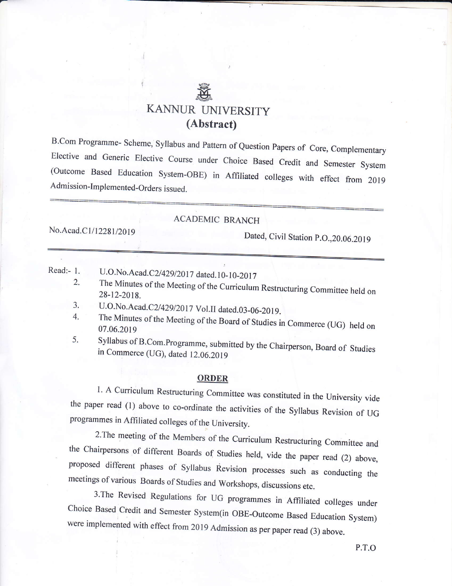# r€8, & KANNUR UNIVERS ITY (Abstract)

B.Com Programme- Scheme, Syllabus and Pattern of Question Papers of Core, Complementary<br>Elective and Generic Elective Course under Choice Based Credit and Semester System (Outcome Based Education System-OBE) in Affiliated colleges with effect from 2019 Admission-Implemented-Orders issued.

# ACADEMIC BRANCH

No. Acad.C1/12281/2019 Dated, Civil Station P.O., 20.06.2019

Read:- 1. U.O.No.Acad.C2/429/2017 dated.10-10-2017

- 2. The Minutes of the Meeting of the Curriculum Restructuring Committee held on 28-12-2018.
- 3. 4. U.O.No.Acad.C2/429/2017 Vol.II dated.03-06-2019.
- 5. The Minutes of the Meeting of the Board of Studies in Commerce (UG) held on 07.06.2019
- Syllabus of B.Com.Programme, submitted by the Chairperson, Board of Studies in Commerce (UG), dated 12.06.2019

#### ORDER

l. A Curriculum Restructuring Committee was constituted in the University vide<br>the paper read (1) above to co-ordinate the activities of the Syllabus Revision of UG programmes in Affiliated colleges of the University.

2. The meeting of the Members of the Curriculum Restructuring Committee and<br>the Chairpersons of different Boards of Studies held, vide the paper read (2) above,<br>proposed different phases of Syllabus Revision processes such

Choice Based Credit and Semester System(in OBE-Outcome Based Education System) were implemented with effect from 2019 Admission as per paper read (3) above.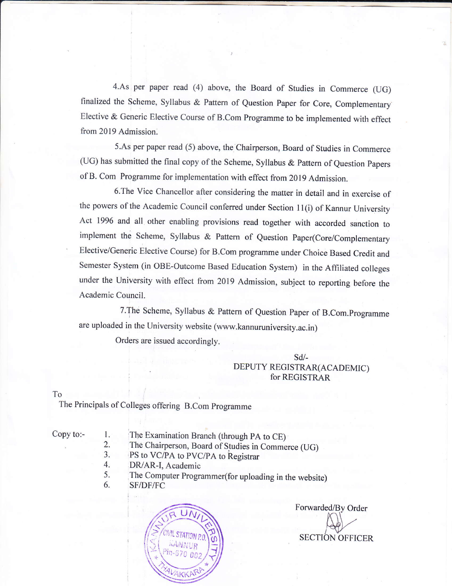4.As per paper read (4) above, the Board of Studies in Commerce (UG) finalized the Scheme, Syllabus & Pattern of Question Paper for Core, Complementary Elective & Generic Elective Course of B.Com Programme to be implemented with effect from 2019 Admission.

5.As per paper read (5) above, the Chairperson, Board of Studies in Commerce (UG) has submitted the final copy of the Scheme, Syllabus  $&$  Pattern of Question Papers of B. Com Programme for implementation with effect from 2019 Admission.

6.The Vice Chancellor after considering the matter in detail and in exercise of the powers of the Academic Council conferred under Section 11(i) of Kannur University Act 1996 and all other enabling provisions read together with accorded sanction to implement the Scheme, Syllabus & Pattern of Question Paper(Core/Complementary Elective/Generic Elective course) for B.com programme under choice Based credit and Semester System (in OBE-Outcome Based Education System) in the Affiliated colleges under the University with effect from 2019 Admission, subject to reporting before the Academic Council.

7. The Scheme, Syllabus & Pattern of Question Paper of B.Com. Programme are uploaded in the University website (www.kannuruniversity.ac.in)

Orders are issued accordingly.

### sd/- DEPUTY REGISTRAR(ACADEMIC) for REGISTRAR

To

The Principals of Colleges offering B.Com programme

Copy to:-  $1$ .

The Examination Branch (through PA to CE)

- 2. The Chairperson. Board of Srudies in Commerce (UG)
- J. PS to VC/PA to PVC/PA to Registrar
- 4. DR/AR-I, Academic
- 5. 6. The Computer Programmer(for uploading in the website)
	- SF/DF/FC



Forwarded/By Order SECTION OFFICER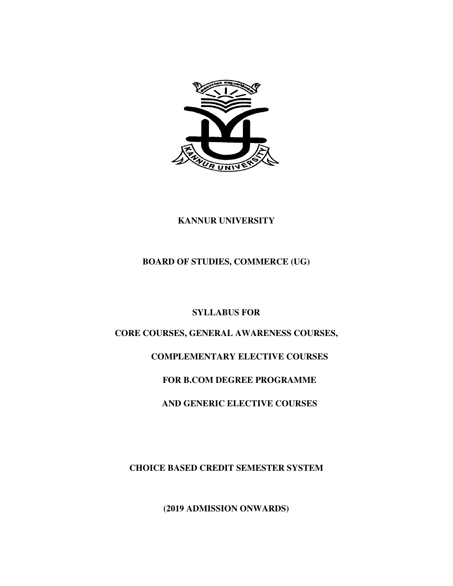

# **KANNUR UNIVERSITY**

# **BOARD OF STUDIES, COMMERCE (UG)**

# **SYLLABUS FOR**

# **CORE COURSES, GENERAL AWARENESS COURSES,**

# **COMPLEMENTARY ELECTIVE COURSES**

# **FOR B.COM DEGREE PROGRAMME**

# **AND GENERIC ELECTIVE COURSES**

**CHOICE BASED CREDIT SEMESTER SYSTEM** 

**(2019 ADMISSION ONWARDS)**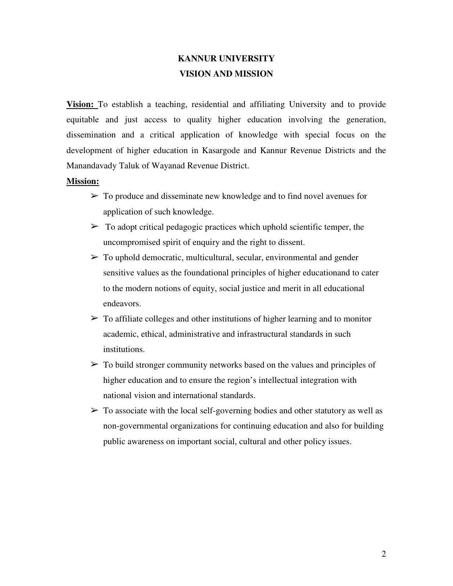# **KANNUR UNIVERSITY VISION AND MISSION**

**Vision:** To establish a teaching, residential and affiliating University and to provide equitable and just access to quality higher education involving the generation, dissemination and a critical application of knowledge with special focus on the development of higher education in Kasargode and Kannur Revenue Districts and the Manandavady Taluk of Wayanad Revenue District.

#### **Mission:**

- $\triangleright$  To produce and disseminate new knowledge and to find novel avenues for application of such knowledge.
- $\triangleright$  To adopt critical pedagogic practices which uphold scientific temper, the uncompromised spirit of enquiry and the right to dissent.
- $\triangleright$  To uphold democratic, multicultural, secular, environmental and gender sensitive values as the foundational principles of higher educationand to cater to the modern notions of equity, social justice and merit in all educational endeavors.
- $\triangleright$  To affiliate colleges and other institutions of higher learning and to monitor academic, ethical, administrative and infrastructural standards in such institutions.
- $\geq$  To build stronger community networks based on the values and principles of higher education and to ensure the region's intellectual integration with national vision and international standards.
- $\triangleright$  To associate with the local self-governing bodies and other statutory as well as non-governmental organizations for continuing education and also for building public awareness on important social, cultural and other policy issues.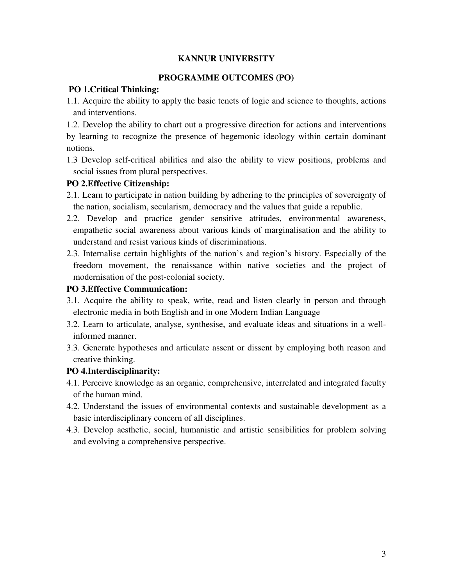### **KANNUR UNIVERSITY**

### **PROGRAMME OUTCOMES (PO)**

### **PO 1.Critical Thinking:**

1.1. Acquire the ability to apply the basic tenets of logic and science to thoughts, actions and interventions.

1.2. Develop the ability to chart out a progressive direction for actions and interventions by learning to recognize the presence of hegemonic ideology within certain dominant notions.

1.3 Develop self-critical abilities and also the ability to view positions, problems and social issues from plural perspectives.

# **PO 2.Effective Citizenship:**

- 2.1. Learn to participate in nation building by adhering to the principles of sovereignty of the nation, socialism, secularism, democracy and the values that guide a republic.
- 2.2. Develop and practice gender sensitive attitudes, environmental awareness, empathetic social awareness about various kinds of marginalisation and the ability to understand and resist various kinds of discriminations.
- 2.3. Internalise certain highlights of the nation's and region's history. Especially of the freedom movement, the renaissance within native societies and the project of modernisation of the post-colonial society.

### **PO 3.Effective Communication:**

- 3.1. Acquire the ability to speak, write, read and listen clearly in person and through electronic media in both English and in one Modern Indian Language
- 3.2. Learn to articulate, analyse, synthesise, and evaluate ideas and situations in a wellinformed manner.
- 3.3. Generate hypotheses and articulate assent or dissent by employing both reason and creative thinking.

# **PO 4.Interdisciplinarity:**

- 4.1. Perceive knowledge as an organic, comprehensive, interrelated and integrated faculty of the human mind.
- 4.2. Understand the issues of environmental contexts and sustainable development as a basic interdisciplinary concern of all disciplines.
- 4.3. Develop aesthetic, social, humanistic and artistic sensibilities for problem solving and evolving a comprehensive perspective.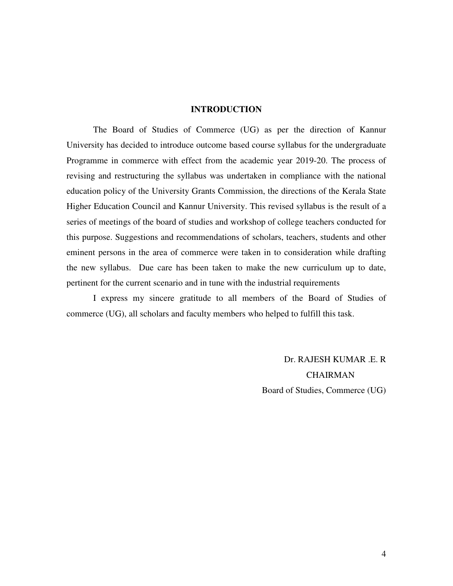#### **INTRODUCTION**

The Board of Studies of Commerce (UG) as per the direction of Kannur University has decided to introduce outcome based course syllabus for the undergraduate Programme in commerce with effect from the academic year 2019-20. The process of revising and restructuring the syllabus was undertaken in compliance with the national education policy of the University Grants Commission, the directions of the Kerala State Higher Education Council and Kannur University. This revised syllabus is the result of a series of meetings of the board of studies and workshop of college teachers conducted for this purpose. Suggestions and recommendations of scholars, teachers, students and other eminent persons in the area of commerce were taken in to consideration while drafting the new syllabus. Due care has been taken to make the new curriculum up to date, pertinent for the current scenario and in tune with the industrial requirements

I express my sincere gratitude to all members of the Board of Studies of commerce (UG), all scholars and faculty members who helped to fulfill this task.

> Dr. RAJESH KUMAR .E. R CHAIRMAN Board of Studies, Commerce (UG)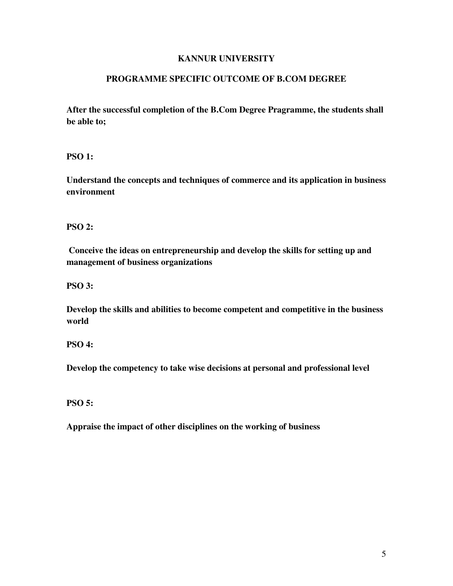# **KANNUR UNIVERSITY**

### **PROGRAMME SPECIFIC OUTCOME OF B.COM DEGREE**

**After the successful completion of the B.Com Degree Pragramme, the students shall be able to;** 

**PSO 1:** 

**Understand the concepts and techniques of commerce and its application in business environment** 

**PSO 2:** 

 **Conceive the ideas on entrepreneurship and develop the skills for setting up and management of business organizations** 

**PSO 3:** 

**Develop the skills and abilities to become competent and competitive in the business world** 

**PSO 4:** 

**Develop the competency to take wise decisions at personal and professional level** 

**PSO 5:** 

**Appraise the impact of other disciplines on the working of business**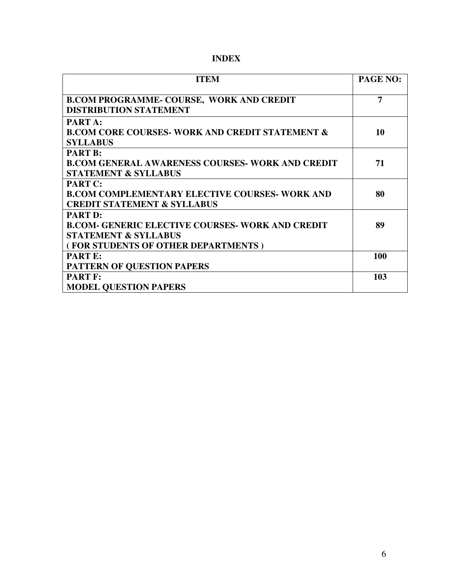| <b>ITEM</b>                                                                                                       | <b>PAGE NO:</b> |
|-------------------------------------------------------------------------------------------------------------------|-----------------|
| <b>B.COM PROGRAMME- COURSE, WORK AND CREDIT</b><br><b>DISTRIBUTION STATEMENT</b>                                  | $\overline{7}$  |
| PART A:<br><b>B.COM CORE COURSES- WORK AND CREDIT STATEMENT &amp;</b><br><b>SYLLABUS</b>                          | 10              |
| <b>PART B:</b><br><b>B.COM GENERAL AWARENESS COURSES- WORK AND CREDIT</b><br><b>STATEMENT &amp; SYLLABUS</b>      | 71              |
| <b>PART C:</b><br><b>B.COM COMPLEMENTARY ELECTIVE COURSES- WORK AND</b><br><b>CREDIT STATEMENT &amp; SYLLABUS</b> | 80              |
| <b>PART D:</b><br><b>B.COM- GENERIC ELECTIVE COURSES- WORK AND CREDIT</b><br><b>STATEMENT &amp; SYLLABUS</b>      | 89              |
| (FOR STUDENTS OF OTHER DEPARTMENTS)<br><b>PART E:</b>                                                             | 100             |
| PATTERN OF QUESTION PAPERS<br><b>PART F:</b><br><b>MODEL QUESTION PAPERS</b>                                      | 103             |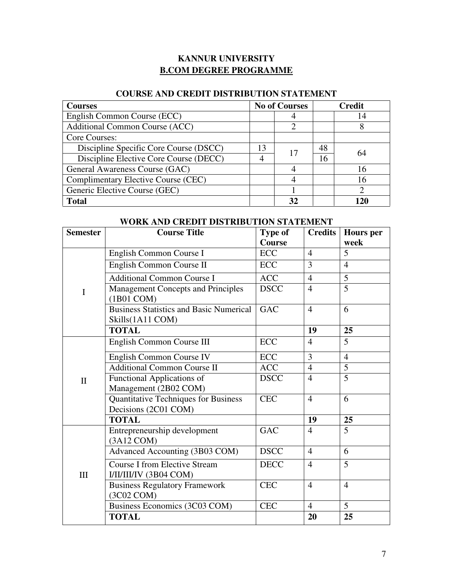# **KANNUR UNIVERSITY B.COM DEGREE PROGRAMME**

# **COURSE AND CREDIT DISTRIBUTION STATEMENT**

| <b>Courses</b>                                     | <b>No of Courses</b> |    |    | <b>Credit</b>               |
|----------------------------------------------------|----------------------|----|----|-----------------------------|
| English Common Course (ECC)                        |                      |    |    | 14                          |
| <b>Additional Common Course (ACC)</b>              |                      |    |    |                             |
| Core Courses:                                      |                      |    |    |                             |
| Discipline Specific Core Course (DSCC)<br>13<br>17 |                      | 48 | 64 |                             |
| Discipline Elective Core Course (DECC)             | 4                    |    | 16 |                             |
| General Awareness Course (GAC)                     |                      |    |    | 16                          |
| Complimentary Elective Course (CEC)                |                      |    |    | 16                          |
| Generic Elective Course (GEC)                      |                      |    |    | $\mathcal{D}_{\mathcal{L}}$ |
| <b>Total</b>                                       |                      | 32 |    | 120                         |

# **WORK AND CREDIT DISTRIBUTION STATEMENT**

| <b>Semester</b> | <b>Course Title</b>                                            | <b>Type of</b><br><b>Course</b> | <b>Credits</b> | <b>Hours</b> per<br>week |
|-----------------|----------------------------------------------------------------|---------------------------------|----------------|--------------------------|
|                 | English Common Course I                                        | <b>ECC</b>                      | $\overline{4}$ | 5                        |
|                 | English Common Course II                                       | <b>ECC</b>                      | 3              | $\overline{4}$           |
|                 |                                                                |                                 |                |                          |
|                 | <b>Additional Common Course I</b>                              | <b>ACC</b>                      | $\overline{4}$ | 5                        |
| $\mathbf I$     | <b>Management Concepts and Principles</b><br>(1B01 COM)        | <b>DSCC</b>                     | $\overline{4}$ | 5                        |
|                 | <b>Business Statistics and Basic Numerical</b>                 | <b>GAC</b>                      | $\overline{4}$ | 6                        |
|                 | Skills(1A11 COM)                                               |                                 |                |                          |
|                 | <b>TOTAL</b>                                                   |                                 | 19             | 25                       |
|                 | English Common Course III                                      | <b>ECC</b>                      | $\overline{4}$ | 5                        |
|                 | English Common Course IV                                       | <b>ECC</b>                      | 3              | $\overline{4}$           |
| $\mathbf{I}$    | <b>Additional Common Course II</b>                             | <b>ACC</b>                      | 4              | 5                        |
|                 | <b>Functional Applications of</b>                              | <b>DSCC</b>                     | $\overline{4}$ | 5                        |
|                 | Management (2B02 COM)                                          |                                 |                |                          |
|                 | Quantitative Techniques for Business<br>Decisions (2C01 COM)   | <b>CEC</b>                      | $\overline{4}$ | 6                        |
|                 | <b>TOTAL</b>                                                   |                                 | 19             | 25                       |
|                 | Entrepreneurship development<br>$(3A12$ COM $)$                | <b>GAC</b>                      | $\overline{4}$ | 5                        |
|                 | Advanced Accounting (3B03 COM)                                 | <b>DSCC</b>                     | 4              | 6                        |
| III             | <b>Course I from Elective Stream</b><br>I/II/III/IV (3B04 COM) | <b>DECC</b>                     | $\overline{4}$ | 5                        |
|                 | <b>Business Regulatory Framework</b><br>(3C02 COM)             | <b>CEC</b>                      | $\overline{4}$ | $\overline{4}$           |
|                 | Business Economics (3C03 COM)                                  | <b>CEC</b>                      | $\overline{4}$ | 5                        |
|                 | <b>TOTAL</b>                                                   |                                 | 20             | 25                       |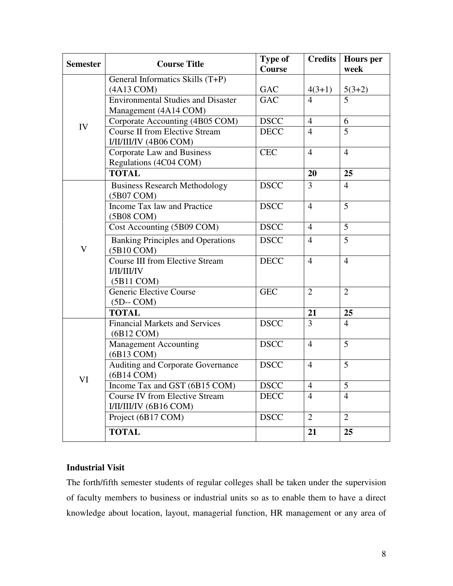| <b>Semester</b> | <b>Course Title</b>                                                        | <b>Type of</b><br>Course | <b>Credits</b> | <b>Hours</b> per<br>week |
|-----------------|----------------------------------------------------------------------------|--------------------------|----------------|--------------------------|
|                 | General Informatics Skills (T+P)                                           |                          |                |                          |
|                 | (4A13 COM)                                                                 | <b>GAC</b>               | $4(3+1)$       | $5(3+2)$                 |
|                 | <b>Environmental Studies and Disaster</b><br>Management (4A14 COM)         | <b>GAC</b>               | 4              | 5                        |
| IV              | Corporate Accounting (4B05 COM)                                            | <b>DSCC</b>              | $\overline{4}$ | 6                        |
|                 | <b>Course II from Elective Stream</b><br>I/II/III/IV (4B06 COM)            | <b>DECC</b>              | $\overline{4}$ | 5                        |
|                 | Corporate Law and Business<br>Regulations (4C04 COM)                       | <b>CEC</b>               | $\overline{4}$ | $\overline{4}$           |
|                 | <b>TOTAL</b>                                                               |                          | 20             | 25                       |
|                 | <b>Business Research Methodology</b><br>(5B07 COM)                         | <b>DSCC</b>              | 3              | $\overline{4}$           |
|                 | Income Tax law and Practice<br>(5B08 COM)                                  | <b>DSCC</b>              | $\overline{4}$ | 5                        |
|                 | Cost Accounting (5B09 COM)                                                 | <b>DSCC</b>              | 4              | 5                        |
| V               | <b>Banking Principles and Operations</b><br>(5B10 COM)                     | <b>DSCC</b>              | $\overline{4}$ | 5                        |
|                 | <b>Course III from Elective Stream</b><br><b>I/II/III/IV</b><br>(5B11 COM) | <b>DECC</b>              | $\overline{4}$ | $\overline{4}$           |
|                 | Generic Elective Course<br>$(5D - COM)$                                    | <b>GEC</b>               | $\overline{2}$ | $\overline{2}$           |
|                 | <b>TOTAL</b>                                                               |                          | 21             | 25                       |
|                 | <b>Financial Markets and Services</b><br>$(6B12$ COM $)$                   | <b>DSCC</b>              | 3              | $\overline{4}$           |
|                 | <b>Management Accounting</b><br>(6B13 COM)                                 | <b>DSCC</b>              | $\overline{4}$ | 5                        |
|                 | <b>Auditing and Corporate Governance</b><br>(6B14 COM)                     | <b>DSCC</b>              | $\overline{4}$ | 5                        |
| VI              | Income Tax and GST (6B15 COM)                                              | <b>DSCC</b>              | 4              | $\mathcal{L}$            |
|                 | <b>Course IV from Elective Stream</b><br>I/II/II/IV (6B16 COM)             | <b>DECC</b>              | $\overline{4}$ | $\overline{4}$           |
|                 | Project (6B17 COM)                                                         | <b>DSCC</b>              | $\overline{2}$ | 2                        |
|                 | <b>TOTAL</b>                                                               |                          | 21             | 25                       |

### **Industrial Visit**

The forth/fifth semester students of regular colleges shall be taken under the supervision of faculty members to business or industrial units so as to enable them to have a direct knowledge about location, layout, managerial function, HR management or any area of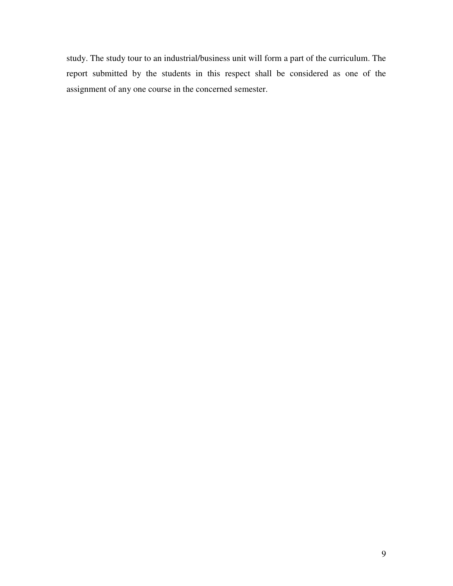study. The study tour to an industrial/business unit will form a part of the curriculum. The report submitted by the students in this respect shall be considered as one of the assignment of any one course in the concerned semester.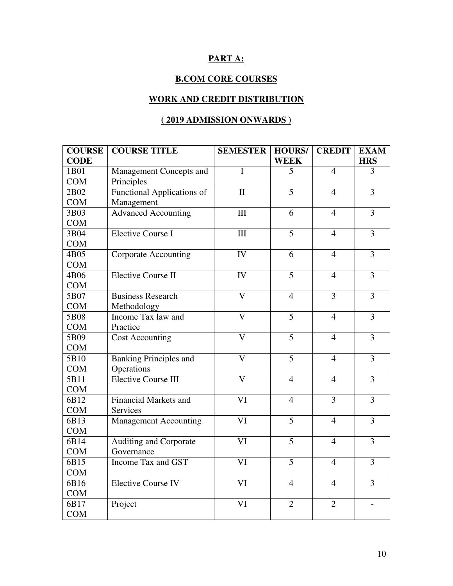# **PART A:**

# **B.COM CORE COURSES**

# **WORK AND CREDIT DISTRIBUTION**

# **( 2019 ADMISSION ONWARDS )**

| <b>COURSE</b> | <b>COURSE TITLE</b>               | <b>SEMESTER</b>         | <b>HOURS/</b>  | <b>CREDIT</b>  | <b>EXAM</b>    |
|---------------|-----------------------------------|-------------------------|----------------|----------------|----------------|
| <b>CODE</b>   |                                   |                         | <b>WEEK</b>    |                | <b>HRS</b>     |
| 1B01          | Management Concepts and           | I                       | 5              | $\overline{4}$ | 3              |
| <b>COM</b>    | Principles                        |                         |                |                |                |
| 2B02          | <b>Functional Applications of</b> | $\mathbf{I}$            | $\overline{5}$ | $\overline{4}$ | $\overline{3}$ |
| COM           | Management                        |                         |                |                |                |
| 3B03          | <b>Advanced Accounting</b>        | III                     | 6              | $\overline{4}$ | $\overline{3}$ |
| <b>COM</b>    |                                   |                         |                |                |                |
| 3B04          | <b>Elective Course I</b>          | III                     | $\overline{5}$ | $\overline{4}$ | $\overline{3}$ |
| <b>COM</b>    |                                   |                         |                |                |                |
| 4B05          | <b>Corporate Accounting</b>       | $\overline{IV}$         | 6              | $\overline{4}$ | $\overline{3}$ |
| <b>COM</b>    |                                   |                         |                |                |                |
| 4B06          | <b>Elective Course II</b>         | IV                      | $\overline{5}$ | $\overline{4}$ | $\overline{3}$ |
| <b>COM</b>    |                                   |                         |                |                |                |
| 5B07          | <b>Business Research</b>          | $\overline{\mathsf{V}}$ | $\overline{4}$ | $\overline{3}$ | $\overline{3}$ |
| <b>COM</b>    | Methodology                       |                         |                |                |                |
| 5B08          | Income Tax law and                | $\overline{\mathbf{V}}$ | 5              | $\overline{4}$ | $\overline{3}$ |
| <b>COM</b>    | Practice                          |                         |                |                |                |
| 5B09          | <b>Cost Accounting</b>            | $\mathbf V$             | 5              | $\overline{4}$ | 3              |
| <b>COM</b>    |                                   |                         |                |                |                |
| 5B10          | <b>Banking Principles and</b>     | $\overline{V}$          | $\overline{5}$ | $\overline{4}$ | $\overline{3}$ |
| <b>COM</b>    | Operations                        |                         |                |                |                |
| 5B11          | <b>Elective Course III</b>        | $\overline{\mathbf{V}}$ | $\overline{4}$ | $\overline{4}$ | $\overline{3}$ |
| <b>COM</b>    |                                   |                         |                |                |                |
| 6B12          | Financial Markets and             | VI                      | $\overline{4}$ | 3              | 3              |
| <b>COM</b>    | Services                          |                         |                |                |                |
| 6B13          | <b>Management Accounting</b>      | VI                      | $\overline{5}$ | $\overline{4}$ | $\overline{3}$ |
| <b>COM</b>    |                                   |                         |                |                |                |
| 6B14          | Auditing and Corporate            | VI                      | 5              | $\overline{4}$ | 3              |
| <b>COM</b>    | Governance                        |                         |                |                |                |
| 6B15          | Income Tax and GST                | VI                      | $\overline{5}$ | $\overline{4}$ | $\overline{3}$ |
| <b>COM</b>    |                                   |                         |                |                |                |
| 6B16          | <b>Elective Course IV</b>         | VI                      | $\overline{4}$ | $\overline{4}$ | 3              |
| <b>COM</b>    |                                   |                         |                |                |                |
| 6B17          | Project                           | VI                      | $\overline{2}$ | $\overline{2}$ |                |
| <b>COM</b>    |                                   |                         |                |                |                |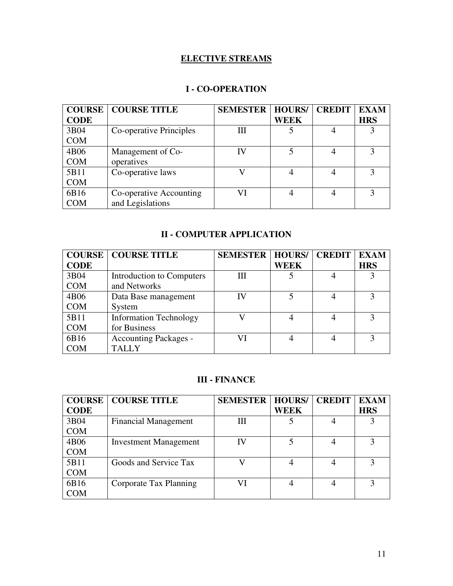# **ELECTIVE STREAMS**

# **I - CO-OPERATION**

| <b>COURSE</b> | <b>COURSE TITLE</b>     | <b>SEMESTER</b> | <b>HOURS/</b> | <b>CREDIT</b> | <b>EXAM</b> |
|---------------|-------------------------|-----------------|---------------|---------------|-------------|
| <b>CODE</b>   |                         |                 | WEEK          |               | <b>HRS</b>  |
| 3B04          | Co-operative Principles | Ш               |               |               |             |
| <b>COM</b>    |                         |                 |               |               |             |
| 4B06          | Management of Co-       | IV              |               |               | 3           |
| <b>COM</b>    | operatives              |                 |               |               |             |
| 5B11          | Co-operative laws       |                 |               |               |             |
| <b>COM</b>    |                         |                 |               |               |             |
| 6B16          | Co-operative Accounting | VI              |               |               |             |
| <b>COM</b>    | and Legislations        |                 |               |               |             |

# **II - COMPUTER APPLICATION**

| <b>COURSE</b> | <b>COURSE TITLE</b>           | <b>SEMESTER</b> | <b>HOURS/</b> | <b>CREDIT</b> | <b>EXAM</b> |
|---------------|-------------------------------|-----------------|---------------|---------------|-------------|
| <b>CODE</b>   |                               |                 | <b>WEEK</b>   |               | <b>HRS</b>  |
| 3B04          | Introduction to Computers     | Ш               |               |               |             |
| <b>COM</b>    | and Networks                  |                 |               |               |             |
| 4B06          | Data Base management          | IV              |               |               |             |
| <b>COM</b>    | System                        |                 |               |               |             |
| 5B11          | <b>Information Technology</b> |                 |               |               | 3           |
| <b>COM</b>    | for Business                  |                 |               |               |             |
| 6B16          | <b>Accounting Packages -</b>  |                 |               |               |             |
| <b>COM</b>    | <b>TALLY</b>                  |                 |               |               |             |

# **III - FINANCE**

| <b>COURSE</b> | <b>COURSE TITLE</b>          | <b>SEMESTER</b> | <b>HOURS</b> | <b>CREDIT</b> | <b>EXAM</b> |
|---------------|------------------------------|-----------------|--------------|---------------|-------------|
| <b>CODE</b>   |                              |                 | <b>WEEK</b>  |               | <b>HRS</b>  |
| 3B04          | <b>Financial Management</b>  | Ш               |              |               |             |
| <b>COM</b>    |                              |                 |              |               |             |
| 4B06          | <b>Investment Management</b> |                 |              |               |             |
| <b>COM</b>    |                              |                 |              |               |             |
| 5B11          | Goods and Service Tax        |                 |              |               |             |
| <b>COM</b>    |                              |                 |              |               |             |
| 6B16          | Corporate Tax Planning       |                 |              |               |             |
| <b>COM</b>    |                              |                 |              |               |             |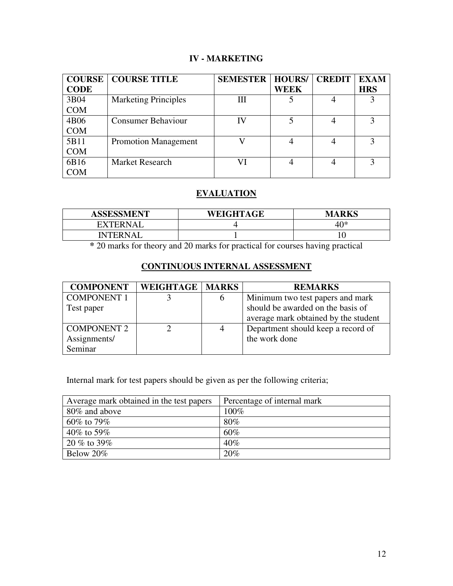# **IV - MARKETING**

| <b>COURSE</b> | <b>COURSE TITLE</b>         | <b>SEMESTER   HOURS/</b> |             | <b>CREDIT</b> | <b>EXAM</b>   |
|---------------|-----------------------------|--------------------------|-------------|---------------|---------------|
| <b>CODE</b>   |                             |                          | <b>WEEK</b> |               | <b>HRS</b>    |
| 3B04          | <b>Marketing Principles</b> | Ш                        |             |               |               |
| <b>COM</b>    |                             |                          |             |               |               |
| 4B06          | <b>Consumer Behaviour</b>   | IV                       |             |               |               |
| <b>COM</b>    |                             |                          |             |               |               |
| 5B11          | <b>Promotion Management</b> |                          |             |               | $\mathcal{R}$ |
| <b>COM</b>    |                             |                          |             |               |               |
| 6B16          | <b>Market Research</b>      |                          |             | 4             |               |
| COM           |                             |                          |             |               |               |

# **EVALUATION**

| <b>ASSESSMENT</b> | WEIGHTAGE | <b>MARKS</b> |
|-------------------|-----------|--------------|
| <b>EXTERNAI</b>   |           | $40*$        |
| <b>INTERNAL</b>   |           |              |

**\*** 20 marks for theory and 20 marks for practical for courses having practical

# **CONTINUOUS INTERNAL ASSESSMENT**

| <b>COMPONENT</b>   | <b>WEIGHTAGE   MARKS</b> |   | <b>REMARKS</b>                       |
|--------------------|--------------------------|---|--------------------------------------|
| <b>COMPONENT 1</b> |                          | b | Minimum two test papers and mark     |
| Test paper         |                          |   | should be awarded on the basis of    |
|                    |                          |   | average mark obtained by the student |
| <b>COMPONENT 2</b> |                          | 4 | Department should keep a record of   |
| Assignments/       |                          |   | the work done                        |
| Seminar            |                          |   |                                      |

Internal mark for test papers should be given as per the following criteria;

| Average mark obtained in the test papers | Percentage of internal mark |
|------------------------------------------|-----------------------------|
| 80% and above                            | $100\%$                     |
| $60\%$ to 79%                            | $80\%$                      |
| 40\% to 59\%                             | 60%                         |
| $20\%$ to 39%                            | 40%                         |
| Below 20%                                | 20%                         |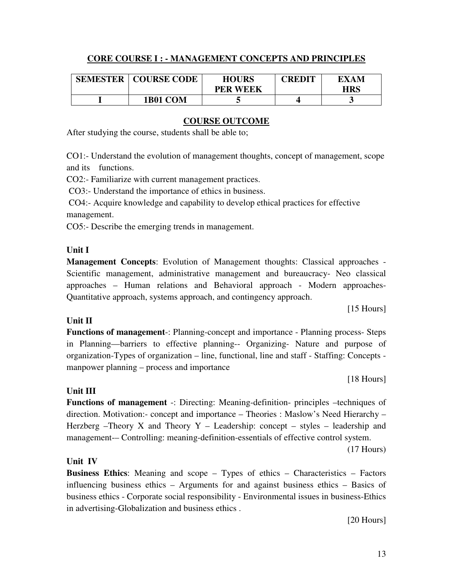# **CORE COURSE I : - MANAGEMENT CONCEPTS AND PRINCIPLES**

| <b>SEMESTER</b> | <b>COURSE CODE</b> | <b>HOURS</b>    | CREDIT | EXAM |
|-----------------|--------------------|-----------------|--------|------|
|                 |                    | <b>PER WEEK</b> |        | HRS  |
|                 | 1B01 COM           |                 |        |      |

# **COURSE OUTCOME**

After studying the course, students shall be able to;

CO1:- Understand the evolution of management thoughts, concept of management, scope and its functions.

CO2:- Familiarize with current management practices.

CO3:- Understand the importance of ethics in business.

 CO4:- Acquire knowledge and capability to develop ethical practices for effective management.

CO5:- Describe the emerging trends in management.

# **Unit I**

**Management Concepts**: Evolution of Management thoughts: Classical approaches - Scientific management, administrative management and bureaucracy- Neo classical approaches – Human relations and Behavioral approach - Modern approaches-Quantitative approach, systems approach, and contingency approach.

[15 Hours]

# **Unit II**

**Functions of management**-: Planning-concept and importance - Planning process- Steps in Planning—barriers to effective planning-- Organizing- Nature and purpose of organization-Types of organization – line, functional, line and staff - Staffing: Concepts manpower planning – process and importance

[18 Hours]

# **Unit III**

**Functions of management** -: Directing: Meaning-definition- principles –techniques of direction. Motivation:- concept and importance – Theories : Maslow's Need Hierarchy – Herzberg –Theory X and Theory Y – Leadership: concept – styles – leadership and management-– Controlling: meaning-definition-essentials of effective control system.

(17 Hours)

# **Unit IV**

**Business Ethics**: Meaning and scope – Types of ethics – Characteristics – Factors influencing business ethics – Arguments for and against business ethics – Basics of business ethics - Corporate social responsibility - Environmental issues in business-Ethics in advertising-Globalization and business ethics .

[20 Hours]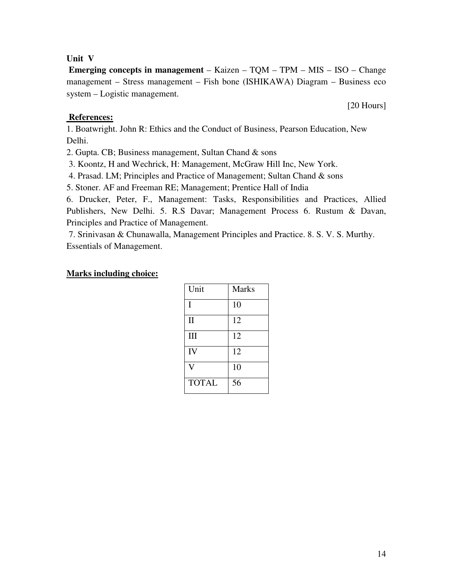# **Unit V**

 **Emerging concepts in management** – Kaizen – TQM – TPM – MIS – ISO – Change management – Stress management – Fish bone (ISHIKAWA) Diagram – Business eco system – Logistic management.

### **References:**

1. Boatwright. John R: Ethics and the Conduct of Business, Pearson Education, New Delhi.

2. Gupta. CB; Business management, Sultan Chand & sons

3. Koontz, H and Wechrick, H: Management, McGraw Hill Inc, New York.

4. Prasad. LM; Principles and Practice of Management; Sultan Chand & sons

5. Stoner. AF and Freeman RE; Management; Prentice Hall of India

6. Drucker, Peter, F., Management: Tasks, Responsibilities and Practices, Allied Publishers, New Delhi. 5. R.S Davar; Management Process 6. Rustum & Davan, Principles and Practice of Management.

 7. Srinivasan & Chunawalla, Management Principles and Practice. 8. S. V. S. Murthy. Essentials of Management.

### **Marks including choice:**

| Unit         | <b>Marks</b> |
|--------------|--------------|
| I            | 10           |
| $\mathbf{I}$ | 12           |
| III          | 12           |
| IV           | 12           |
| V            | 10           |
| <b>TOTAL</b> | 56           |

[20 Hours]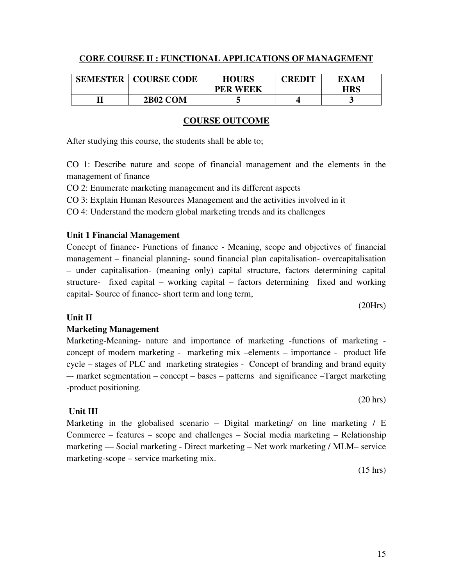# **CORE COURSE II : FUNCTIONAL APPLICATIONS OF MANAGEMENT**

| <b>SEMESTER</b> | <b>COURSE CODE</b> | <b>HOURS</b><br><b>PER WEEK</b> | CREDIT | EXAM<br>HRS |
|-----------------|--------------------|---------------------------------|--------|-------------|
|                 | <b>2B02 COM</b>    |                                 |        |             |

### **COURSE OUTCOME**

After studying this course, the students shall be able to;

CO 1: Describe nature and scope of financial management and the elements in the management of finance

CO 2: Enumerate marketing management and its different aspects

CO 3: Explain Human Resources Management and the activities involved in it

CO 4: Understand the modern global marketing trends and its challenges

# **Unit 1 Financial Management**

Concept of finance- Functions of finance - Meaning, scope and objectives of financial management – financial planning- sound financial plan capitalisation- overcapitalisation – under capitalisation- (meaning only) capital structure, factors determining capital structure- fixed capital – working capital – factors determining fixed and working capital- Source of finance- short term and long term,

(20Hrs)

# **Unit II**

# **Marketing Management**

Marketing-Meaning- nature and importance of marketing -functions of marketing concept of modern marketing - marketing mix –elements – importance - product life cycle – stages of PLC and marketing strategies - Concept of branding and brand equity –- market segmentation – concept – bases – patterns and significance –Target marketing -product positioning.

**Unit III** 

Marketing in the globalised scenario – Digital marketing/ on line marketing / E Commerce – features – scope and challenges – Social media marketing – Relationship marketing –– Social marketing - Direct marketing – Net work marketing / MLM– service marketing-scope – service marketing mix.

(15 hrs)

(20 hrs)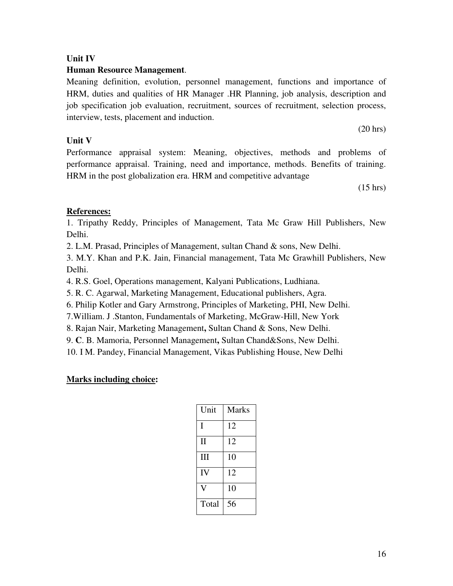# **Unit IV**

# **Human Resource Management**.

Meaning definition, evolution, personnel management, functions and importance of HRM, duties and qualities of HR Manager .HR Planning, job analysis, description and job specification job evaluation, recruitment, sources of recruitment, selection process, interview, tests, placement and induction.

# **Unit V**

Performance appraisal system: Meaning, objectives, methods and problems of performance appraisal. Training, need and importance, methods. Benefits of training. HRM in the post globalization era. HRM and competitive advantage

(15 hrs)

(20 hrs)

# **References:**

1. Tripathy Reddy, Principles of Management, Tata Mc Graw Hill Publishers, New Delhi.

2. L.M. Prasad, Principles of Management, sultan Chand & sons, New Delhi.

3. M.Y. Khan and P.K. Jain, Financial management, Tata Mc Grawhill Publishers, New Delhi.

4. R.S. Goel, Operations management, Kalyani Publications, Ludhiana.

5. R. C. Agarwal, Marketing Management, Educational publishers, Agra.

6. Philip Kotler and Gary Armstrong, Principles of Marketing, PHI, New Delhi.

7.William. J .Stanton, Fundamentals of Marketing, McGraw-Hill, New York

8. Rajan Nair, Marketing Management**,** Sultan Chand & Sons, New Delhi.

9. **C**. B. Mamoria, Personnel Management**,** Sultan Chand&Sons, New Delhi.

10. I M. Pandey, Financial Management, Vikas Publishing House, New Delhi

| Unit         | <b>Marks</b> |
|--------------|--------------|
| I            | 12           |
| $\mathbf{I}$ | 12           |
| III          | 10           |
| IV           | 12           |
|              | 10           |
| Total        | 56           |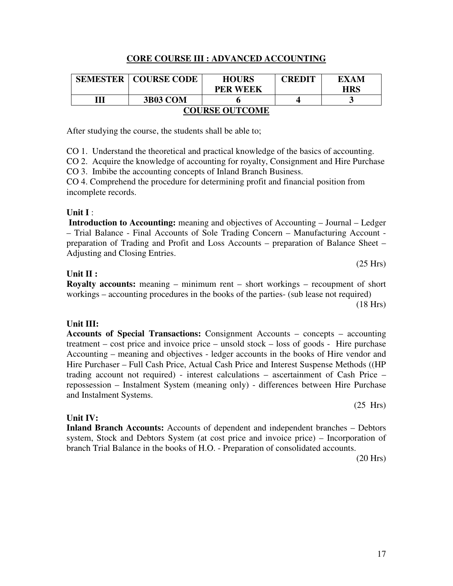### **CORE COURSE III : ADVANCED ACCOUNTING**

| <b>SEMESTER</b>       | <b>COURSE CODE</b> | <b>HOURS</b>    | <b>CREDIT</b> | EXAM       |  |
|-----------------------|--------------------|-----------------|---------------|------------|--|
|                       |                    | <b>PER WEEK</b> |               | <b>HRS</b> |  |
| Ш                     | <b>3B03 COM</b>    |                 |               |            |  |
| <b>COURSE OUTCOME</b> |                    |                 |               |            |  |

After studying the course, the students shall be able to;

CO 1. Understand the theoretical and practical knowledge of the basics of accounting.

CO 2. Acquire the knowledge of accounting for royalty, Consignment and Hire Purchase

CO 3. Imbibe the accounting concepts of Inland Branch Business.

CO 4. Comprehend the procedure for determining profit and financial position from incomplete records.

#### **Unit I** :

**Introduction to Accounting:** meaning and objectives of Accounting – Journal – Ledger – Trial Balance - Final Accounts of Sole Trading Concern – Manufacturing Account preparation of Trading and Profit and Loss Accounts – preparation of Balance Sheet – Adjusting and Closing Entries.

#### **Unit II :**

**Royalty accounts:** meaning – minimum rent – short workings – recoupment of short workings – accounting procedures in the books of the parties- (sub lease not required)

(18 Hrs)

(25 Hrs)

### **Unit III:**

**Accounts of Special Transactions:** Consignment Accounts – concepts – accounting treatment – cost price and invoice price – unsold stock – loss of goods - Hire purchase Accounting – meaning and objectives - ledger accounts in the books of Hire vendor and Hire Purchaser – Full Cash Price, Actual Cash Price and Interest Suspense Methods ((HP trading account not required) - interest calculations – ascertainment of Cash Price – repossession – Instalment System (meaning only) - differences between Hire Purchase and Instalment Systems.

(25 Hrs)

### **Unit IV:**

**Inland Branch Accounts:** Accounts of dependent and independent branches – Debtors system, Stock and Debtors System (at cost price and invoice price) – Incorporation of branch Trial Balance in the books of H.O. - Preparation of consolidated accounts.

(20 Hrs)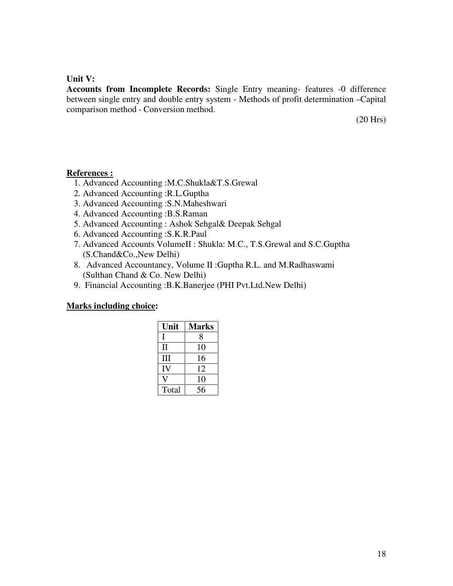### **Unit V:**

**Accounts from Incomplete Records:** Single Entry meaning- features -0 difference between single entry and double entry system - Methods of profit determination –Capital comparison method - Conversion method.

(20 Hrs)

### **References :**

- 1. Advanced Accounting :M.C.Shukla&T.S.Grewal
- 2. Advanced Accounting :R.L.Guptha
- 3. Advanced Accounting :S.N.Maheshwari
- 4. Advanced Accounting :B.S.Raman
- 5. Advanced Accounting : Ashok Sehgal& Deepak Sehgal
- 6. Advanced Accounting :S.K.R.Paul
- 7. Advanced Accounts VolumeII : Shukla: M.C., T.S.Grewal and S.C.Guptha (S.Chand&Co.,New Delhi)
- 8. Advanced Accountancy, Volume II :Guptha R.L. and M.Radhaswami (Sulthan Chand & Co. New Delhi)
- 9. Financial Accounting :B.K.Banerjee (PHI Pvt.Ltd.New Delhi)

| Unit         | <b>Marks</b> |
|--------------|--------------|
| L            | 8            |
| $\mathbf{I}$ | 10           |
| Ш            | 16           |
| IV           | 12           |
|              | 10           |
| Total        | 56           |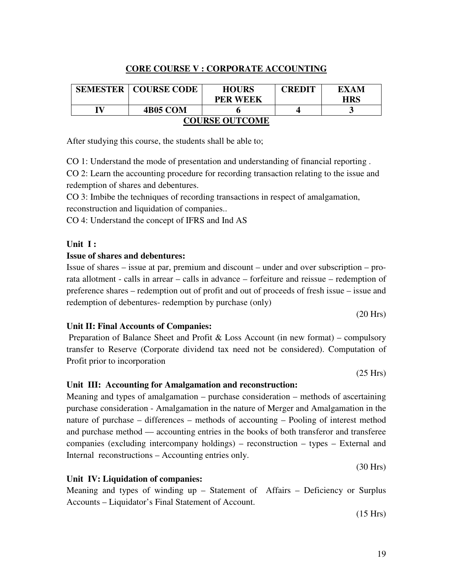# **CORE COURSE V : CORPORATE ACCOUNTING**

| <b>SEMESTER</b>       | <b>COURSE CODE</b> | <b>HOURS</b>    | CREDIT | EXAM       |  |
|-----------------------|--------------------|-----------------|--------|------------|--|
|                       |                    | <b>PER WEEK</b> |        | <b>HRS</b> |  |
| IV                    | <b>4B05 COM</b>    |                 |        |            |  |
| <b>COURSE OUTCOME</b> |                    |                 |        |            |  |

After studying this course, the students shall be able to;

CO 1: Understand the mode of presentation and understanding of financial reporting .

CO 2: Learn the accounting procedure for recording transaction relating to the issue and redemption of shares and debentures.

CO 3: Imbibe the techniques of recording transactions in respect of amalgamation, reconstruction and liquidation of companies..

CO 4: Understand the concept of IFRS and Ind AS

### **Unit I :**

#### **Issue of shares and debentures:**

Issue of shares – issue at par, premium and discount – under and over subscription – prorata allotment - calls in arrear – calls in advance – forfeiture and reissue – redemption of preference shares – redemption out of profit and out of proceeds of fresh issue – issue and redemption of debentures- redemption by purchase (only)

### **Unit II: Final Accounts of Companies:**

Preparation of Balance Sheet and Profit  $\&$  Loss Account (in new format) – compulsory transfer to Reserve (Corporate dividend tax need not be considered). Computation of Profit prior to incorporation

(25 Hrs)

(20 Hrs)

### **Unit III: Accounting for Amalgamation and reconstruction:**

Meaning and types of amalgamation – purchase consideration – methods of ascertaining purchase consideration - Amalgamation in the nature of Merger and Amalgamation in the nature of purchase – differences – methods of accounting – Pooling of interest method and purchase method –– accounting entries in the books of both transferor and transferee companies (excluding intercompany holdings) – reconstruction – types – External and Internal reconstructions – Accounting entries only.

(30 Hrs)

#### **Unit IV: Liquidation of companies:**

Meaning and types of winding up – Statement of Affairs – Deficiency or Surplus Accounts – Liquidator's Final Statement of Account.

(15 Hrs)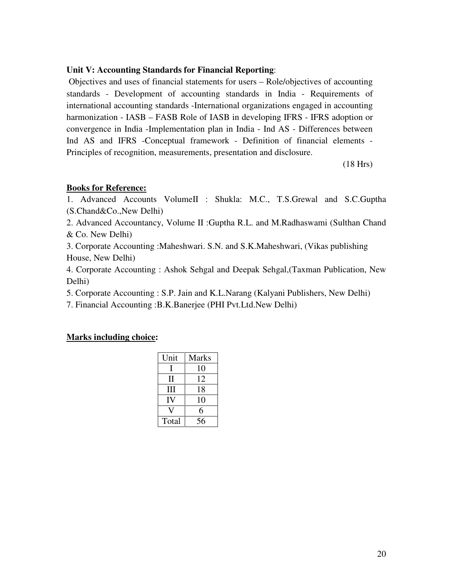### **Unit V: Accounting Standards for Financial Reporting**:

 Objectives and uses of financial statements for users – Role/objectives of accounting standards - Development of accounting standards in India - Requirements of international accounting standards -International organizations engaged in accounting harmonization - IASB – FASB Role of IASB in developing IFRS - IFRS adoption or convergence in India -Implementation plan in India - Ind AS - Differences between Ind AS and IFRS -Conceptual framework - Definition of financial elements - Principles of recognition, measurements, presentation and disclosure.

(18 Hrs)

### **Books for Reference:**

1. Advanced Accounts VolumeII : Shukla: M.C., T.S.Grewal and S.C.Guptha (S.Chand&Co.,New Delhi)

2. Advanced Accountancy, Volume II :Guptha R.L. and M.Radhaswami (Sulthan Chand & Co. New Delhi)

3. Corporate Accounting :Maheshwari. S.N. and S.K.Maheshwari, (Vikas publishing House, New Delhi)

4. Corporate Accounting : Ashok Sehgal and Deepak Sehgal,(Taxman Publication, New Delhi)

5. Corporate Accounting : S.P. Jain and K.L.Narang (Kalyani Publishers, New Delhi)

7. Financial Accounting :B.K.Banerjee (PHI Pvt.Ltd.New Delhi)

| Unit  | <b>Marks</b> |
|-------|--------------|
|       | 10           |
| Н     | 12           |
| Ш     | 18           |
| IV    | 10           |
|       | 6            |
| Total | 56           |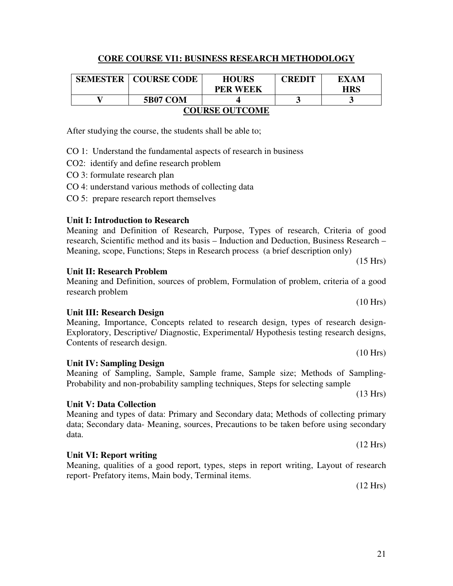# **CORE COURSE VI1: BUSINESS RESEARCH METHODOLOGY**

|                       | <b>SEMESTER   COURSE CODE</b> | <b>HOURS</b>    | <b>CREDIT</b> | EXAM       |  |
|-----------------------|-------------------------------|-----------------|---------------|------------|--|
|                       |                               | <b>PER WEEK</b> |               | <b>HRS</b> |  |
|                       | <b>5B07 COM</b>               |                 |               |            |  |
| <b>COURSE OUTCOME</b> |                               |                 |               |            |  |

After studying the course, the students shall be able to;

CO 1: Understand the fundamental aspects of research in business

CO2:identify and define research problem

- CO 3: formulate research plan
- CO 4: understand various methods of collecting data
- CO 5: prepare research report themselves

# **Unit I: Introduction to Research**

Meaning and Definition of Research, Purpose, Types of research, Criteria of good research, Scientific method and its basis – Induction and Deduction, Business Research – Meaning, scope, Functions; Steps in Research process (a brief description only)

# **Unit II: Research Problem**

Meaning and Definition, sources of problem, Formulation of problem, criteria of a good research problem

# **Unit III: Research Design**

Meaning, Importance, Concepts related to research design, types of research design-Exploratory, Descriptive/ Diagnostic, Experimental/ Hypothesis testing research designs, Contents of research design.

Meaning of Sampling, Sample, Sample frame, Sample size; Methods of Sampling-

Probability and non-probability sampling techniques, Steps for selecting sample

# **Unit IV: Sampling Design**

# **Unit V: Data Collection**

Meaning and types of data: Primary and Secondary data; Methods of collecting primary data; Secondary data- Meaning, sources, Precautions to be taken before using secondary data.

# **Unit VI: Report writing**

Meaning, qualities of a good report, types, steps in report writing, Layout of research report- Prefatory items, Main body, Terminal items.

(12 Hrs)

(10 Hrs)

(15 Hrs)

(10 Hrs)

(13 Hrs)

(12 Hrs)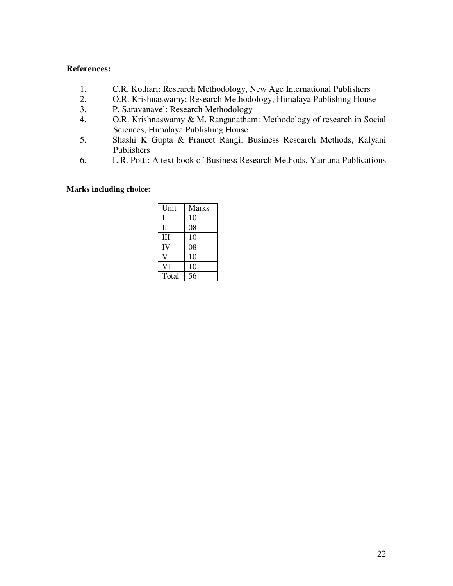### **References:**

- 1. C.R. Kothari: Research Methodology, New Age International Publishers<br>2. O.R. Krishnaswamy: Research Methodology, Himalaya Publishing House
- 2. O.R. Krishnaswamy: Research Methodology, Himalaya Publishing House
- 3. P. Saravanavel: Research Methodology
- 4. O.R. Krishnaswamy & M. Ranganatham: Methodology of research in Social Sciences, Himalaya Publishing House
- 5. Shashi K Gupta & Praneet Rangi: Business Research Methods, Kalyani Publishers
- 6. L.R. Potti: A text book of Business Research Methods, Yamuna Publications

| Unit     | <b>Marks</b> |
|----------|--------------|
| I        | 10           |
| $\rm II$ | 08           |
| Ш        | 10           |
| IV       | 08           |
|          | 10           |
| VI       | 10           |
| Total    | 56           |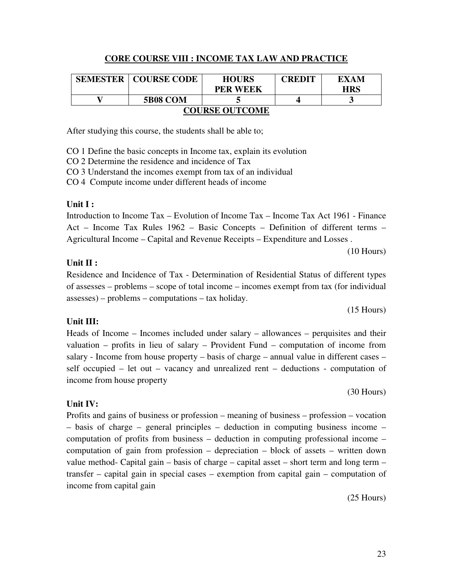# **CORE COURSE VIII : INCOME TAX LAW AND PRACTICE**

| <b>SEMESTER</b>       | <b>COURSE CODE</b> | <b>HOURS</b>    | <b>CREDIT</b> | EXAM |  |
|-----------------------|--------------------|-----------------|---------------|------|--|
|                       |                    | <b>PER WEEK</b> |               | HRS  |  |
|                       | <b>5B08 COM</b>    |                 |               |      |  |
| <b>COURSE OUTCOME</b> |                    |                 |               |      |  |

After studying this course, the students shall be able to;

CO 1 Define the basic concepts in Income tax, explain its evolution

CO 2 Determine the residence and incidence of Tax

CO 3 Understand the incomes exempt from tax of an individual

CO 4 Compute income under different heads of income

# **Unit I :**

Introduction to Income Tax – Evolution of Income Tax – Income Tax Act 1961 - Finance Act – Income Tax Rules 1962 – Basic Concepts – Definition of different terms – Agricultural Income – Capital and Revenue Receipts – Expenditure and Losses .

(10 Hours)

# **Unit II :**

Residence and Incidence of Tax - Determination of Residential Status of different types of assesses – problems – scope of total income – incomes exempt from tax (for individual assesses) – problems – computations – tax holiday.

(15 Hours)

# **Unit III:**

Heads of Income – Incomes included under salary – allowances – perquisites and their valuation – profits in lieu of salary – Provident Fund – computation of income from salary - Income from house property – basis of charge – annual value in different cases – self occupied – let out – vacancy and unrealized rent – deductions - computation of income from house property

(30 Hours)

# **Unit IV:**

Profits and gains of business or profession – meaning of business – profession – vocation – basis of charge – general principles – deduction in computing business income – computation of profits from business – deduction in computing professional income – computation of gain from profession – depreciation – block of assets – written down value method- Capital gain – basis of charge – capital asset – short term and long term – transfer – capital gain in special cases – exemption from capital gain – computation of income from capital gain

(25 Hours)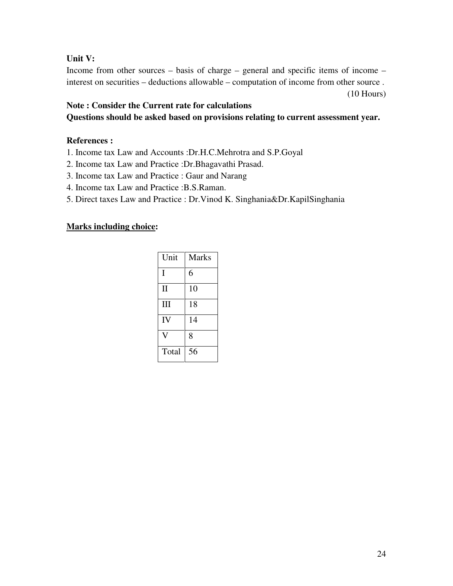# **Unit V:**

Income from other sources – basis of charge – general and specific items of income – interest on securities – deductions allowable – computation of income from other source . (10 Hours)

# **Note : Consider the Current rate for calculations Questions should be asked based on provisions relating to current assessment year.**

# **References :**

- 1. Income tax Law and Accounts :Dr.H.C.Mehrotra and S.P.Goyal
- 2. Income tax Law and Practice :Dr.Bhagavathi Prasad.
- 3. Income tax Law and Practice : Gaur and Narang
- 4. Income tax Law and Practice :B.S.Raman.
- 5. Direct taxes Law and Practice : Dr.Vinod K. Singhania&Dr.KapilSinghania

| Unit         | <b>Marks</b> |
|--------------|--------------|
| I            | 6            |
| $\mathbf{I}$ | 10           |
| Ш            | 18           |
| IV           | 14           |
|              | 8            |
| Total        | 56           |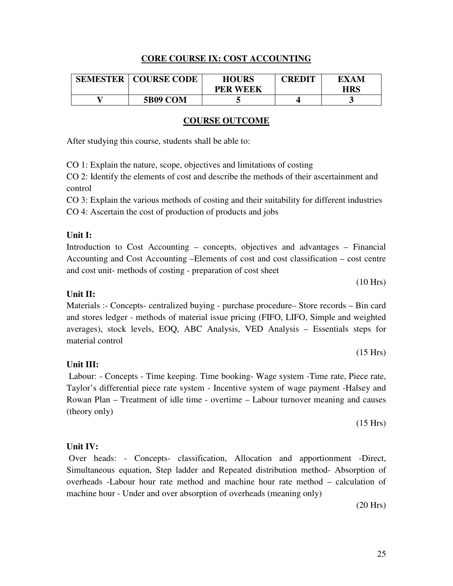### **CORE COURSE IX: COST ACCOUNTING**

| <b>SEMESTER</b> | <b>COURSE CODE</b> | <b>HOURS</b>    | CREDIT | EXAM |
|-----------------|--------------------|-----------------|--------|------|
|                 |                    | <b>PER WEEK</b> |        | HRS  |
|                 | <b>5B09 COM</b>    |                 |        |      |

#### **COURSE OUTCOME**

After studying this course, students shall be able to:

CO 1: Explain the nature, scope, objectives and limitations of costing

CO 2: Identify the elements of cost and describe the methods of their ascertainment and control

CO 3: Explain the various methods of costing and their suitability for different industries CO 4: Ascertain the cost of production of products and jobs

#### **Unit I:**

Introduction to Cost Accounting – concepts, objectives and advantages – Financial Accounting and Cost Accounting –Elements of cost and cost classification – cost centre and cost unit- methods of costing - preparation of cost sheet

(10 Hrs)

(15 Hrs)

#### **Unit II:**

Materials :- Concepts- centralized buying - purchase procedure– Store records – Bin card and stores ledger - methods of material issue pricing (FIFO, LIFO, Simple and weighted averages), stock levels, EOQ, ABC Analysis, VED Analysis – Essentials steps for material control

#### **Unit III:**

Labour: - Concepts - Time keeping. Time booking- Wage system -Time rate, Piece rate, Taylor's differential piece rate system - Incentive system of wage payment -Halsey and Rowan Plan – Treatment of idle time - overtime – Labour turnover meaning and causes (theory only)

(15 Hrs)

#### **Unit IV:**

 Over heads: - Concepts- classification, Allocation and apportionment -Direct, Simultaneous equation, Step ladder and Repeated distribution method- Absorption of overheads -Labour hour rate method and machine hour rate method – calculation of machine hour - Under and over absorption of overheads (meaning only)

(20 Hrs)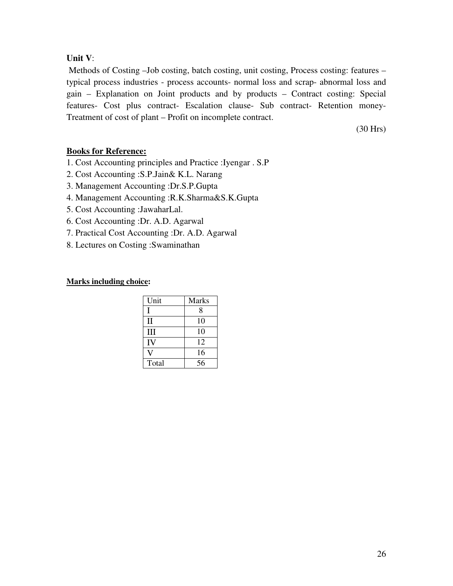### **Unit V**:

 Methods of Costing –Job costing, batch costing, unit costing, Process costing: features – typical process industries - process accounts- normal loss and scrap- abnormal loss and gain – Explanation on Joint products and by products – Contract costing: Special features- Cost plus contract- Escalation clause- Sub contract- Retention money-Treatment of cost of plant – Profit on incomplete contract.

(30 Hrs)

### **Books for Reference:**

- 1. Cost Accounting principles and Practice :Iyengar . S.P
- 2. Cost Accounting :S.P.Jain& K.L. Narang
- 3. Management Accounting :Dr.S.P.Gupta
- 4. Management Accounting :R.K.Sharma&S.K.Gupta
- 5. Cost Accounting :JawaharLal.
- 6. Cost Accounting :Dr. A.D. Agarwal
- 7. Practical Cost Accounting :Dr. A.D. Agarwal
- 8. Lectures on Costing :Swaminathan

| Unit         | <b>Marks</b> |
|--------------|--------------|
| $\mathbf{I}$ | 8            |
| $\mathbf{I}$ | 10           |
| Ш            | 10           |
| IV           | 12           |
|              | 16           |
| Total        | 56           |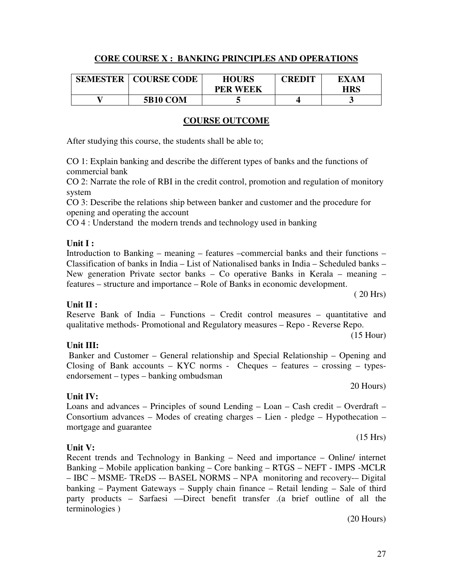# **CORE COURSE X : BANKING PRINCIPLES AND OPERATIONS**

| <b>SEMESTER</b> | <b>COURSE CODE</b> | <b>HOURS</b><br><b>PER WEEK</b> | <b>CREDIT</b> | EXAM<br><b>HRS</b> |
|-----------------|--------------------|---------------------------------|---------------|--------------------|
|                 | <b>5B10 COM</b>    |                                 |               | ີ                  |

# **COURSE OUTCOME**

After studying this course, the students shall be able to;

CO 1: Explain banking and describe the different types of banks and the functions of commercial bank

CO 2: Narrate the role of RBI in the credit control, promotion and regulation of monitory system

CO 3: Describe the relations ship between banker and customer and the procedure for opening and operating the account

CO 4 : Understand the modern trends and technology used in banking

### **Unit I :**

Introduction to Banking – meaning – features –commercial banks and their functions – Classification of banks in India – List of Nationalised banks in India – Scheduled banks – New generation Private sector banks – Co operative Banks in Kerala – meaning – features – structure and importance – Role of Banks in economic development.

### **Unit II :**

Reserve Bank of India – Functions – Credit control measures – quantitative and qualitative methods- Promotional and Regulatory measures – Repo - Reverse Repo.

(15 Hour)

( 20 Hrs)

# **Unit III:**

Banker and Customer – General relationship and Special Relationship – Opening and Closing of Bank accounts – KYC norms - Cheques – features – crossing – typesendorsement – types – banking ombudsman

### **Unit IV:**

Loans and advances – Principles of sound Lending – Loan – Cash credit – Overdraft – Consortium advances – Modes of creating charges – Lien - pledge – Hypothecation – mortgage and guarantee

# **Unit V:**

Recent trends and Technology in Banking – Need and importance – Online/ internet Banking – Mobile application banking – Core banking – RTGS – NEFT - IMPS -MCLR – IBC – MSME- TReDS -– BASEL NORMS – NPA monitoring and recovery-– Digital banking – Payment Gateways – Supply chain finance – Retail lending – Sale of third party products – Sarfaesi ––Direct benefit transfer .(a brief outline of all the terminologies )

(20 Hours)

20 Hours)

(15 Hrs)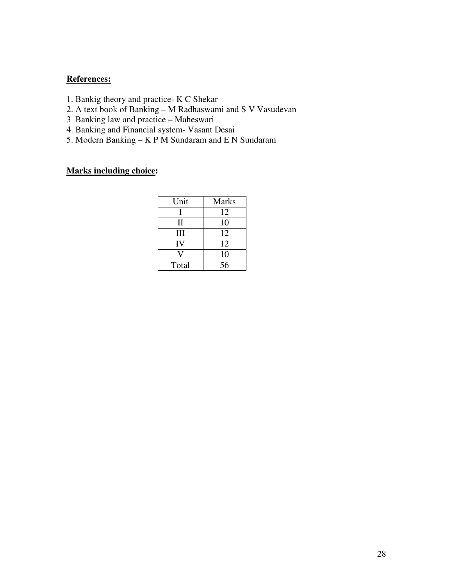# **References:**

- 1. Bankig theory and practice- K C Shekar
- 2. A text book of Banking M Radhaswami and S V Vasudevan
- 3 Banking law and practice Maheswari
- 4. Banking and Financial system- Vasant Desai
- 5. Modern Banking K P M Sundaram and E N Sundaram

| Unit  | <b>Marks</b> |
|-------|--------------|
|       | 12           |
| П     | 10           |
| Ш     | 12           |
| IV    | 12           |
|       | 10           |
| Total | 56           |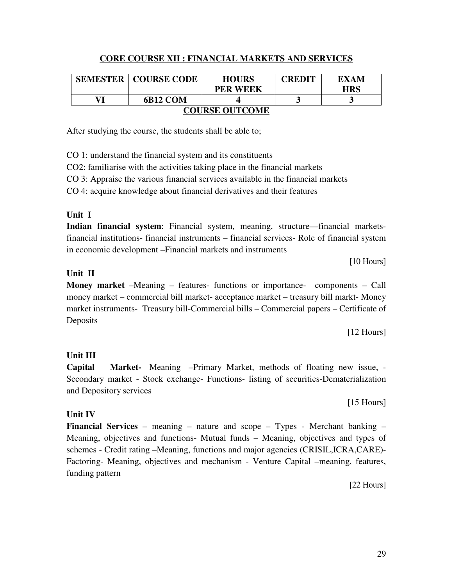# **CORE COURSE XII : FINANCIAL MARKETS AND SERVICES**

|                       | <b>SEMESTER   COURSE CODE</b> | <b>HOURS</b>    | <b>CREDIT</b> | EXAM       |
|-----------------------|-------------------------------|-----------------|---------------|------------|
|                       |                               | <b>PER WEEK</b> |               | <b>HRS</b> |
| VI                    | 6B12 COM                      |                 |               |            |
| <b>COURSE OUTCOME</b> |                               |                 |               |            |

After studying the course, the students shall be able to;

CO 1: understand the financial system and its constituents

CO2: familiarise with the activities taking place in the financial markets

CO 3: Appraise the various financial services available in the financial markets

CO 4: acquire knowledge about financial derivatives and their features

# **Unit I**

**Indian financial system**: Financial system, meaning, structure—financial marketsfinancial institutions- financial instruments – financial services- Role of financial system in economic development –Financial markets and instruments

[10 Hours]

# **Unit II**

**Money market** –Meaning – features- functions or importance- components – Call money market – commercial bill market- acceptance market – treasury bill markt- Money market instruments- Treasury bill-Commercial bills – Commercial papers – Certificate of **Deposits** 

[12 Hours]

# **Unit III**

**Capital Market-** Meaning –Primary Market, methods of floating new issue, - Secondary market - Stock exchange- Functions- listing of securities-Dematerialization and Depository services

[15 Hours]

# **Unit IV**

**Financial Services** – meaning – nature and scope – Types - Merchant banking – Meaning, objectives and functions- Mutual funds – Meaning, objectives and types of schemes - Credit rating –Meaning, functions and major agencies (CRISIL,ICRA,CARE)- Factoring- Meaning, objectives and mechanism - Venture Capital –meaning, features, funding pattern

[22 Hours]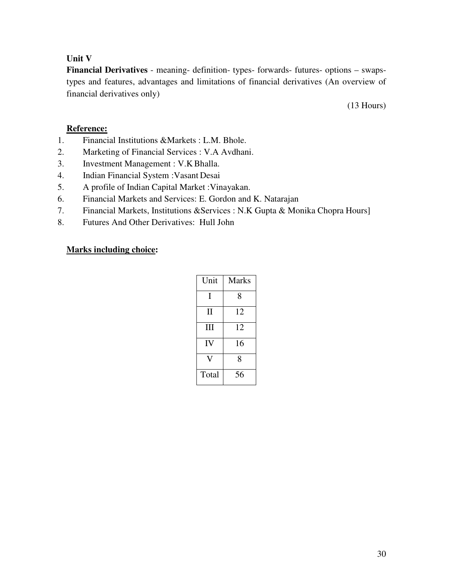# **Unit V**

**Financial Derivatives** - meaning- definition- types- forwards- futures- options – swapstypes and features, advantages and limitations of financial derivatives (An overview of financial derivatives only)

(13 Hours)

# **Reference:**

- 1. Financial Institutions &Markets : L.M. Bhole.
- 2. Marketing of Financial Services : V.A Avdhani.
- 3. Investment Management : V.K Bhalla.
- 4. Indian Financial System :Vasant Desai
- 5. A profile of Indian Capital Market :Vinayakan.
- 6. Financial Markets and Services: E. Gordon and K. Natarajan
- 7. Financial Markets, Institutions &Services : N.K Gupta & Monika Chopra Hours]
- 8. Futures And Other Derivatives: Hull John

| Unit         | Marks |
|--------------|-------|
| T            | 8     |
| $\mathbf{I}$ | 12    |
| Ш            | 12    |
| IV           | 16    |
|              | 8     |
| Total        | 56    |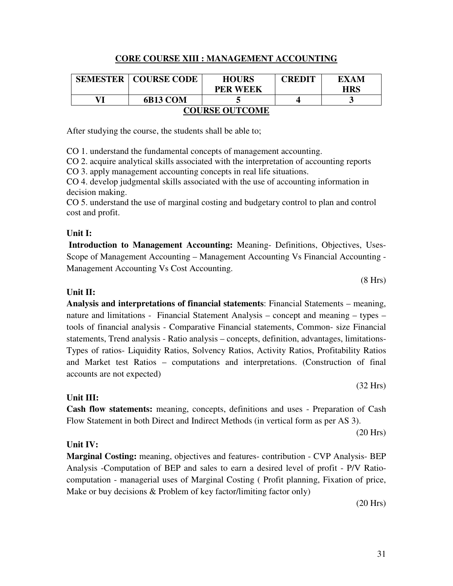# **CORE COURSE XIII : MANAGEMENT ACCOUNTING**

|                       | <b>SEMESTER   COURSE CODE</b> | <b>HOURS</b><br><b>PER WEEK</b> | <b>CREDIT</b> | EXAM<br><b>HRS</b> |
|-----------------------|-------------------------------|---------------------------------|---------------|--------------------|
| VI                    |                               |                                 |               |                    |
|                       | 6B13 COM                      |                                 |               |                    |
| <b>COURSE OUTCOME</b> |                               |                                 |               |                    |

After studying the course, the students shall be able to;

CO 1. understand the fundamental concepts of management accounting.

CO 2. acquire analytical skills associated with the interpretation of accounting reports CO 3. apply management accounting concepts in real life situations.

CO 4. develop judgmental skills associated with the use of accounting information in decision making.

CO 5. understand the use of marginal costing and budgetary control to plan and control cost and profit.

### **Unit I:**

 **Introduction to Management Accounting:** Meaning- Definitions, Objectives, Uses-Scope of Management Accounting – Management Accounting Vs Financial Accounting -Management Accounting Vs Cost Accounting.

### **Unit II:**

**Analysis and interpretations of financial statements**: Financial Statements – meaning, nature and limitations - Financial Statement Analysis – concept and meaning – types – tools of financial analysis - Comparative Financial statements, Common- size Financial statements, Trend analysis - Ratio analysis – concepts, definition, advantages, limitations-Types of ratios- Liquidity Ratios, Solvency Ratios, Activity Ratios, Profitability Ratios and Market test Ratios – computations and interpretations. (Construction of final accounts are not expected)

### **Unit III:**

**Cash flow statements:** meaning, concepts, definitions and uses - Preparation of Cash Flow Statement in both Direct and Indirect Methods (in vertical form as per AS 3).

(20 Hrs)

### **Unit IV:**

**Marginal Costing:** meaning, objectives and features- contribution - CVP Analysis- BEP Analysis -Computation of BEP and sales to earn a desired level of profit - P/V Ratiocomputation - managerial uses of Marginal Costing ( Profit planning, Fixation of price, Make or buy decisions & Problem of key factor/limiting factor only)

(20 Hrs)

(8 Hrs)

(32 Hrs)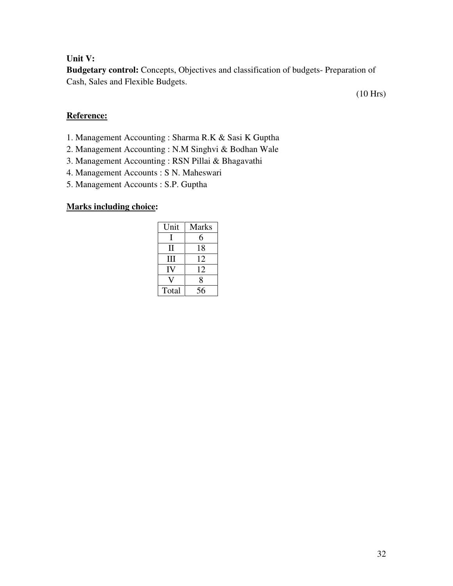### **Unit V:**

**Budgetary control:** Concepts, Objectives and classification of budgets- Preparation of Cash, Sales and Flexible Budgets.

(10 Hrs)

# **Reference:**

- 1. Management Accounting : Sharma R.K & Sasi K Guptha
- 2. Management Accounting : N.M Singhvi & Bodhan Wale
- 3. Management Accounting : RSN Pillai & Bhagavathi
- 4. Management Accounts : S N. Maheswari
- 5. Management Accounts : S.P. Guptha

| Unit  | <b>Marks</b> |
|-------|--------------|
|       | 6            |
| Н     | 18           |
| Ш     | 12           |
| IV    | 12           |
|       | 8            |
| Total | 56           |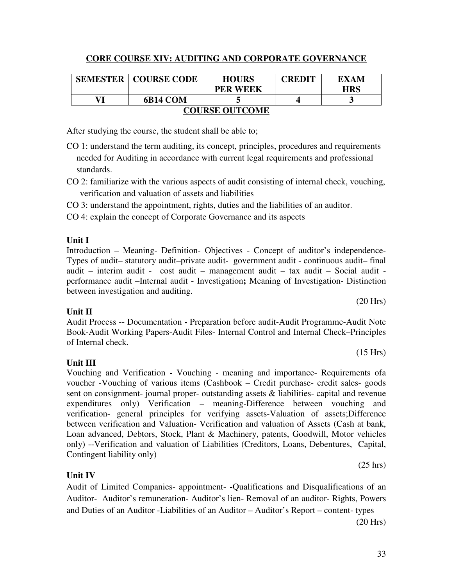# **CORE COURSE XIV: AUDITING AND CORPORATE GOVERNANCE**

| <b>SEMESTER</b>       | <b>COURSE CODE</b> | <b>HOURS</b>    | <b>CREDIT</b> | EXAM       |
|-----------------------|--------------------|-----------------|---------------|------------|
|                       |                    | <b>PER WEEK</b> |               | <b>HRS</b> |
| VI                    | 6B14 COM           |                 |               |            |
| <b>COURSE OUTCOME</b> |                    |                 |               |            |

After studying the course, the student shall be able to;

CO 1: understand the term auditing, its concept, principles, procedures and requirements needed for Auditing in accordance with current legal requirements and professional standards.

CO 2: familiarize with the various aspects of audit consisting of internal check, vouching, verification and valuation of assets and liabilities

CO 3: understand the appointment, rights, duties and the liabilities of an auditor.

CO 4: explain the concept of Corporate Governance and its aspects

# **Unit I**

Introduction – Meaning- Definition- Objectives - Concept of auditor's independence-Types of audit– statutory audit–private audit- government audit - continuous audit– final audit – interim audit - cost audit – management audit – tax audit – Social audit performance audit –Internal audit - Investigation**;** Meaning of Investigation- Distinction between investigation and auditing.

# **Unit II**

Audit Process -- Documentation **-** Preparation before audit-Audit Programme-Audit Note Book-Audit Working Papers-Audit Files- Internal Control and Internal Check–Principles of Internal check.

# **Unit III**

### Vouching and Verification **-** Vouching - meaning and importance- Requirements ofa voucher -Vouching of various items (Cashbook – Credit purchase- credit sales- goods sent on consignment- journal proper- outstanding assets & liabilities- capital and revenue expenditures only) Verification – meaning-Difference between vouching and verification- general principles for verifying assets-Valuation of assets;Difference between verification and Valuation- Verification and valuation of Assets (Cash at bank, Loan advanced, Debtors, Stock, Plant & Machinery, patents, Goodwill, Motor vehicles only) --Verification and valuation of Liabilities (Creditors, Loans, Debentures, Capital, Contingent liability only) (25 hrs)

# **Unit IV**

Audit of Limited Companies- appointment- **-**Qualifications and Disqualifications of an Auditor- Auditor's remuneration- Auditor's lien- Removal of an auditor- Rights, Powers and Duties of an Auditor -Liabilities of an Auditor – Auditor's Report – content- types

(20 Hrs)

(20 Hrs)

(15 Hrs)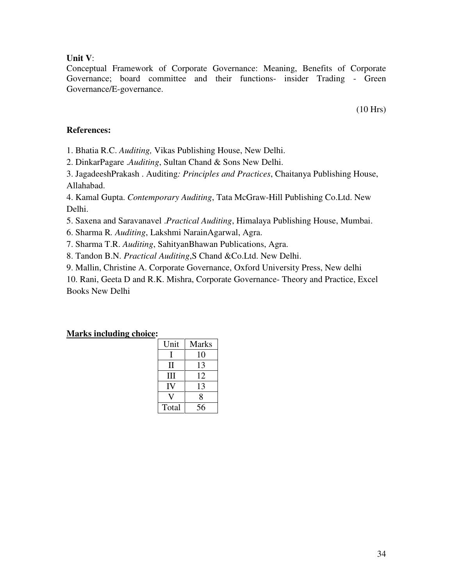### **Unit V**:

Conceptual Framework of Corporate Governance: Meaning, Benefits of Corporate Governance; board committee and their functions- insider Trading - Green Governance/E-governance.

(10 Hrs)

### **References:**

1. Bhatia R.C. *Auditing,* Vikas Publishing House, New Delhi.

2. DinkarPagare .*Auditing*, Sultan Chand & Sons New Delhi.

3. JagadeeshPrakash . Auditing*: Principles and Practices*, Chaitanya Publishing House, Allahabad.

4. Kamal Gupta. *Contemporary Auditing*, Tata McGraw-Hill Publishing Co.Ltd. New Delhi.

5. Saxena and Saravanavel .*Practical Auditing*, Himalaya Publishing House, Mumbai.

6. Sharma R*. Auditing*, Lakshmi NarainAgarwal, Agra.

7. Sharma T.R. *Auditing*, SahityanBhawan Publications, Agra.

8. Tandon B.N. *Practical Auditing*,S Chand &Co.Ltd. New Delhi.

9. Mallin, Christine A. Corporate Governance, Oxford University Press, New delhi

10. Rani, Geeta D and R.K. Mishra, Corporate Governance- Theory and Practice, Excel Books New Delhi

| Unit  | <b>Marks</b> |
|-------|--------------|
|       | 10           |
| Н     | 13           |
| Ш     | 12           |
| IV    | 13           |
|       | 8            |
| Total | 56           |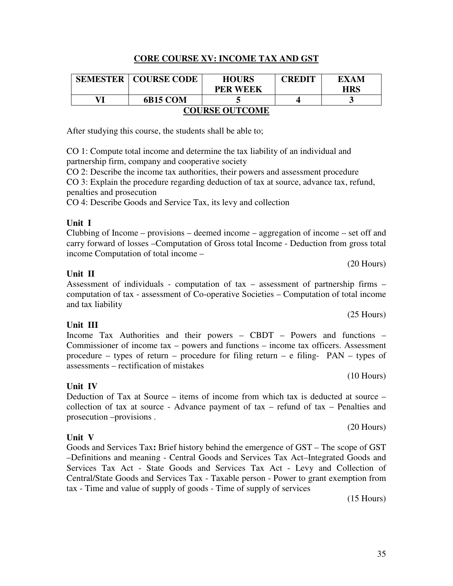# **CORE COURSE XV: INCOME TAX AND GST**

| <b>SEMESTER</b>       | <b>COURSE CODE</b> | <b>HOURS</b><br><b>PER WEEK</b> | <b>CREDIT</b> | EXAM<br><b>HRS</b> |  |
|-----------------------|--------------------|---------------------------------|---------------|--------------------|--|
| VI                    | 6B15 COM           |                                 |               |                    |  |
| <b>COURSE OUTCOME</b> |                    |                                 |               |                    |  |

After studying this course, the students shall be able to;

CO 1: Compute total income and determine the tax liability of an individual and partnership firm, company and cooperative society

CO 2: Describe the income tax authorities, their powers and assessment procedure

CO 3: Explain the procedure regarding deduction of tax at source, advance tax, refund, penalties and prosecution

CO 4: Describe Goods and Service Tax, its levy and collection

#### **Unit I**

Clubbing of Income – provisions – deemed income – aggregation of income – set off and carry forward of losses –Computation of Gross total Income - Deduction from gross total income Computation of total income –

#### **Unit II**

Assessment of individuals - computation of tax – assessment of partnership firms – computation of tax - assessment of Co-operative Societies – Computation of total income and tax liability

#### **Unit III**

Income Tax Authorities and their powers – CBDT – Powers and functions – Commissioner of income tax – powers and functions – income tax officers. Assessment procedure – types of return – procedure for filing return – e filing-  $PAN - types$  of assessments – rectification of mistakes

**Unit IV** 

Deduction of Tax at Source – items of income from which tax is deducted at source – collection of tax at source - Advance payment of tax – refund of tax – Penalties and prosecution –provisions .

#### **Unit V**

Goods and Services Tax**:** Brief history behind the emergence of GST – The scope of GST –Definitions and meaning - Central Goods and Services Tax Act–Integrated Goods and Services Tax Act - State Goods and Services Tax Act - Levy and Collection of Central/State Goods and Services Tax - Taxable person - Power to grant exemption from tax - Time and value of supply of goods - Time of supply of services

(15 Hours)

(25 Hours)

(10 Hours)

(20 Hours)

(20 Hours)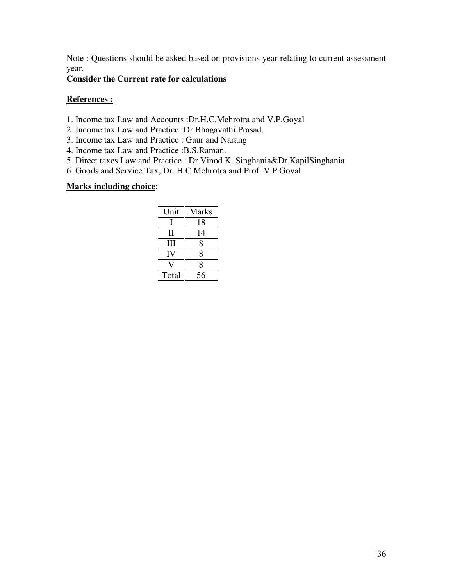Note : Questions should be asked based on provisions year relating to current assessment year.

#### **Consider the Current rate for calculations**

#### **References :**

- 1. Income tax Law and Accounts :Dr.H.C.Mehrotra and V.P.Goyal
- 2. Income tax Law and Practice :Dr.Bhagavathi Prasad.
- 3. Income tax Law and Practice : Gaur and Narang
- 4. Income tax Law and Practice :B.S.Raman.
- 5. Direct taxes Law and Practice : Dr.Vinod K. Singhania&Dr.KapilSinghania
- 6. Goods and Service Tax, Dr. H C Mehrotra and Prof. V.P.Goyal

| Unit  | <b>Marks</b> |
|-------|--------------|
|       | 18           |
| Н     | 14           |
| Ш     | 8            |
| IV    | 8            |
|       | 8            |
| Total | 56           |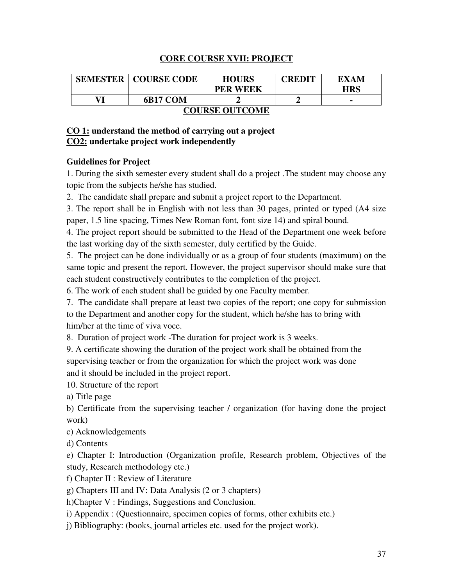#### **CORE COURSE XVII: PROJECT**

| <b>SEMESTER</b>       | <b>COURSE CODE</b> | <b>HOURS</b>    | <b>CREDIT</b> | EXAM           |  |
|-----------------------|--------------------|-----------------|---------------|----------------|--|
|                       |                    | <b>PER WEEK</b> |               | <b>HRS</b>     |  |
|                       | 6B17 COM           |                 |               | $\blacksquare$ |  |
| <b>COURSE OUTCOME</b> |                    |                 |               |                |  |

#### **CO 1: understand the method of carrying out a project CO2: undertake project work independently**

#### **Guidelines for Project**

1. During the sixth semester every student shall do a project .The student may choose any topic from the subjects he/she has studied.

2. The candidate shall prepare and submit a project report to the Department.

3. The report shall be in English with not less than 30 pages, printed or typed (A4 size paper, 1.5 line spacing, Times New Roman font, font size 14) and spiral bound.

4. The project report should be submitted to the Head of the Department one week before the last working day of the sixth semester, duly certified by the Guide.

5. The project can be done individually or as a group of four students (maximum) on the same topic and present the report. However, the project supervisor should make sure that each student constructively contributes to the completion of the project.

6. The work of each student shall be guided by one Faculty member.

7. The candidate shall prepare at least two copies of the report; one copy for submission to the Department and another copy for the student, which he/she has to bring with him/her at the time of viva voce.

8. Duration of project work -The duration for project work is 3 weeks.

9. A certificate showing the duration of the project work shall be obtained from the supervising teacher or from the organization for which the project work was done and it should be included in the project report.

10. Structure of the report

a) Title page

b) Certificate from the supervising teacher / organization (for having done the project work)

c) Acknowledgements

d) Contents

e) Chapter I: Introduction (Organization profile, Research problem, Objectives of the study, Research methodology etc.)

f) Chapter II : Review of Literature

g) Chapters III and IV: Data Analysis (2 or 3 chapters)

h)Chapter V : Findings, Suggestions and Conclusion.

i) Appendix : (Questionnaire, specimen copies of forms, other exhibits etc.)

j) Bibliography: (books, journal articles etc. used for the project work).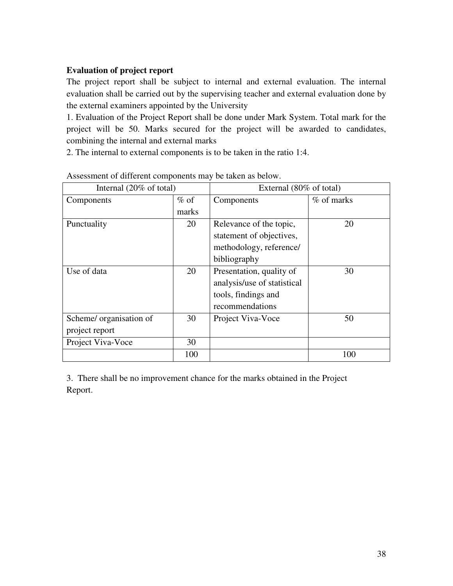#### **Evaluation of project report**

The project report shall be subject to internal and external evaluation. The internal evaluation shall be carried out by the supervising teacher and external evaluation done by the external examiners appointed by the University

1. Evaluation of the Project Report shall be done under Mark System. Total mark for the project will be 50. Marks secured for the project will be awarded to candidates, combining the internal and external marks

2. The internal to external components is to be taken in the ratio 1:4.

| Internal $(20\% \text{ of total})$ |         | External (80% of total)     |            |
|------------------------------------|---------|-----------------------------|------------|
| Components                         | $\%$ of | Components                  | % of marks |
|                                    | marks   |                             |            |
| Punctuality                        | 20      | Relevance of the topic,     | 20         |
|                                    |         | statement of objectives,    |            |
|                                    |         | methodology, reference/     |            |
|                                    |         | bibliography                |            |
| Use of data                        | 20      | Presentation, quality of    | 30         |
|                                    |         | analysis/use of statistical |            |
|                                    |         | tools, findings and         |            |
|                                    |         | recommendations             |            |
| Scheme/ organisation of            | 30      | Project Viva-Voce           | 50         |
| project report                     |         |                             |            |
| Project Viva-Voce                  | 30      |                             |            |
|                                    | 100     |                             | 100        |

Assessment of different components may be taken as below.

3. There shall be no improvement chance for the marks obtained in the Project Report.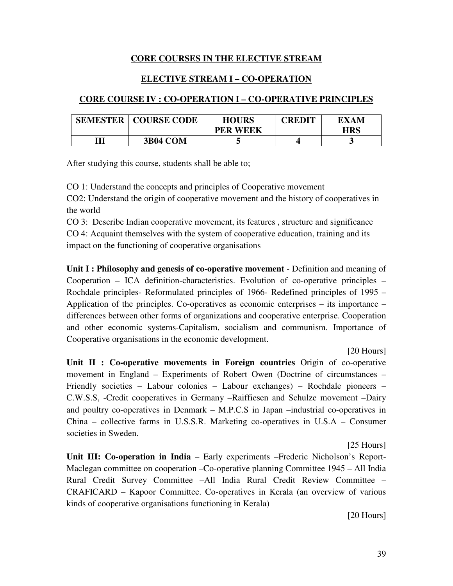#### **CORE COURSES IN THE ELECTIVE STREAM**

#### **ELECTIVE STREAM I – CO-OPERATION**

#### **CORE COURSE IV : CO-OPERATION I – CO-OPERATIVE PRINCIPLES**

| <b>SEMESTER</b> | <b>COURSE CODE</b> | <b>HOURS</b><br><b>PER WEEK</b> | CREDIT | EXAM<br>HRS |
|-----------------|--------------------|---------------------------------|--------|-------------|
| Ŵ               | <b>3B04 COM</b>    |                                 |        |             |

After studying this course, students shall be able to;

CO 1: Understand the concepts and principles of Cooperative movement

CO2: Understand the origin of cooperative movement and the history of cooperatives in the world

CO 3: Describe Indian cooperative movement, its features , structure and significance CO 4: Acquaint themselves with the system of cooperative education, training and its impact on the functioning of cooperative organisations

**Unit I : Philosophy and genesis of co-operative movement** - Definition and meaning of Cooperation – ICA definition-characteristics. Evolution of co-operative principles – Rochdale principles- Reformulated principles of 1966- Redefined principles of 1995 – Application of the principles. Co-operatives as economic enterprises – its importance – differences between other forms of organizations and cooperative enterprise. Cooperation and other economic systems-Capitalism, socialism and communism. Importance of Cooperative organisations in the economic development.

[20 Hours]

**Unit II : Co-operative movements in Foreign countries** Origin of co-operative movement in England – Experiments of Robert Owen (Doctrine of circumstances – Friendly societies – Labour colonies – Labour exchanges) – Rochdale pioneers – C.W.S.S, -Credit cooperatives in Germany –Raiffiesen and Schulze movement –Dairy and poultry co-operatives in Denmark – M.P.C.S in Japan –industrial co-operatives in China – collective farms in U.S.S.R. Marketing co-operatives in U.S.A – Consumer societies in Sweden.

[25 Hours]

**Unit III: Co-operation in India** – Early experiments –Frederic Nicholson's Report-Maclegan committee on cooperation –Co-operative planning Committee 1945 – All India Rural Credit Survey Committee –All India Rural Credit Review Committee – CRAFICARD – Kapoor Committee. Co-operatives in Kerala (an overview of various kinds of cooperative organisations functioning in Kerala)

[20 Hours]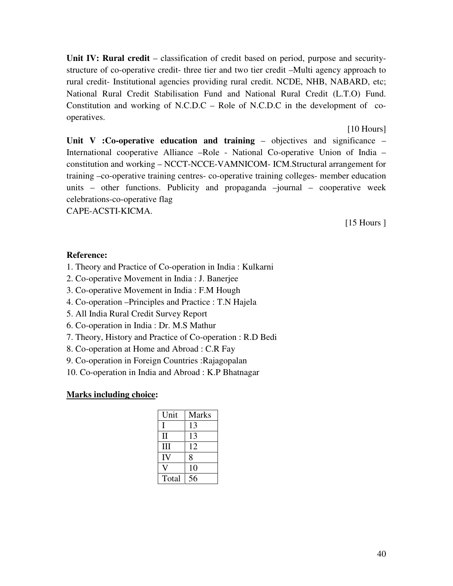**Unit IV: Rural credit** – classification of credit based on period, purpose and securitystructure of co-operative credit- three tier and two tier credit –Multi agency approach to rural credit- Institutional agencies providing rural credit. NCDE, NHB, NABARD, etc; National Rural Credit Stabilisation Fund and National Rural Credit (L.T.O) Fund. Constitution and working of N.C.D.C – Role of N.C.D.C in the development of cooperatives.

[10 Hours]

**Unit V :Co-operative education and training** – objectives and significance – International cooperative Alliance –Role - National Co-operative Union of India – constitution and working – NCCT-NCCE-VAMNICOM- ICM.Structural arrangement for training –co-operative training centres- co-operative training colleges- member education units – other functions. Publicity and propaganda –journal – cooperative week celebrations-co-operative flag

CAPE-ACSTI-KICMA.

[15 Hours ]

#### **Reference:**

- 1. Theory and Practice of Co-operation in India : Kulkarni
- 2. Co-operative Movement in India : J. Banerjee
- 3. Co-operative Movement in India : F.M Hough
- 4. Co-operation –Principles and Practice : T.N Hajela
- 5. All India Rural Credit Survey Report
- 6. Co-operation in India : Dr. M.S Mathur
- 7. Theory, History and Practice of Co-operation : R.D Bedi
- 8. Co-operation at Home and Abroad : C.R Fay
- 9. Co-operation in Foreign Countries :Rajagopalan
- 10. Co-operation in India and Abroad : K.P Bhatnagar

| Unit  | <b>Marks</b> |
|-------|--------------|
|       | 13           |
| П     | 13           |
| Ш     | 12           |
| IV    | 8            |
|       | 10           |
| Total | 56           |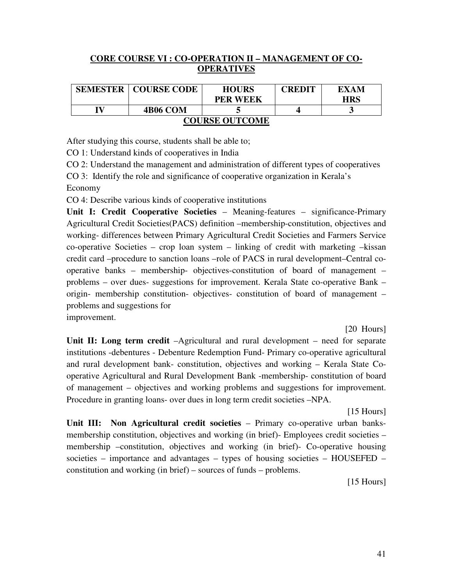#### **CORE COURSE VI : CO-OPERATION II – MANAGEMENT OF CO-OPERATIVES**

| <b>SEMESTER</b>       | <b>COURSE CODE</b> | <b>HOURS</b>    | CREDIT | EXAM |  |
|-----------------------|--------------------|-----------------|--------|------|--|
|                       |                    | <b>PER WEEK</b> |        | HRS  |  |
| г                     | <b>4B06 COM</b>    |                 |        |      |  |
| <b>COURSE OUTCOME</b> |                    |                 |        |      |  |

After studying this course, students shall be able to;

CO 1: Understand kinds of cooperatives in India

CO 2: Understand the management and administration of different types of cooperatives

CO 3: Identify the role and significance of cooperative organization in Kerala's Economy

CO 4: Describe various kinds of cooperative institutions

**Unit I: Credit Cooperative Societies** – Meaning-features – significance-Primary Agricultural Credit Societies(PACS) definition –membership-constitution, objectives and working- differences between Primary Agricultural Credit Societies and Farmers Service co-operative Societies – crop loan system – linking of credit with marketing –kissan credit card –procedure to sanction loans –role of PACS in rural development–Central cooperative banks – membership- objectives-constitution of board of management – problems – over dues- suggestions for improvement. Kerala State co-operative Bank – origin- membership constitution- objectives- constitution of board of management – problems and suggestions for

improvement.

[20 Hours]

**Unit II: Long term credit** –Agricultural and rural development – need for separate institutions -debentures - Debenture Redemption Fund- Primary co-operative agricultural and rural development bank- constitution, objectives and working – Kerala State Cooperative Agricultural and Rural Development Bank -membership- constitution of board of management – objectives and working problems and suggestions for improvement. Procedure in granting loans- over dues in long term credit societies –NPA.

[15 Hours]

**Unit III: Non Agricultural credit societies** – Primary co-operative urban banksmembership constitution, objectives and working (in brief)- Employees credit societies – membership –constitution, objectives and working (in brief)- Co-operative housing societies – importance and advantages – types of housing societies – HOUSEFED – constitution and working (in brief) – sources of funds – problems.

[15 Hours]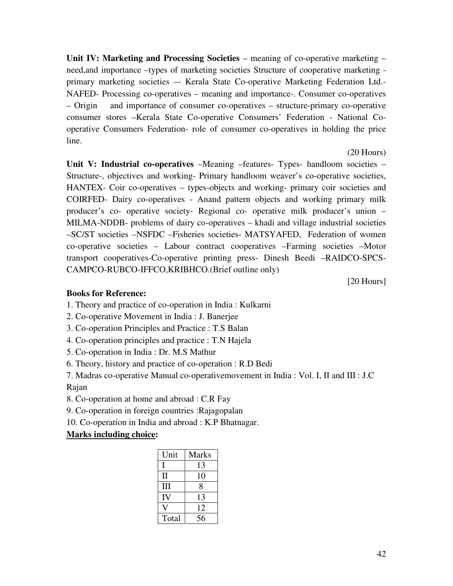**Unit IV: Marketing and Processing Societies** – meaning of co-operative marketing – need,and importance –types of marketing societies Structure of cooperative marketing primary marketing societies –- Kerala State Co-operative Marketing Federation Ltd.- NAFED- Processing co-operatives – meaning and importance-. Consumer co-operatives – Origin and importance of consumer co-operatives – structure-primary co-operative consumer stores –Kerala State Co-operative Consumers' Federation - National Cooperative Consumers Federation- role of consumer co-operatives in holding the price line.

**Unit V: Industrial co-operatives** –Meaning –features- Types- handloom societies – Structure-, objectives and working- Primary handloom weaver's co-operative societies, HANTEX- Coir co-operatives – types-objects and working- primary coir societies and COIRFED- Dairy co-operatives - Anand pattern objects and working primary milk producer's co- operative society- Regional co- operative milk producer's union – MILMA-NDDB- problems of dairy co-operatives – khadi and village industrial societies –SC/ST societies –NSFDC –Fisheries societies- MATSYAFED, Federation of women co-operative societies – Labour contract cooperatives –Farming societies –Motor transport cooperatives-Co-operative printing press- Dinesh Beedi –RAIDCO-SPCS-CAMPCO-RUBCO-IFFCO,KRIBHCO.(Brief outline only)

[20 Hours]

(20 Hours)

#### **Books for Reference:**

1. Theory and practice of co-operation in India : Kulkarni

- 2. Co-operative Movement in India : J. Banerjee
- 3. Co-operation Principles and Practice : T.S Balan
- 4. Co-operation principles and practice : T.N Hajela
- 5. Co-operation in India : Dr. M.S Mathur
- 6. Theory, history and practice of co-operation : R.D Bedi

7. Madras co-operative Manual co-operativemovement in India : Vol. I, II and III : J.C Rajan

- 8. Co-operation at home and abroad : C.R Fay
- 9. Co-operation in foreign countries :Rajagopalan
- 10. Co-operation in India and abroad : K.P Bhatnagar.

| Unit  | <b>Marks</b> |
|-------|--------------|
|       | 13           |
| Н     | 10           |
| Ш     | 8            |
| IV    | 13           |
|       | 12           |
| Total | 56           |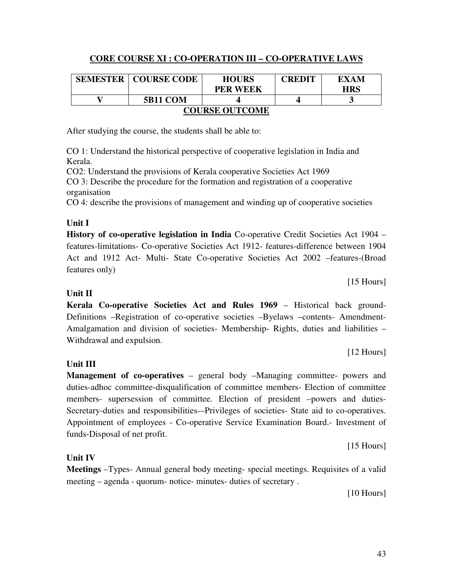# **CORE COURSE XI : CO-OPERATION III – CO-OPERATIVE LAWS**

|                       | <b>SEMESTER   COURSE CODE</b> | <b>HOURS</b><br><b>PER WEEK</b> | <b>CREDIT</b> | EXAM<br><b>HRS</b> |  |
|-----------------------|-------------------------------|---------------------------------|---------------|--------------------|--|
|                       | <b>5B11 COM</b>               |                                 |               |                    |  |
| <b>COURSE OUTCOME</b> |                               |                                 |               |                    |  |

After studying the course, the students shall be able to:

CO 1: Understand the historical perspective of cooperative legislation in India and Kerala.

CO2: Understand the provisions of Kerala cooperative Societies Act 1969 CO 3: Describe the procedure for the formation and registration of a cooperative organisation

CO 4: describe the provisions of management and winding up of cooperative societies

#### **Unit I**

**History of co-operative legislation in India** Co-operative Credit Societies Act 1904 – features-limitations- Co-operative Societies Act 1912- features-difference between 1904 Act and 1912 Act- Multi- State Co-operative Societies Act 2002 –features-(Broad features only)

#### **Unit II**

**Kerala Co-operative Societies Act and Rules 1969** – Historical back ground-Definitions –Registration of co-operative societies –Byelaws –contents- Amendment-Amalgamation and division of societies- Membership- Rights, duties and liabilities – Withdrawal and expulsion.

### **Unit III**

**Management of co-operatives** – general body –Managing committee- powers and duties-adhoc committee-disqualification of committee members- Election of committee members- supersession of committee. Election of president –powers and duties-Secretary-duties and responsibilities-–Privileges of societies- State aid to co-operatives. Appointment of employees - Co-operative Service Examination Board.- Investment of funds-Disposal of net profit.

[15 Hours]

### **Unit IV**

**Meetings** –Types- Annual general body meeting- special meetings. Requisites of a valid meeting – agenda - quorum- notice- minutes- duties of secretary .

[10 Hours]

[15 Hours]

[12 Hours]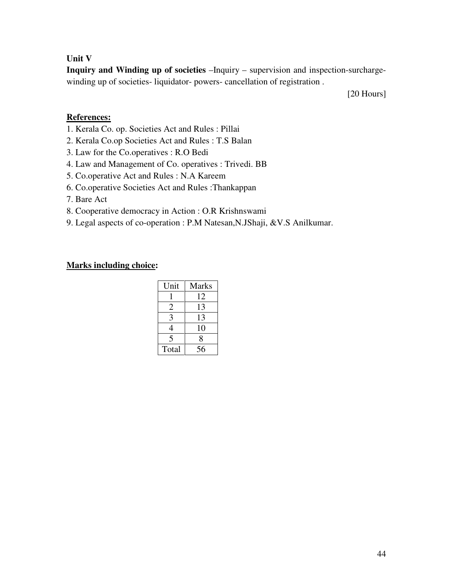#### **Unit V**

**Inquiry and Winding up of societies** –Inquiry – supervision and inspection-surchargewinding up of societies- liquidator- powers- cancellation of registration .

[20 Hours]

#### **References:**

- 1. Kerala Co. op. Societies Act and Rules : Pillai
- 2. Kerala Co.op Societies Act and Rules : T.S Balan
- 3. Law for the Co.operatives : R.O Bedi
- 4. Law and Management of Co. operatives : Trivedi. BB
- 5. Co.operative Act and Rules : N.A Kareem
- 6. Co.operative Societies Act and Rules :Thankappan
- 7. Bare Act
- 8. Cooperative democracy in Action : O.R Krishnswami
- 9. Legal aspects of co-operation : P.M Natesan,N.JShaji, &V.S Anilkumar.

| Unit  | <b>Marks</b> |
|-------|--------------|
|       | 12           |
| 2     | 13           |
| 3     | 13           |
| 4     | 10           |
| 5     | 8            |
| Total | 56           |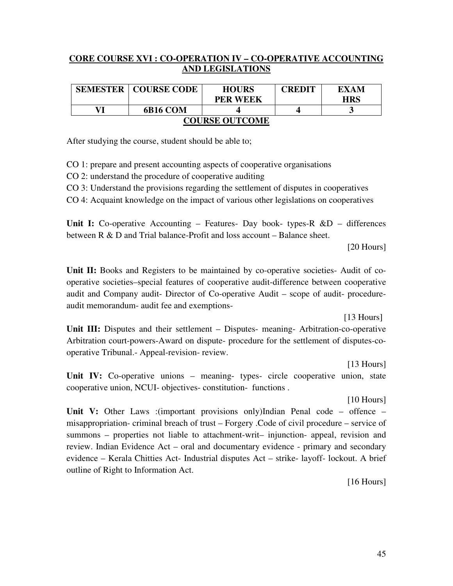#### **CORE COURSE XVI : CO-OPERATION IV – CO-OPERATIVE ACCOUNTING AND LEGISLATIONS**

| <b>SEMESTER</b>       | <b>COURSE CODE</b> | <b>HOURS</b>    | <b>CREDIT</b> | EXAM       |  |
|-----------------------|--------------------|-----------------|---------------|------------|--|
|                       |                    | <b>PER WEEK</b> |               | <b>HRS</b> |  |
| VI                    | 6B16 COM           |                 |               |            |  |
| <b>COURSE OUTCOME</b> |                    |                 |               |            |  |

After studying the course, student should be able to;

CO 1: prepare and present accounting aspects of cooperative organisations

CO 2: understand the procedure of cooperative auditing

CO 3: Understand the provisions regarding the settlement of disputes in cooperatives

CO 4: Acquaint knowledge on the impact of various other legislations on cooperatives

Unit I: Co-operative Accounting – Features- Day book- types-R &D – differences between R & D and Trial balance-Profit and loss account – Balance sheet.

[20 Hours]

**Unit II:** Books and Registers to be maintained by co-operative societies- Audit of cooperative societies–special features of cooperative audit-difference between cooperative audit and Company audit- Director of Co-operative Audit – scope of audit- procedureaudit memorandum- audit fee and exemptions-

[13 Hours]

Unit III: Disputes and their settlement – Disputes- meaning- Arbitration-co-operative Arbitration court-powers-Award on dispute- procedure for the settlement of disputes-cooperative Tribunal.- Appeal-revision- review.

 [13 Hours] Unit IV: Co-operative unions – meaning- types- circle cooperative union, state cooperative union, NCUI- objectives- constitution- functions .

[10 Hours]

**Unit V:** Other Laws :(important provisions only)Indian Penal code – offence – misappropriation- criminal breach of trust – Forgery .Code of civil procedure – service of summons – properties not liable to attachment-writ– injunction- appeal, revision and review. Indian Evidence Act – oral and documentary evidence - primary and secondary evidence – Kerala Chitties Act- Industrial disputes Act – strike- layoff- lockout. A brief outline of Right to Information Act.

[16 Hours]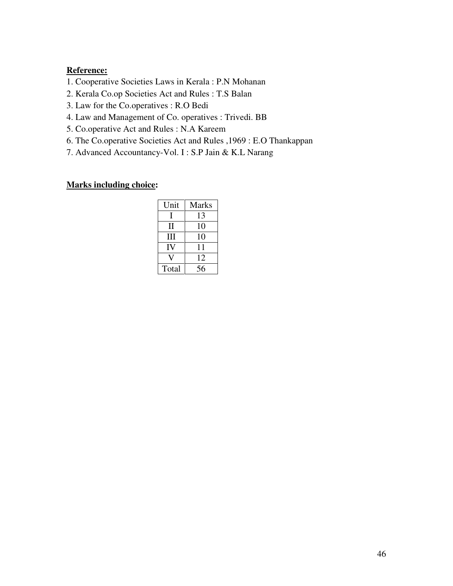#### **Reference:**

- 1. Cooperative Societies Laws in Kerala : P.N Mohanan
- 2. Kerala Co.op Societies Act and Rules : T.S Balan
- 3. Law for the Co.operatives : R.O Bedi
- 4. Law and Management of Co. operatives : Trivedi. BB
- 5. Co.operative Act and Rules : N.A Kareem
- 6. The Co.operative Societies Act and Rules ,1969 : E.O Thankappan
- 7. Advanced Accountancy-Vol. I : S.P Jain & K.L Narang

| Unit  | <b>Marks</b> |
|-------|--------------|
| L     | 13           |
| Н     | 10           |
| Ш     | 10           |
| IV    | 11           |
|       | 12           |
| Total | 56           |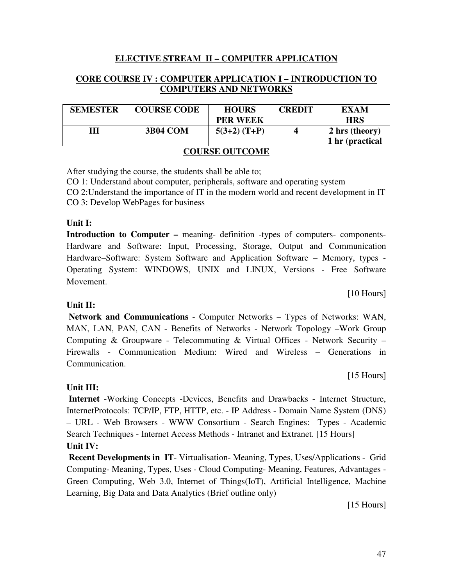#### **ELECTIVE STREAM II – COMPUTER APPLICATION**

#### **CORE COURSE IV : COMPUTER APPLICATION I – INTRODUCTION TO COMPUTERS AND NETWORKS**

| <b>SEMESTER</b>       | <b>COURSE CODE</b> | <b>HOURS</b><br><b>PER WEEK</b> | <b>CREDIT</b> | EXAM<br><b>HRS</b>                |
|-----------------------|--------------------|---------------------------------|---------------|-----------------------------------|
| Ш                     | <b>3B04 COM</b>    | $5(3+2)$ (T+P)                  |               | 2 hrs (theory)<br>1 hr (practical |
| <b>COURSE OUTCOME</b> |                    |                                 |               |                                   |

After studying the course, the students shall be able to;

CO 1: Understand about computer, peripherals, software and operating system

CO 2:Understand the importance of IT in the modern world and recent development in IT CO 3: Develop WebPages for business

#### **Unit I:**

**Introduction to Computer –** meaning- definition -types of computers- components-Hardware and Software: Input, Processing, Storage, Output and Communication Hardware–Software: System Software and Application Software – Memory, types - Operating System: WINDOWS, UNIX and LINUX, Versions - Free Software Movement.

[10 Hours]

#### **Unit II:**

 **Network and Communications** - Computer Networks – Types of Networks: WAN, MAN, LAN, PAN, CAN - Benefits of Networks - Network Topology –Work Group Computing & Groupware - Telecommuting & Virtual Offices - Network Security – Firewalls - Communication Medium: Wired and Wireless – Generations in Communication.

[15 Hours]

#### **Unit III:**

 **Internet** -Working Concepts -Devices, Benefits and Drawbacks - Internet Structure, InternetProtocols: TCP/IP, FTP, HTTP, etc. - IP Address - Domain Name System (DNS) – URL - Web Browsers - WWW Consortium - Search Engines: Types - Academic Search Techniques - Internet Access Methods - Intranet and Extranet. [15 Hours] **Unit IV:** 

 **Recent Developments in IT**- Virtualisation- Meaning, Types, Uses/Applications - Grid Computing- Meaning, Types, Uses - Cloud Computing- Meaning, Features, Advantages - Green Computing, Web 3.0, Internet of Things(IoT), Artificial Intelligence, Machine Learning, Big Data and Data Analytics (Brief outline only)

[15 Hours]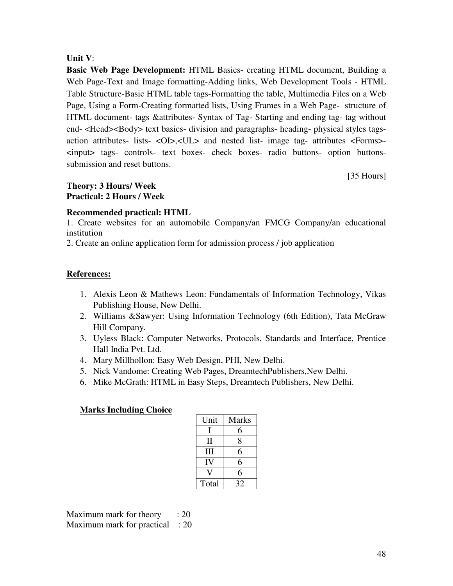#### **Unit V**:

**Basic Web Page Development:** HTML Basics- creating HTML document, Building a Web Page-Text and Image formatting-Adding links, Web Development Tools - HTML Table Structure-Basic HTML table tags-Formatting the table, Multimedia Files on a Web Page, Using a Form-Creating formatted lists, Using Frames in a Web Page- structure of HTML document- tags &attributes- Syntax of Tag- Starting and ending tag- tag without end- <Head><Body> text basics- division and paragraphs- heading- physical styles tagsaction attributes- lists- <OI>,<UL> and nested list- image tag- attributes <Forms>- <input> tags- controls- text boxes- check boxes- radio buttons- option buttonssubmission and reset buttons.

[35 Hours]

#### **Theory: 3 Hours/ Week Practical: 2 Hours / Week**

#### **Recommended practical: HTML**

1. Create websites for an automobile Company/an FMCG Company/an educational institution

2. Create an online application form for admission process / job application

#### **References:**

- 1. Alexis Leon & Mathews Leon: Fundamentals of Information Technology, Vikas Publishing House, New Delhi.
- 2. Williams &Sawyer: Using Information Technology (6th Edition), Tata McGraw Hill Company.
- 3. Uyless Black: Computer Networks, Protocols, Standards and Interface, Prentice Hall India Pvt. Ltd.
- 4. Mary Millhollon: Easy Web Design, PHI, New Delhi.
- 5. Nick Vandome: Creating Web Pages, DreamtechPublishers,New Delhi.
- 6. Mike McGrath: HTML in Easy Steps, Dreamtech Publishers, New Delhi.

#### **Marks Including Choice**

| Unit  | <b>Marks</b> |
|-------|--------------|
| L     | 6            |
| Н     | 8            |
| Ш     | 6            |
| IV    | 6            |
|       | 6            |
| Total | 32           |

Maximum mark for theory  $\therefore$  20 Maximum mark for practical : 20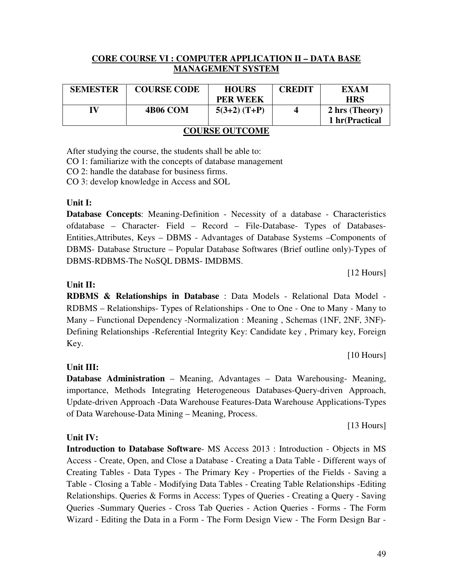#### **CORE COURSE VI : COMPUTER APPLICATION II – DATA BASE MANAGEMENT SYSTEM**

| <b>SEMESTER</b>       | <b>COURSE CODE</b> | <b>HOURS</b>    | <b>CREDIT</b> | EXAM           |
|-----------------------|--------------------|-----------------|---------------|----------------|
|                       |                    | <b>PER WEEK</b> |               | <b>HRS</b>     |
| IV                    | <b>4B06 COM</b>    | $5(3+2)$ (T+P)  | 4             | 2 hrs (Theory) |
|                       |                    |                 |               | 1 hr(Practical |
| <b>COURSE OUTCOME</b> |                    |                 |               |                |

After studying the course, the students shall be able to:

CO 1: familiarize with the concepts of database management

CO 2: handle the database for business firms.

CO 3: develop knowledge in Access and SOL

#### **Unit I:**

**Database Concepts**: Meaning-Definition - Necessity of a database - Characteristics ofdatabase – Character- Field – Record – File-Database- Types of Databases-Entities,Attributes, Keys – DBMS - Advantages of Database Systems –Components of DBMS- Database Structure – Popular Database Softwares (Brief outline only)-Types of DBMS-RDBMS-The NoSQL DBMS- IMDBMS.

[12 Hours]

#### **Unit II:**

**RDBMS & Relationships in Database** : Data Models - Relational Data Model - RDBMS – Relationships- Types of Relationships - One to One - One to Many - Many to Many – Functional Dependency -Normalization : Meaning , Schemas (1NF, 2NF, 3NF)- Defining Relationships -Referential Integrity Key: Candidate key , Primary key, Foreign Key.

[10 Hours]

#### **Unit III:**

**Unit IV:** 

**Database Administration** – Meaning, Advantages – Data Warehousing- Meaning, importance, Methods Integrating Heterogeneous Databases-Query-driven Approach, Update-driven Approach -Data Warehouse Features-Data Warehouse Applications-Types of Data Warehouse-Data Mining – Meaning, Process.

[13 Hours]

**Introduction to Database Software**- MS Access 2013 : Introduction - Objects in MS Access - Create, Open, and Close a Database - Creating a Data Table - Different ways of Creating Tables - Data Types - The Primary Key - Properties of the Fields - Saving a Table - Closing a Table - Modifying Data Tables - Creating Table Relationships -Editing Relationships. Queries & Forms in Access: Types of Queries - Creating a Query - Saving Queries -Summary Queries - Cross Tab Queries - Action Queries - Forms - The Form Wizard - Editing the Data in a Form - The Form Design View - The Form Design Bar -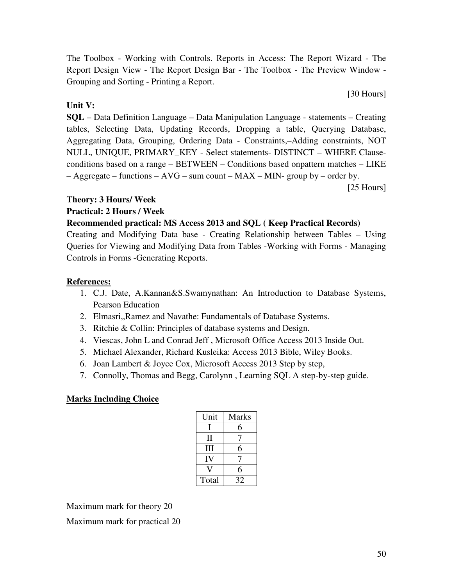The Toolbox - Working with Controls. Reports in Access: The Report Wizard - The Report Design View - The Report Design Bar - The Toolbox - The Preview Window - Grouping and Sorting - Printing a Report.

#### **Unit V:**

**SQL** – Data Definition Language – Data Manipulation Language - statements – Creating tables, Selecting Data, Updating Records, Dropping a table, Querying Database, Aggregating Data, Grouping, Ordering Data - Constraints,–Adding constraints, NOT NULL, UNIQUE, PRIMARY\_KEY - Select statements- DISTINCT – WHERE Clauseconditions based on a range – BETWEEN – Conditions based onpattern matches – LIKE  $-$  Aggregate – functions – AVG – sum count – MAX – MIN- group by – order by.

[25 Hours]

[30 Hours]

#### **Theory: 3 Hours/ Week**

#### **Practical: 2 Hours / Week**

#### **Recommended practical: MS Access 2013 and SQL ( Keep Practical Records)**

Creating and Modifying Data base - Creating Relationship between Tables – Using Queries for Viewing and Modifying Data from Tables -Working with Forms - Managing Controls in Forms -Generating Reports.

#### **References:**

- 1. C.J. Date, A.Kannan&S.Swamynathan: An Introduction to Database Systems, Pearson Education
- 2. Elmasri,,Ramez and Navathe: Fundamentals of Database Systems.
- 3. Ritchie & Collin: Principles of database systems and Design.
- 4. Viescas, John L and Conrad Jeff , Microsoft Office Access 2013 Inside Out.
- 5. Michael Alexander, Richard Kusleika: Access 2013 Bible, Wiley Books.
- 6. Joan Lambert & Joyce Cox, Microsoft Access 2013 Step by step,
- 7. Connolly, Thomas and Begg, Carolynn , Learning SQL A step-by-step guide.

# **Marks Including Choice**

| Unit  | <b>Marks</b> |
|-------|--------------|
| п     | 6            |
| Н     |              |
| Ħ     | 6            |
| IV    |              |
|       | 6            |
| Total | 32           |

Maximum mark for theory 20

Maximum mark for practical 20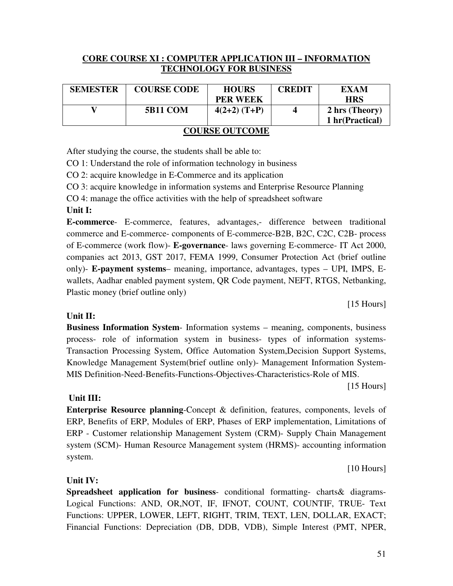#### **CORE COURSE XI : COMPUTER APPLICATION III – INFORMATION TECHNOLOGY FOR BUSINESS**

| <b>SEMESTER</b>       | <b>COURSE CODE</b> | <b>HOURS</b>    | <b>CREDIT</b> | EXAM           |  |  |
|-----------------------|--------------------|-----------------|---------------|----------------|--|--|
|                       |                    | <b>PER WEEK</b> |               | <b>HRS</b>     |  |  |
|                       | <b>5B11 COM</b>    | $4(2+2)$ (T+P)  |               | 2 hrs (Theory) |  |  |
| 1 hr(Practical)       |                    |                 |               |                |  |  |
| <b>COURSE OUTCOME</b> |                    |                 |               |                |  |  |

After studying the course, the students shall be able to:

CO 1: Understand the role of information technology in business

CO 2: acquire knowledge in E-Commerce and its application

CO 3: acquire knowledge in information systems and Enterprise Resource Planning

CO 4: manage the office activities with the help of spreadsheet software

#### **Unit I:**

**E-commerce**- E-commerce, features, advantages,- difference between traditional commerce and E-commerce- components of E-commerce-B2B, B2C, C2C, C2B- process of E-commerce (work flow)- **E-governance**- laws governing E-commerce- IT Act 2000, companies act 2013, GST 2017, FEMA 1999, Consumer Protection Act (brief outline only)- **E-payment systems**– meaning, importance, advantages, types – UPI, IMPS, Ewallets, Aadhar enabled payment system, QR Code payment, NEFT, RTGS, Netbanking, Plastic money (brief outline only)

[15 Hours]

#### **Unit II:**

**Business Information System**- Information systems – meaning, components, business process- role of information system in business- types of information systems-Transaction Processing System, Office Automation System,Decision Support Systems, Knowledge Management System(brief outline only)- Management Information System-MIS Definition-Need-Benefits-Functions-Objectives-Characteristics-Role of MIS.

[15 Hours]

#### **Unit III:**

**Enterprise Resource planning**-Concept & definition, features, components, levels of ERP, Benefits of ERP, Modules of ERP, Phases of ERP implementation, Limitations of ERP - Customer relationship Management System (CRM)- Supply Chain Management system (SCM)- Human Resource Management system (HRMS)- accounting information system.

[10 Hours]

#### **Unit IV:**

**Spreadsheet application for business**- conditional formatting- charts& diagrams-Logical Functions: AND, OR,NOT, IF, IFNOT, COUNT, COUNTIF, TRUE- Text Functions: UPPER, LOWER, LEFT, RIGHT, TRIM, TEXT, LEN, DOLLAR, EXACT; Financial Functions: Depreciation (DB, DDB, VDB), Simple Interest (PMT, NPER,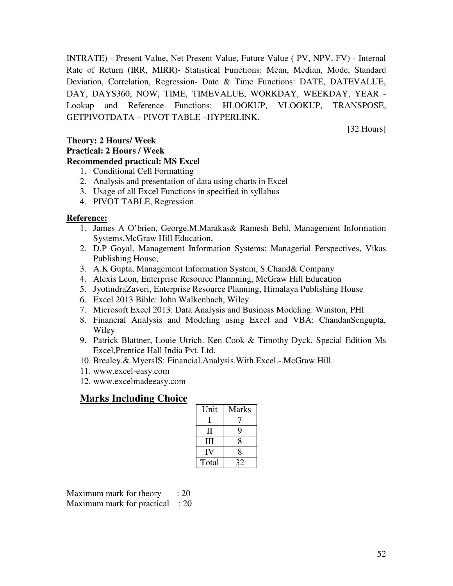INTRATE) - Present Value, Net Present Value, Future Value ( PV, NPV, FV) - Internal Rate of Return (IRR, MIRR)- Statistical Functions: Mean, Median, Mode, Standard Deviation, Correlation, Regression- Date & Time Functions: DATE, DATEVALUE, DAY, DAYS360, NOW, TIME, TIMEVALUE, WORKDAY, WEEKDAY, YEAR - Lookup and Reference Functions: HLOOKUP, VLOOKUP, TRANSPOSE, GETPIVOTDATA – PIVOT TABLE –HYPERLINK.

[32 Hours]

# **Theory: 2 Hours/ Week Practical: 2 Hours / Week**

- **Recommended practical: MS Excel** 
	- 1. Conditional Cell Formatting
	- 2. Analysis and presentation of data using charts in Excel
	- 3. Usage of all Excel Functions in specified in syllabus
	- 4. PIVOT TABLE, Regression

#### **Reference:**

- 1. James A O'brien, George.M.Marakas& Ramesh Behl, Management Information Systems,McGraw Hill Education,
- 2. D.P Goyal, Management Information Systems: Managerial Perspectives, Vikas Publishing House,
- 3. A.K Gupta, Management Information System, S.Chand& Company
- 4. Alexis Leon, Enterprise Resource Plannning, McGraw Hill Education
- 5. JyotindraZaveri, Enterprise Resource Planning, Himalaya Publishing House
- 6. Excel 2013 Bible: John Walkenbach, Wiley.
- 7. Microsoft Excel 2013: Data Analysis and Business Modeling: Winston, PHI
- 8. Financial Analysis and Modeling using Excel and VBA: ChandanSengupta, Wiley
- 9. Patrick Blattner, Louie Utrich. Ken Cook & Timothy Dyck, Special Edition Ms Excel,Prentice Hall India Pvt. Ltd.
- 10. Brealey.&.MyersIS: Financial.Analysis.With.Excel.-.McGraw.Hill.
- 11. www.excel-easy.com
- 12. www.excelmadeeasy.com

# **Marks Including Choice**

| Unit  | <b>Marks</b> |
|-------|--------------|
|       |              |
| Н     | Q            |
| Ħ     | 8            |
| IV    | 8            |
| Total | 32           |

Maximum mark for theory  $\therefore$  20 Maximum mark for practical : 20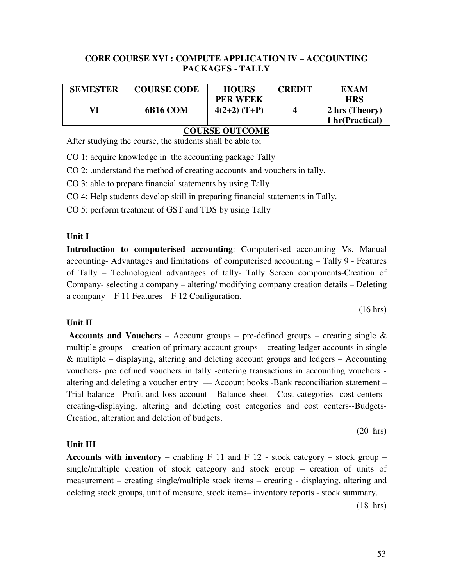#### **CORE COURSE XVI : COMPUTE APPLICATION IV – ACCOUNTING PACKAGES - TALLY**

| <b>SEMESTER</b> | <b>COURSE CODE</b> | <b>HOURS</b>    | CREDIT | <b>EXAM</b>     |
|-----------------|--------------------|-----------------|--------|-----------------|
|                 |                    | <b>PER WEEK</b> |        | <b>HRS</b>      |
|                 | 6B16 COM           | $4(2+2)$ (T+P)  |        | 2 hrs (Theory)  |
|                 |                    |                 |        | 1 hr(Practical) |
| $\alpha$        |                    |                 |        |                 |

**COURSE OUTCOME**

After studying the course, the students shall be able to;

CO 1: acquire knowledge in the accounting package Tally

CO 2: .understand the method of creating accounts and vouchers in tally.

CO 3: able to prepare financial statements by using Tally

CO 4: Help students develop skill in preparing financial statements in Tally.

CO 5: perform treatment of GST and TDS by using Tally

#### **Unit I**

**Introduction to computerised accounting**: Computerised accounting Vs. Manual accounting- Advantages and limitations of computerised accounting – Tally 9 - Features of Tally – Technological advantages of tally- Tally Screen components-Creation of Company- selecting a company – altering/ modifying company creation details – Deleting a company – F 11 Features – F 12 Configuration.

(16 hrs)

#### **Unit II**

**Accounts and Vouchers** – Account groups – pre-defined groups – creating single  $\&$ multiple groups – creation of primary account groups – creating ledger accounts in single & multiple – displaying, altering and deleting account groups and ledgers – Accounting vouchers- pre defined vouchers in tally -entering transactions in accounting vouchers altering and deleting a voucher entry — Account books -Bank reconciliation statement – Trial balance– Profit and loss account - Balance sheet - Cost categories- cost centers– creating-displaying, altering and deleting cost categories and cost centers--Budgets-Creation, alteration and deletion of budgets.

(20 hrs)

#### **Unit III**

**Accounts with inventory** – enabling  $F$  11 and  $F$  12 - stock category – stock group – single/multiple creation of stock category and stock group – creation of units of measurement – creating single/multiple stock items – creating - displaying, altering and deleting stock groups, unit of measure, stock items– inventory reports - stock summary.

(18 hrs)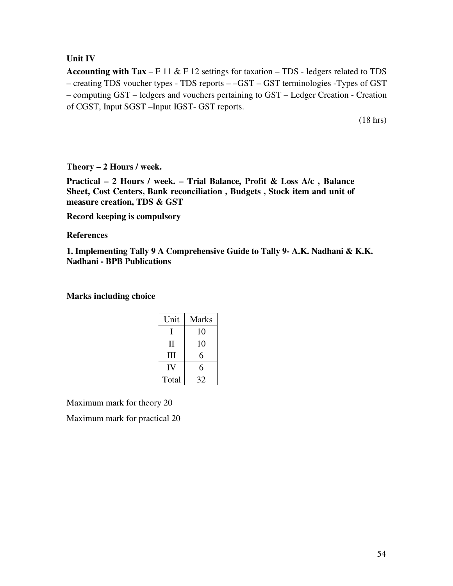#### **Unit IV**

**Accounting with Tax** – F 11 & F 12 settings for taxation – TDS - ledgers related to TDS – creating TDS voucher types - TDS reports – –GST – GST terminologies -Types of GST – computing GST – ledgers and vouchers pertaining to GST – Ledger Creation - Creation of CGST, Input SGST –Input IGST- GST reports.

(18 hrs)

**Theory – 2 Hours / week.** 

**Practical – 2 Hours / week. – Trial Balance, Profit & Loss A/c , Balance Sheet, Cost Centers, Bank reconciliation , Budgets , Stock item and unit of measure creation, TDS & GST** 

**Record keeping is compulsory** 

**References** 

**1. Implementing Tally 9 A Comprehensive Guide to Tally 9- A.K. Nadhani & K.K. Nadhani - BPB Publications** 

**Marks including choice** 

| Unit  | Marks |
|-------|-------|
|       | 10    |
| П     | 10    |
| Ш     | 6     |
| IV    | 6     |
| Total | 32    |

Maximum mark for theory 20

Maximum mark for practical 20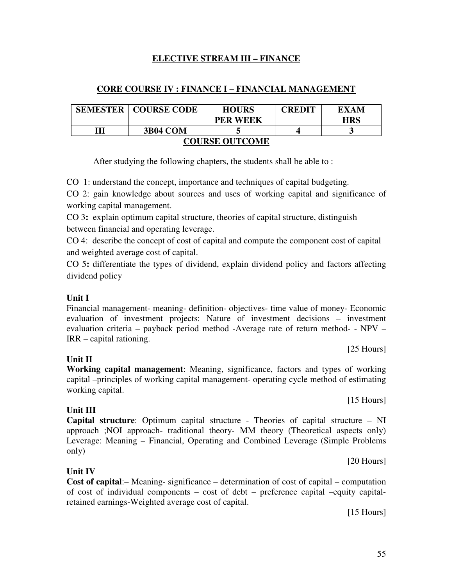#### 55

# **ELECTIVE STREAM III – FINANCE**

#### **CORE COURSE IV : FINANCE I – FINANCIAL MANAGEMENT**

| <b>SEMESTER</b>       | <b>COURSE CODE</b> | <b>HOURS</b>    | <b>CREDIT</b> | EXAM       |  |
|-----------------------|--------------------|-----------------|---------------|------------|--|
|                       |                    | <b>PER WEEK</b> |               | <b>HRS</b> |  |
| Ш<br><b>3B04 COM</b>  |                    |                 |               |            |  |
| <b>COURSE OUTCOME</b> |                    |                 |               |            |  |

After studying the following chapters, the students shall be able to :

CO 1: understand the concept, importance and techniques of capital budgeting.

CO 2: gain knowledge about sources and uses of working capital and significance of working capital management.

CO 3**:** explain optimum capital structure, theories of capital structure, distinguish between financial and operating leverage.

CO 4: describe the concept of cost of capital and compute the component cost of capital and weighted average cost of capital.

CO 5**:** differentiate the types of dividend, explain dividend policy and factors affecting dividend policy

#### **Unit I**

Financial management- meaning- definition- objectives- time value of money- Economic evaluation of investment projects: Nature of investment decisions – investment evaluation criteria – payback period method -Average rate of return method- - NPV – IRR – capital rationing.

#### **Unit II**

**Working capital management**: Meaning, significance, factors and types of working capital –principles of working capital management- operating cycle method of estimating working capital.

**Unit III** 

**Unit IV** 

**Capital structure**: Optimum capital structure - Theories of capital structure – NI approach ;NOI approach- traditional theory- MM theory (Theoretical aspects only) Leverage: Meaning – Financial, Operating and Combined Leverage (Simple Problems only)

**Cost of capital**:– Meaning- significance – determination of cost of capital – computation of cost of individual components – cost of debt – preference capital –equity capitalretained earnings-Weighted average cost of capital.

[15 Hours]

[15 Hours]

[25 Hours]

[20 Hours]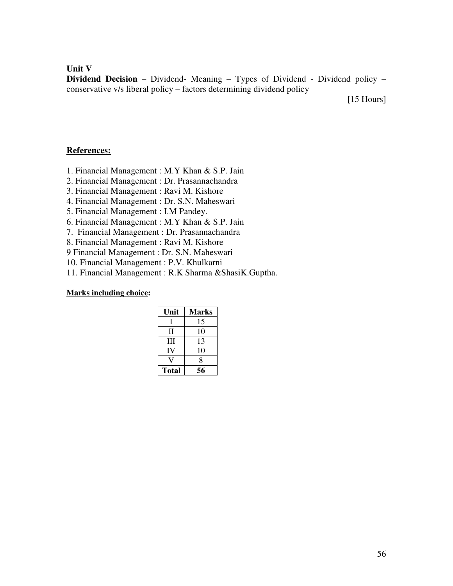**Unit V** 

**Dividend Decision** – Dividend- Meaning – Types of Dividend - Dividend policy – conservative v/s liberal policy – factors determining dividend policy

[15 Hours]

#### **References:**

- 1. Financial Management : M.Y Khan & S.P. Jain
- 2. Financial Management : Dr. Prasannachandra
- 3. Financial Management : Ravi M. Kishore
- 4. Financial Management : Dr. S.N. Maheswari
- 5. Financial Management : I.M Pandey.
- 6. Financial Management : M.Y Khan & S.P. Jain
- 7. Financial Management : Dr. Prasannachandra
- 8. Financial Management : Ravi M. Kishore
- 9 Financial Management : Dr. S.N. Maheswari
- 10. Financial Management : P.V. Khulkarni
- 11. Financial Management : R.K Sharma &ShasiK.Guptha.

| Unit         | <b>Marks</b> |
|--------------|--------------|
| L            | 15           |
| П            | 10           |
| Ш            | 13           |
| IV           | 10           |
|              | 8            |
| <b>Total</b> | 56           |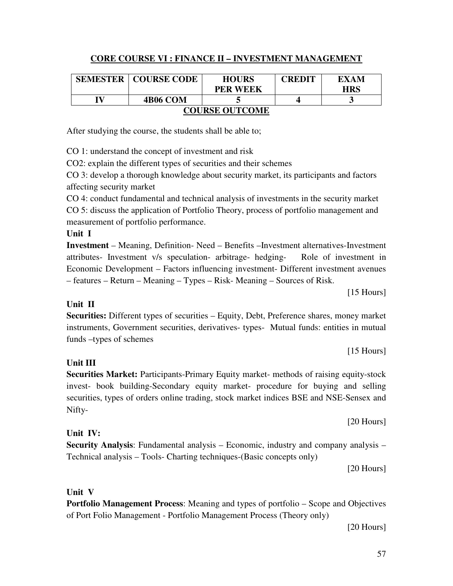# **CORE COURSE VI : FINANCE II – INVESTMENT MANAGEMENT**

| <b>SEMESTER</b>       | <b>COURSE CODE</b> | <b>HOURS</b>    | <b>CREDIT</b> | EXAM       |
|-----------------------|--------------------|-----------------|---------------|------------|
|                       |                    | <b>PER WEEK</b> |               | <b>HRS</b> |
| IV                    | <b>4B06 COM</b>    |                 |               |            |
| <b>COURSE OUTCOME</b> |                    |                 |               |            |

After studying the course, the students shall be able to;

CO 1: understand the concept of investment and risk

CO2: explain the different types of securities and their schemes

CO 3: develop a thorough knowledge about security market, its participants and factors affecting security market

CO 4: conduct fundamental and technical analysis of investments in the security market CO 5: discuss the application of Portfolio Theory, process of portfolio management and measurement of portfolio performance.

#### **Unit I**

**Investment** – Meaning, Definition- Need – Benefits –Investment alternatives-Investment attributes- Investment v/s speculation- arbitrage- hedging- Role of investment in Economic Development – Factors influencing investment- Different investment avenues – features – Return – Meaning – Types – Risk- Meaning – Sources of Risk.

[15 Hours]

#### **Unit II Securities:** Different types of securities – Equity, Debt, Preference shares, money market instruments, Government securities, derivatives- types- Mutual funds: entities in mutual funds –types of schemes

[15 Hours]

**Securities Market:** Participants-Primary Equity market- methods of raising equity-stock invest- book building-Secondary equity market- procedure for buying and selling securities, types of orders online trading, stock market indices BSE and NSE-Sensex and Nifty-

### **Unit IV:**

**Security Analysis**: Fundamental analysis – Economic, industry and company analysis – Technical analysis – Tools- Charting techniques-(Basic concepts only)

[20 Hours]

[20 Hours]

# **Unit V**

**Portfolio Management Process**: Meaning and types of portfolio – Scope and Objectives of Port Folio Management - Portfolio Management Process (Theory only)

[20 Hours]

**Unit III**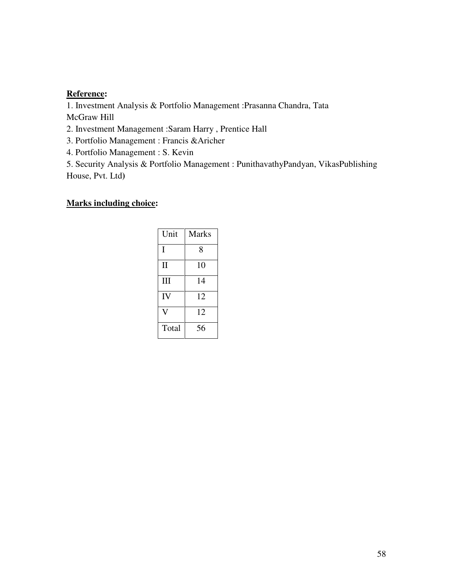#### **Reference:**

1. Investment Analysis & Portfolio Management :Prasanna Chandra, Tata McGraw Hill

2. Investment Management :Saram Harry , Prentice Hall

3. Portfolio Management : Francis &Aricher

4. Portfolio Management : S. Kevin

5. Security Analysis & Portfolio Management : PunithavathyPandyan, VikasPublishing House, Pvt. Ltd**)** 

| Unit         | <b>Marks</b> |
|--------------|--------------|
| I            | 8            |
| $\mathbf{I}$ | 10           |
| Ш            | 14           |
| IV           | 12           |
|              | 12           |
| Total        | 56           |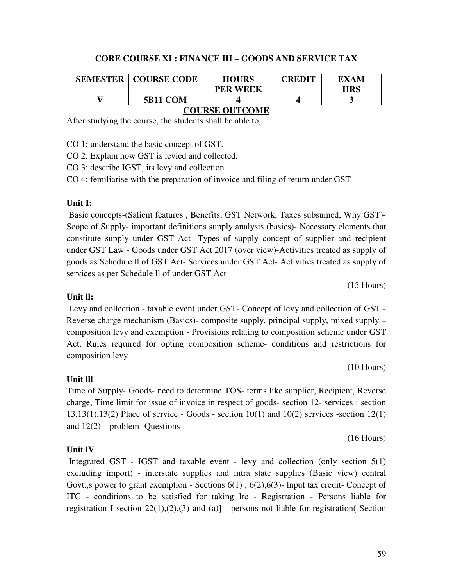#### **CORE COURSE XI : FINANCE III – GOODS AND SERVICE TAX**

| <b>SEMESTER</b> | <b>COURSE CODE</b> | <b>HOURS</b><br><b>PER WEEK</b> | <b>CREDIT</b> | EXAM<br><b>HRS</b> |
|-----------------|--------------------|---------------------------------|---------------|--------------------|
|                 | <b>5B11 COM</b>    |                                 |               |                    |
|                 |                    |                                 |               |                    |

### **COURSE OUTCOME**

After studying the course, the students shall be able to,

CO 1: understand the basic concept of GST.

CO 2: Explain how GST is levied and collected.

CO 3: describe IGST, its levy and collection

CO 4: femiliarise with the preparation of invoice and filing of return under GST

#### **Unit I:**

Basic concepts-(Salient features , Benefits, GST Network, Taxes subsumed, Why GST)- Scope of Supply- important definitions supply analysis (basics)- Necessary elements that constitute supply under GST Act- Types of supply concept of supplier and recipient under GST Law - Goods under GST Act 2017 (over view)-Activities treated as supply of goods as Schedule ll of GST Act- Services under GST Act- Activities treated as supply of services as per Schedule ll of under GST Act

(15 Hours)

### **Unit ll:**

Levy and collection - taxable event under GST- Concept of levy and collection of GST - Reverse charge mechanism (Basics)- composite supply, principal supply, mixed supply – composition levy and exemption - Provisions relating to composition scheme under GST Act, Rules required for opting composition scheme- conditions and restrictions for composition levy

(10 Hours)

(16 Hours)

### **Unit lll**

Time of Supply- Goods- need to determine TOS- terms like supplier, Recipient, Reverse charge, Time limit for issue of invoice in respect of goods- section 12- services : section 13,13(1),13(2) Place of service - Goods - section 10(1) and 10(2) services -section 12(1) and  $12(2)$  – problem- Questions

### **Unit lV**

 Integrated GST - IGST and taxable event - levy and collection (only section 5(1) excluding import) - interstate supplies and intra state supplies (Basic view) central Govt.,s power to grant exemption - Sections  $6(1)$ ,  $6(2)$ ,  $6(3)$ - lnput tax credit- Concept of ITC - conditions to be satisfied for taking lrc - Registration - Persons liable for registration I section  $22(1)$ , $(2)$ , $(3)$  and  $(a)$ ] - persons not liable for registration( Section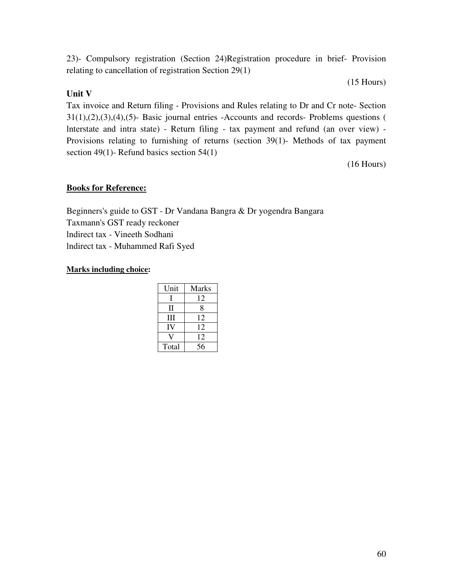23)- Compulsory registration (Section 24)Registration procedure in brief- Provision relating to cancellation of registration Section 29(1)

(15 Hours)

#### **Unit V**

Tax invoice and Return filing - Provisions and Rules relating to Dr and Cr note- Section 31(1),(2),(3),(4),(5)- Basic journal entries -Accounts and records- Problems questions ( lnterstate and intra state) - Return filing - tax payment and refund (an over view) - Provisions relating to furnishing of returns (section 39(1)- Methods of tax payment section 49(1)- Refund basics section 54(1)

(16 Hours)

#### **Books for Reference:**

Beginners's guide to GST - Dr Vandana Bangra & Dr yogendra Bangara Taxmann's GST ready reckoner lndirect tax - Vineeth Sodhani lndirect tax - Muhammed Rafi Syed

| Unit  | <b>Marks</b> |
|-------|--------------|
| L     | 12           |
| П     | 8            |
| Ш     | 12           |
| IV    | 12           |
|       | 12           |
| Total | 56           |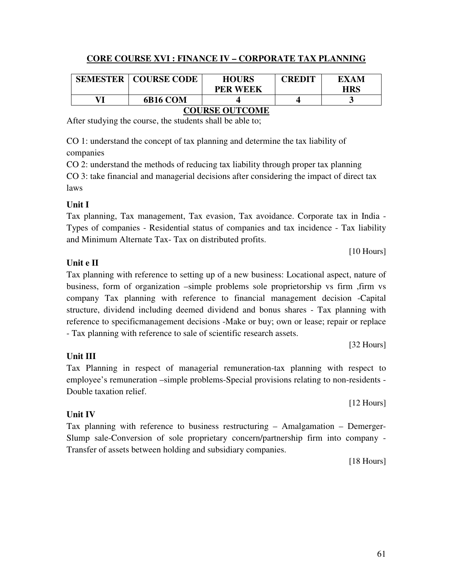# **CORE COURSE XVI : FINANCE IV – CORPORATE TAX PLANNING**

| <b>SEMESTER</b> | <b>COURSE CODE</b> | <b>HOURS</b>                  | <b>CREDIT</b> | EXAM |
|-----------------|--------------------|-------------------------------|---------------|------|
|                 |                    | <b>PER WEEK</b>               |               | HRS  |
| V71             | 6B16 COM           |                               |               |      |
|                 |                    | - - - - - - - - - - - - - - - |               |      |

#### **COURSE OUTCOME**

After studying the course, the students shall be able to;

CO 1: understand the concept of tax planning and determine the tax liability of companies

CO 2: understand the methods of reducing tax liability through proper tax planning CO 3: take financial and managerial decisions after considering the impact of direct tax laws

#### **Unit I**

Tax planning, Tax management, Tax evasion, Tax avoidance. Corporate tax in India - Types of companies - Residential status of companies and tax incidence - Tax liability and Minimum Alternate Tax- Tax on distributed profits.

### **Unit e II**

Tax planning with reference to setting up of a new business: Locational aspect, nature of business, form of organization –simple problems sole proprietorship vs firm ,firm vs company Tax planning with reference to financial management decision -Capital structure, dividend including deemed dividend and bonus shares - Tax planning with reference to specificmanagement decisions -Make or buy; own or lease; repair or replace - Tax planning with reference to sale of scientific research assets.

[32 Hours]

[10 Hours]

Tax Planning in respect of managerial remuneration-tax planning with respect to employee's remuneration –simple problems-Special provisions relating to non-residents - Double taxation relief.

**Unit IV**

**Unit III**

Tax planning with reference to business restructuring – Amalgamation – Demerger-Slump sale-Conversion of sole proprietary concern/partnership firm into company - Transfer of assets between holding and subsidiary companies.

[18 Hours]

[12 Hours]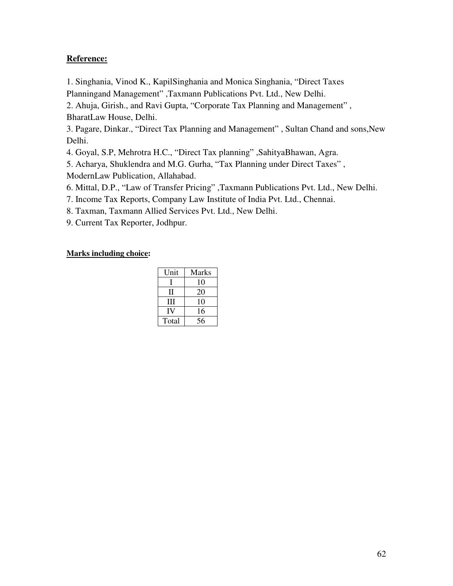#### **Reference:**

1. Singhania, Vinod K., KapilSinghania and Monica Singhania, "Direct Taxes Planningand Management" ,Taxmann Publications Pvt. Ltd., New Delhi.

2. Ahuja, Girish., and Ravi Gupta, "Corporate Tax Planning and Management" , BharatLaw House, Delhi.

3. Pagare, Dinkar., "Direct Tax Planning and Management" , Sultan Chand and sons,New Delhi.

4. Goyal, S.P, Mehrotra H.C., "Direct Tax planning" ,SahityaBhawan, Agra.

5. Acharya, Shuklendra and M.G. Gurha, "Tax Planning under Direct Taxes" , ModernLaw Publication, Allahabad.

6. Mittal, D.P., "Law of Transfer Pricing" ,Taxmann Publications Pvt. Ltd., New Delhi.

7. Income Tax Reports, Company Law Institute of India Pvt. Ltd., Chennai.

8. Taxman, Taxmann Allied Services Pvt. Ltd., New Delhi.

9. Current Tax Reporter, Jodhpur.

| Unit  | Marks |
|-------|-------|
|       | 10    |
| Н     | 20    |
| Ш     | 10    |
| IV    | 16    |
| Total | 56    |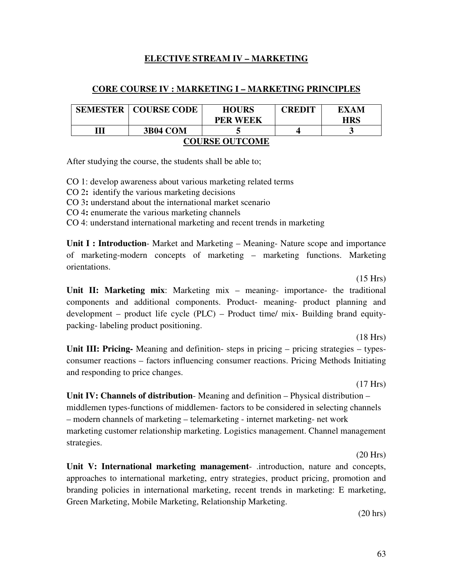#### **ELECTIVE STREAM IV – MARKETING**

#### **CORE COURSE IV : MARKETING I – MARKETING PRINCIPLES**

| <b>SEMESTER</b>       | <b>COURSE CODE</b> | <b>HOURS</b>    | <b>CREDIT</b> | EXAM       |  |
|-----------------------|--------------------|-----------------|---------------|------------|--|
|                       |                    | <b>PER WEEK</b> |               | <b>HRS</b> |  |
|                       | <b>3B04 COM</b>    |                 |               |            |  |
| <b>COURSE OUTCOME</b> |                    |                 |               |            |  |

After studying the course, the students shall be able to;

CO 1: develop awareness about various marketing related terms

CO 2**:** identify the various marketing decisions

CO 3**:** understand about the international market scenario

CO 4**:** enumerate the various marketing channels

CO 4: understand international marketing and recent trends in marketing

**Unit I : Introduction**- Market and Marketing – Meaning- Nature scope and importance of marketing-modern concepts of marketing – marketing functions. Marketing orientations.

(15 Hrs)

**Unit II: Marketing mix**: Marketing mix – meaning- importance- the traditional components and additional components. Product- meaning- product planning and development – product life cycle (PLC) – Product time/ mix- Building brand equitypacking- labeling product positioning.

(18 Hrs)

**Unit III: Pricing-** Meaning and definition- steps in pricing – pricing strategies – typesconsumer reactions – factors influencing consumer reactions. Pricing Methods Initiating and responding to price changes.

(17 Hrs)

**Unit IV: Channels of distribution**- Meaning and definition – Physical distribution – middlemen types-functions of middlemen- factors to be considered in selecting channels – modern channels of marketing – telemarketing - internet marketing- net work marketing customer relationship marketing. Logistics management. Channel management strategies.

(20 Hrs)

**Unit V: International marketing management**- .introduction, nature and concepts, approaches to international marketing, entry strategies, product pricing, promotion and branding policies in international marketing, recent trends in marketing: E marketing, Green Marketing, Mobile Marketing, Relationship Marketing.

(20 hrs)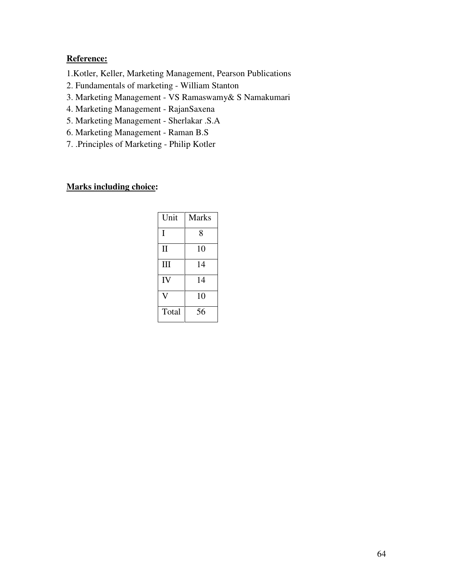# **Reference:**

- 1.Kotler, Keller, Marketing Management, Pearson Publications
- 2. Fundamentals of marketing William Stanton
- 3. Marketing Management VS Ramaswamy& S Namakumari
- 4. Marketing Management RajanSaxena
- 5. Marketing Management Sherlakar .S.A
- 6. Marketing Management Raman B.S
- 7. .Principles of Marketing Philip Kotler

| Unit         | Marks |
|--------------|-------|
| I            | 8     |
| $\mathbf{I}$ | 10    |
| Ш            | 14    |
| IV           | 14    |
|              | 10    |
| Total        | 56    |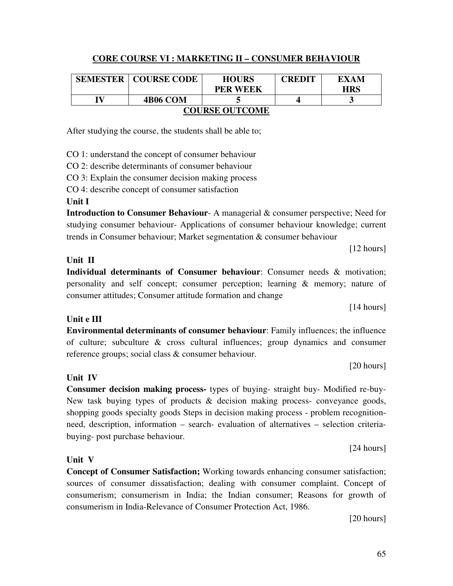# **CORE COURSE VI : MARKETING II – CONSUMER BEHAVIOUR**

|                       | <b>SEMESTER   COURSE CODE</b> | <b>HOURS</b>    | <b>CREDIT</b> | EXAM       |
|-----------------------|-------------------------------|-----------------|---------------|------------|
|                       |                               | <b>PER WEEK</b> |               | <b>HRS</b> |
| IV                    | <b>4B06 COM</b>               |                 |               |            |
| <b>COURSE OUTCOME</b> |                               |                 |               |            |

After studying the course, the students shall be able to;

CO 1: understand the concept of consumer behaviour

CO 2: describe determinants of consumer behaviour

CO 3: Explain the consumer decision making process

CO 4: describe concept of consumer satisfaction

#### **Unit I**

**Introduction to Consumer Behaviour**- A managerial & consumer perspective; Need for studying consumer behaviour- Applications of consumer behaviour knowledge; current trends in Consumer behaviour; Market segmentation & consumer behaviour

[12 hours]

# **Unit II**

**Individual determinants of Consumer behaviour**: Consumer needs & motivation; personality and self concept; consumer perception; learning & memory; nature of consumer attitudes; Consumer attitude formation and change

[14 hours]

# **Unit e III**

**Environmental determinants of consumer behaviour**: Family influences; the influence of culture; subculture & cross cultural influences; group dynamics and consumer reference groups; social class & consumer behaviour.

**Consumer decision making process-** types of buying- straight buy- Modified re-buy-New task buying types of products & decision making process- conveyance goods, shopping goods specialty goods Steps in decision making process - problem recognitionneed, description, information – search- evaluation of alternatives – selection criteria-

[20 hours]

[24 hours]

# **Unit V**

buying- post purchase behaviour.

**Unit IV** 

**Concept of Consumer Satisfaction;** Working towards enhancing consumer satisfaction; sources of consumer dissatisfaction; dealing with consumer complaint. Concept of consumerism; consumerism in India; the Indian consumer; Reasons for growth of consumerism in India-Relevance of Consumer Protection Act, 1986.

[20 hours]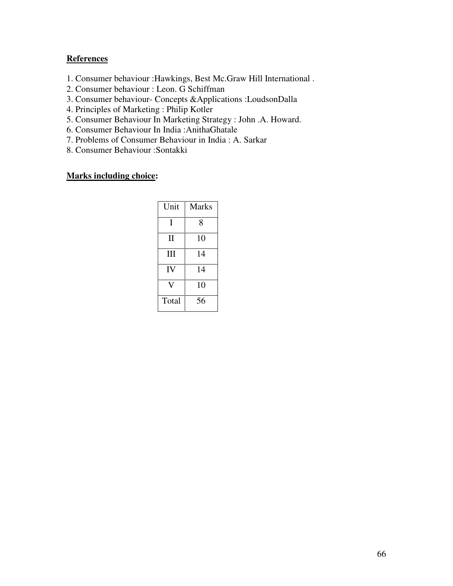#### **References**

- 1. Consumer behaviour :Hawkings, Best Mc.Graw Hill International .
- 2. Consumer behaviour : Leon. G Schiffman
- 3. Consumer behaviour- Concepts &Applications :LoudsonDalla
- 4. Principles of Marketing : Philip Kotler
- 5. Consumer Behaviour In Marketing Strategy : John .A. Howard.
- 6. Consumer Behaviour In India :AnithaGhatale
- 7. Problems of Consumer Behaviour in India : A. Sarkar
- 8. Consumer Behaviour :Sontakki

| Unit         | Marks |
|--------------|-------|
| I            | 8     |
| $\mathbf{I}$ | 10    |
| III          | 14    |
| IV           | 14    |
|              | 10    |
| Total        | 56    |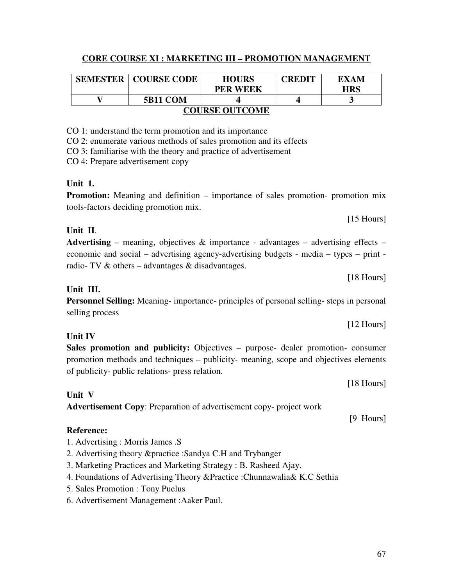# **CORE COURSE XI : MARKETING III – PROMOTION MANAGEMENT**

|                       | <b>SEMESTER   COURSE CODE</b> | <b>HOURS</b>    | <b>CREDIT</b> | EXAM       |  |
|-----------------------|-------------------------------|-----------------|---------------|------------|--|
|                       |                               | <b>PER WEEK</b> |               | <b>HRS</b> |  |
|                       | <b>5B11 COM</b>               |                 |               |            |  |
| <b>COURSE OUTCOME</b> |                               |                 |               |            |  |

CO 1: understand the term promotion and its importance

CO 2: enumerate various methods of sales promotion and its effects

CO 3: familiarise with the theory and practice of advertisement

CO 4: Prepare advertisement copy

# **Unit 1.**

**Promotion:** Meaning and definition – importance of sales promotion- promotion mix tools-factors deciding promotion mix.

### **Unit II**.

| <b>Advertising</b> – meaning, objectives & importance - advantages – advertising effects – |
|--------------------------------------------------------------------------------------------|
| economic and social – advertising agency-advertising budgets - media – types – print -     |
| radio- TV $\&$ others – advantages $\&$ disadvantages.                                     |

#### **Unit III.**

**Personnel Selling:** Meaning- importance- principles of personal selling- steps in personal selling process

**Unit IV** 

**Sales promotion and publicity:** Objectives – purpose- dealer promotion- consumer promotion methods and techniques – publicity- meaning, scope and objectives elements of publicity- public relations- press relation.

[18 Hours]

### **Unit V**

**Advertisement Copy**: Preparation of advertisement copy- project work

# **Reference:**

- 1. Advertising : Morris James .S
- 2. Advertising theory &practice :Sandya C.H and Trybanger
- 3. Marketing Practices and Marketing Strategy : B. Rasheed Ajay.
- 4. Foundations of Advertising Theory &Practice :Chunnawalia& K.C Sethia
- 5. Sales Promotion : Tony Puelus
- 6. Advertisement Management :Aaker Paul.

[15 Hours]

[18 Hours]

[12 Hours]

[9 Hours]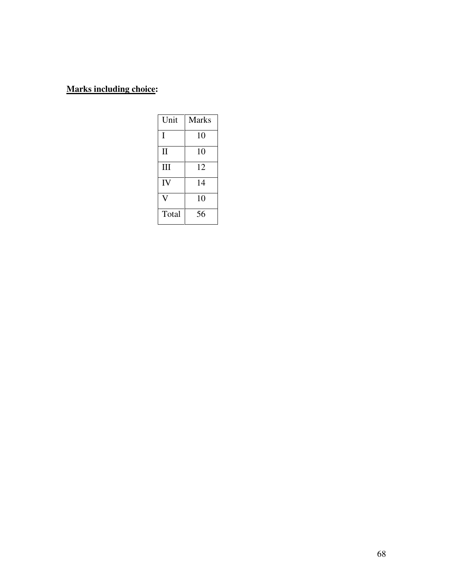| Unit         | <b>Marks</b> |
|--------------|--------------|
| I            | 10           |
| $\mathbf{I}$ | 10           |
| Ш            | 12           |
| IV           | 14           |
|              | 10           |
| Total        | 56           |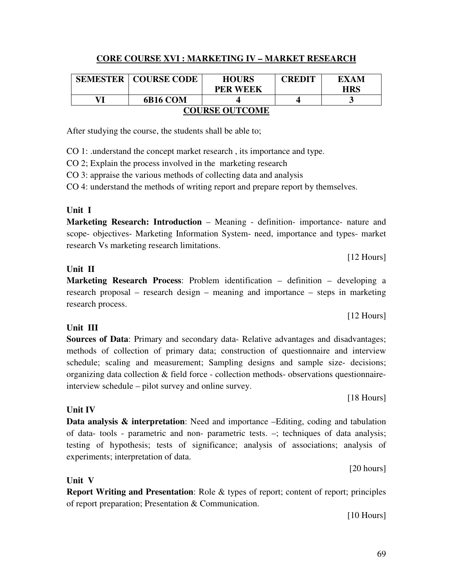# **CORE COURSE XVI : MARKETING IV – MARKET RESEARCH**

|                       | <b>SEMESTER   COURSE CODE</b> | <b>HOURS</b>    | <b>CREDIT</b> | EXAM       |  |
|-----------------------|-------------------------------|-----------------|---------------|------------|--|
|                       |                               | <b>PER WEEK</b> |               | <b>HRS</b> |  |
| VI                    | 6B16 COM                      |                 |               |            |  |
| <b>COURSE OUTCOME</b> |                               |                 |               |            |  |

After studying the course, the students shall be able to;

CO 1: .understand the concept market research , its importance and type.

CO 2; Explain the process involved in the marketing research

CO 3: appraise the various methods of collecting data and analysis

CO 4: understand the methods of writing report and prepare report by themselves.

#### **Unit I**

**Marketing Research: Introduction** – Meaning - definition- importance- nature and scope- objectives- Marketing Information System- need, importance and types- market research Vs marketing research limitations.

### **Unit II**

**Marketing Research Process**: Problem identification – definition – developing a research proposal – research design – meaning and importance – steps in marketing research process.

### **Unit III**

**Sources of Data**: Primary and secondary data- Relative advantages and disadvantages; methods of collection of primary data; construction of questionnaire and interview schedule; scaling and measurement; Sampling designs and sample size- decisions; organizing data collection & field force - collection methods- observations questionnaireinterview schedule – pilot survey and online survey.

[18 Hours]

**Data analysis & interpretation**: Need and importance –Editing, coding and tabulation of data- tools - parametric and non- parametric tests. –; techniques of data analysis; testing of hypothesis; tests of significance; analysis of associations; analysis of experiments; interpretation of data.

[20 hours]

# **Unit V**

**Unit IV** 

**Report Writing and Presentation**: Role & types of report; content of report; principles of report preparation; Presentation & Communication.

[10 Hours]

#### [12 Hours]

[12 Hours]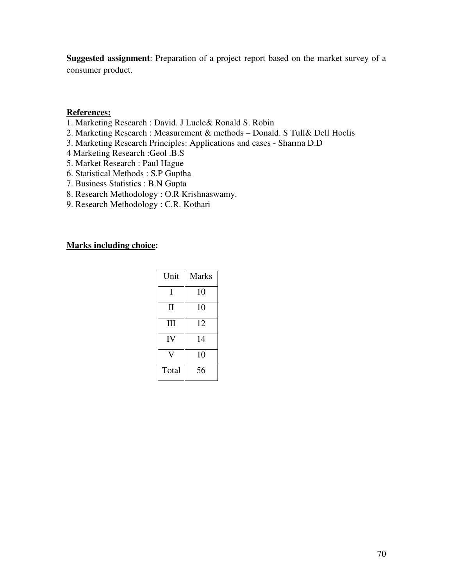**Suggested assignment**: Preparation of a project report based on the market survey of a consumer product.

#### **References:**

- 1. Marketing Research : David. J Lucle& Ronald S. Robin
- 2. Marketing Research : Measurement & methods Donald. S Tull& Dell Hoclis
- 3. Marketing Research Principles: Applications and cases Sharma D.D
- 4 Marketing Research :Geol .B.S
- 5. Market Research : Paul Hague
- 6. Statistical Methods : S.P Guptha
- 7. Business Statistics : B.N Gupta
- 8. Research Methodology : O.R Krishnaswamy.
- 9. Research Methodology : C.R. Kothari

| Unit         | Marks |
|--------------|-------|
| T            | 10    |
| $\mathbf{I}$ | 10    |
| Ш            | 12    |
| IV           | 14    |
|              | 10    |
| Total        | 56    |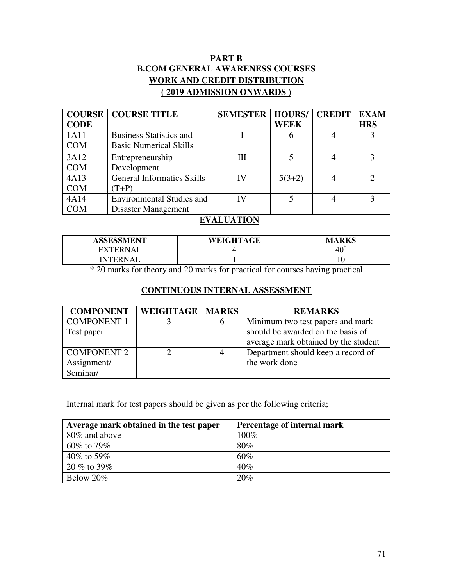# **PART B B.COM GENERAL AWARENESS COURSES WORK AND CREDIT DISTRIBUTION ( 2019 ADMISSION ONWARDS )**

| <b>COURSE</b> | <b>COURSE TITLE</b>               | <b>SEMESTER   HOURS/</b> |          | <b>CREDIT</b>  | <b>EXAM</b>   |
|---------------|-----------------------------------|--------------------------|----------|----------------|---------------|
| <b>CODE</b>   |                                   |                          | WEEK     |                | <b>HRS</b>    |
| 1A11          | <b>Business Statistics and</b>    |                          | 0        |                |               |
| <b>COM</b>    | <b>Basic Numerical Skills</b>     |                          |          |                |               |
| 3A12          | Entrepreneurship                  | Ш                        |          |                |               |
| <b>COM</b>    | Development                       |                          |          |                |               |
| 4A13          | <b>General Informatics Skills</b> | IV                       | $5(3+2)$ | $\overline{4}$ | $\mathcal{D}$ |
| <b>COM</b>    | $(T+P)$                           |                          |          |                |               |
| 4A14          | <b>Environmental Studies and</b>  | IV                       |          |                | 3             |
| <b>COM</b>    | Disaster Management               |                          |          |                |               |

### E**VALUATION**

| <b>ASSESSMENT</b> | WEIGHTAGE | <b>RKS</b><br>M |
|-------------------|-----------|-----------------|
| <b>EXTERNAL</b>   |           | 4U.             |
| <b>INTERNAL</b>   |           |                 |

\* 20 marks for theory and 20 marks for practical for courses having practical

# **CONTINUOUS INTERNAL ASSESSMENT**

| <b>COMPONENT</b>   | <b>WEIGHTAGE   MARKS</b> |   | <b>REMARKS</b>                       |
|--------------------|--------------------------|---|--------------------------------------|
| <b>COMPONENT 1</b> |                          | b | Minimum two test papers and mark     |
| Test paper         |                          |   | should be awarded on the basis of    |
|                    |                          |   | average mark obtained by the student |
| <b>COMPONENT 2</b> |                          | 4 | Department should keep a record of   |
| Assignment/        |                          |   | the work done                        |
| Seminar/           |                          |   |                                      |

Internal mark for test papers should be given as per the following criteria;

| Average mark obtained in the test paper | Percentage of internal mark |
|-----------------------------------------|-----------------------------|
| 80% and above                           | 100%                        |
| 60\% to 79\%                            | $80\%$                      |
| 40\% to 59\%                            | 60%                         |
| $20\%$ to 39%                           | 40%                         |
| Below 20%                               | 20%                         |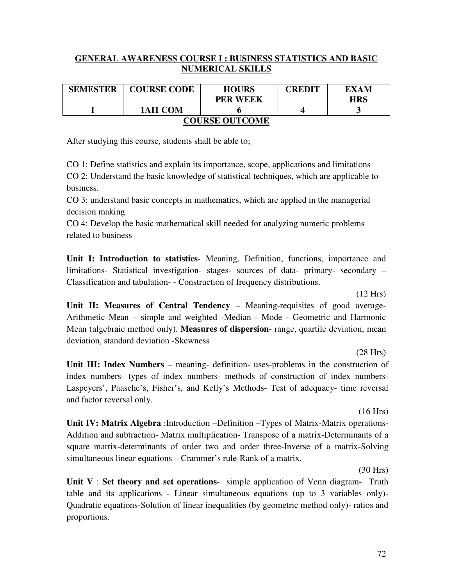### **GENERAL AWARENESS COURSE I : BUSINESS STATISTICS AND BASIC NUMERICAL SKILLS**

| <b>SEMESTER</b>       | <b>COURSE CODE</b> | <b>HOURS</b><br><b>PER WEEK</b> | <b>CREDIT</b> | <b>EXAM</b><br><b>HRS</b> |  |
|-----------------------|--------------------|---------------------------------|---------------|---------------------------|--|
|                       | 1AI1 COM           |                                 |               |                           |  |
| <b>COURSE OUTCOME</b> |                    |                                 |               |                           |  |

After studying this course, students shall be able to;

CO 1: Define statistics and explain its importance, scope, applications and limitations CO 2: Understand the basic knowledge of statistical techniques, which are applicable to business.

CO 3: understand basic concepts in mathematics, which are applied in the managerial decision making.

CO 4: Develop the basic mathematical skill needed for analyzing numeric problems related to business

**Unit I: Introduction to statistics**- Meaning, Definition, functions, importance and limitations- Statistical investigation- stages- sources of data- primary- secondary – Classification and tabulation- - Construction of frequency distributions.

(12 Hrs)

**Unit II: Measures of Central Tendency** – Meaning-requisites of good average-Arithmetic Mean – simple and weighted -Median - Mode - Geometric and Harmonic Mean (algebraic method only). **Measures of dispersion**- range, quartile deviation, mean deviation, standard deviation -Skewness

(28 Hrs)

**Unit III: Index Numbers** – meaning- definition- uses-problems in the construction of index numbers- types of index numbers- methods of construction of index numbers-Laspeyers', Paasche's, Fisher's, and Kelly's Methods- Test of adequacy- time reversal and factor reversal only.

(16 Hrs)

**Unit IV: Matrix Algebra** :Introduction –Definition –Types of Matrix-Matrix operations-Addition and subtraction- Matrix multiplication- Transpose of a matrix-Determinants of a square matrix-determinants of order two and order three-Inverse of a matrix-Solving simultaneous linear equations – Crammer's rule-Rank of a matrix.

(30 Hrs)

**Unit V** : **Set theory and set operations**- simple application of Venn diagram- Truth table and its applications - Linear simultaneous equations (up to 3 variables only)- Quadratic equations-Solution of linear inequalities (by geometric method only)- ratios and proportions.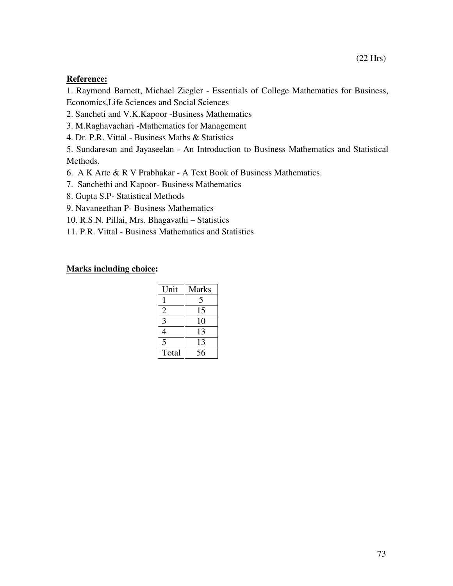#### **Reference:**

1. Raymond Barnett, Michael Ziegler - Essentials of College Mathematics for Business, Economics,Life Sciences and Social Sciences

2. Sancheti and V.K.Kapoor -Business Mathematics

3. M.Raghavachari -Mathematics for Management

4. Dr. P.R. Vittal - Business Maths & Statistics

5. Sundaresan and Jayaseelan - An Introduction to Business Mathematics and Statistical Methods.

6. A K Arte & R V Prabhakar - A Text Book of Business Mathematics.

7. Sanchethi and Kapoor- Business Mathematics

8. Gupta S.P- Statistical Methods

9. Navaneethan P- Business Mathematics

10. R.S.N. Pillai, Mrs. Bhagavathi – Statistics

11. P.R. Vittal - Business Mathematics and Statistics

| Unit           | <b>Marks</b> |
|----------------|--------------|
|                | 5            |
| $\overline{2}$ | 15           |
| 3              | 10           |
|                | 13           |
| 5              | 13           |
| Total          | 56           |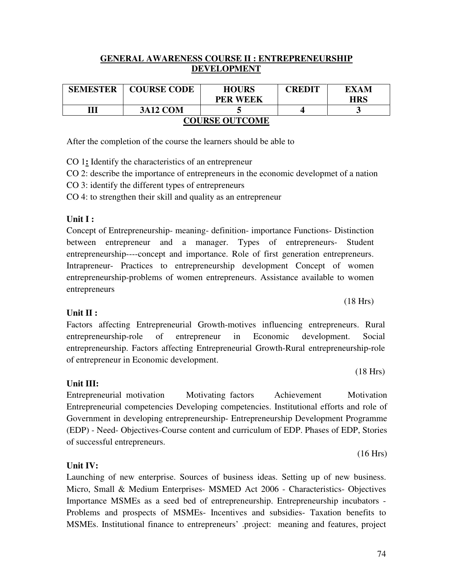#### **GENERAL AWARENESS COURSE II : ENTREPRENEURSHIP DEVELOPMENT**

| <b>SEMESTER</b>       | <b>COURSE CODE</b> | <b>HOURS</b>    | <b>CREDIT</b> | EXAM       |  |
|-----------------------|--------------------|-----------------|---------------|------------|--|
|                       |                    | <b>PER WEEK</b> |               | <b>HRS</b> |  |
| Ш                     | <b>3A12 COM</b>    |                 |               | ັ          |  |
| <b>COURSE OUTCOME</b> |                    |                 |               |            |  |

After the completion of the course the learners should be able to

CO 1**:** Identify the characteristics of an entrepreneur

CO 2: describe the importance of entrepreneurs in the economic developmet of a nation

CO 3: identify the different types of entrepreneurs

CO 4: to strengthen their skill and quality as an entrepreneur

#### **Unit I :**

Concept of Entrepreneurship- meaning- definition- importance Functions- Distinction between entrepreneur and a manager. Types of entrepreneurs- Student entrepreneurship----concept and importance. Role of first generation entrepreneurs. Intrapreneur- Practices to entrepreneurship development Concept of women entrepreneurship-problems of women entrepreneurs. Assistance available to women entrepreneurs

#### **Unit II :**

Factors affecting Entrepreneurial Growth-motives influencing entrepreneurs. Rural entrepreneurship-role of entrepreneur in Economic development. Social entrepreneurship. Factors affecting Entrepreneurial Growth-Rural entrepreneurship-role of entrepreneur in Economic development.

**Unit III:** 

Entrepreneurial motivation Motivating factors Achievement Motivation Entrepreneurial competencies Developing competencies. Institutional efforts and role of Government in developing entrepreneurship- Entrepreneurship Development Programme (EDP) - Need- Objectives-Course content and curriculum of EDP. Phases of EDP, Stories of successful entrepreneurs.

#### **Unit IV:**

Launching of new enterprise. Sources of business ideas. Setting up of new business. Micro, Small & Medium Enterprises- MSMED Act 2006 - Characteristics- Objectives Importance MSMEs as a seed bed of entrepreneurship. Entrepreneurship incubators - Problems and prospects of MSMEs- Incentives and subsidies- Taxation benefits to MSMEs. Institutional finance to entrepreneurs' .project: meaning and features, project

#### (18 Hrs)

(16 Hrs)

(18 Hrs)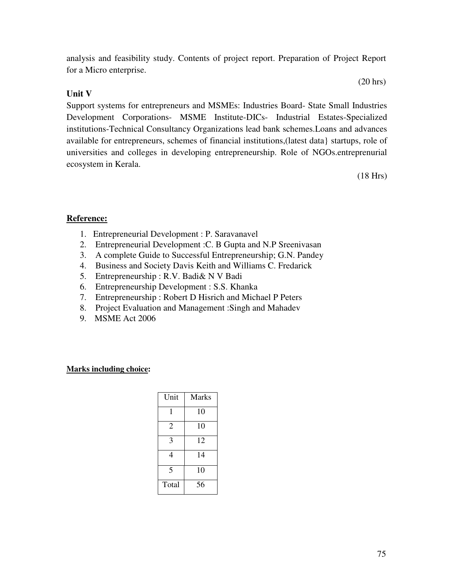analysis and feasibility study. Contents of project report. Preparation of Project Report for a Micro enterprise.

# **Unit V**

Support systems for entrepreneurs and MSMEs: Industries Board- State Small Industries Development Corporations- MSME Institute-DICs- Industrial Estates-Specialized institutions-Technical Consultancy Organizations lead bank schemes.Loans and advances available for entrepreneurs, schemes of financial institutions,(latest data} startups, role of universities and colleges in developing entrepreneurship. Role of NGOs.entreprenurial ecosystem in Kerala.

(18 Hrs)

# **Reference:**

- 1. Entrepreneurial Development : P. Saravanavel
- 2. Entrepreneurial Development :C. B Gupta and N.P Sreenivasan
- 3. A complete Guide to Successful Entrepreneurship; G.N. Pandey
- 4. Business and Society Davis Keith and Williams C. Fredarick
- 5. Entrepreneurship : R.V. Badi& N V Badi
- 6. Entrepreneurship Development : S.S. Khanka
- 7. Entrepreneurship : Robert D Hisrich and Michael P Peters
- 8. Project Evaluation and Management :Singh and Mahadev
- 9. MSME Act 2006

#### **Marks including choice:**

| Unit  | <b>Marks</b> |
|-------|--------------|
| 1     | 10           |
| 2     | 10           |
| 3     | 12           |
| 4     | 14           |
| 5     | 10           |
| Total | 56           |

(20 hrs)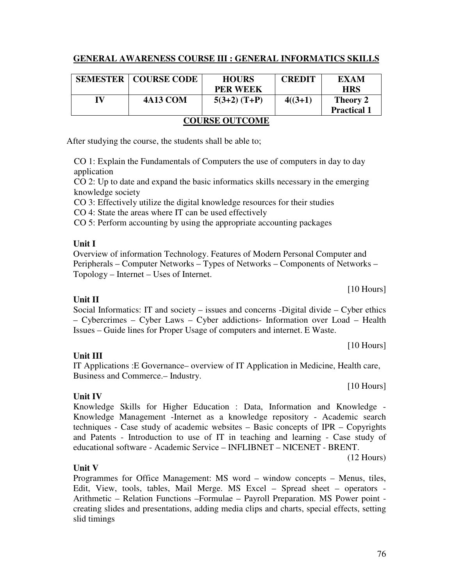# **GENERAL AWARENESS COURSE III : GENERAL INFORMATICS SKILLS**

|                       | <b>SEMESTER   COURSE CODE</b> | <b>HOURS</b><br><b>PER WEEK</b> | <b>CREDIT</b> | EXAM<br><b>HRS</b>             |
|-----------------------|-------------------------------|---------------------------------|---------------|--------------------------------|
| IV                    | <b>4A13 COM</b>               | $5(3+2)$ (T+P)                  | $4((3+1)$     | Theory 2<br><b>Practical 1</b> |
| <b>COURSE OUTCOME</b> |                               |                                 |               |                                |

After studying the course, the students shall be able to;

CO 1: Explain the Fundamentals of Computers the use of computers in day to day application

CO 2: Up to date and expand the basic informatics skills necessary in the emerging knowledge society

CO 3: Effectively utilize the digital knowledge resources for their studies

CO 4: State the areas where IT can be used effectively

CO 5: Perform accounting by using the appropriate accounting packages

# **Unit I**

Overview of information Technology. Features of Modern Personal Computer and Peripherals – Computer Networks – Types of Networks – Components of Networks – Topology – Internet – Uses of Internet.

[10 Hours]

Social Informatics: IT and society – issues and concerns -Digital divide – Cyber ethics – Cybercrimes – Cyber Laws – Cyber addictions- Information over Load – Health Issues – Guide lines for Proper Usage of computers and internet. E Waste.

[10 Hours]

# **Unit III**

**Unit IV**

IT Applications :E Governance– overview of IT Application in Medicine, Health care, Business and Commerce.– Industry.

[10 Hours]

Knowledge Skills for Higher Education : Data, Information and Knowledge - Knowledge Management -Internet as a knowledge repository - Academic search techniques - Case study of academic websites – Basic concepts of IPR – Copyrights and Patents - Introduction to use of IT in teaching and learning - Case study of educational software - Academic Service – INFLIBNET – NICENET - BRENT.

(12 Hours)

# **Unit V**

Programmes for Office Management: MS word – window concepts – Menus, tiles, Edit, View, tools, tables, Mail Merge. MS Excel – Spread sheet – operators - Arithmetic – Relation Functions –Formulae – Payroll Preparation. MS Power point creating slides and presentations, adding media clips and charts, special effects, setting slid timings

# **Unit II**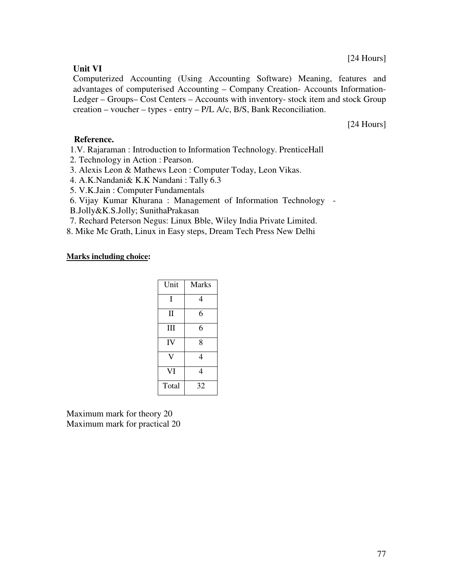#### [24 Hours]

#### **Unit VI**

Computerized Accounting (Using Accounting Software) Meaning, features and advantages of computerised Accounting – Company Creation- Accounts Information-Ledger – Groups– Cost Centers – Accounts with inventory- stock item and stock Group creation – voucher – types - entry – P/L A/c, B/S, Bank Reconciliation.

[24 Hours]

#### **Reference.**

- 1.V. Rajaraman : Introduction to Information Technology. PrenticeHall
- 2. Technology in Action : Pearson.
- 3. Alexis Leon & Mathews Leon : Computer Today, Leon Vikas.
- 4. A.K.Nandani& K.K Nandani : Tally 6.3
- 5. V.K.Jain : Computer Fundamentals
- 6. Vijay Kumar Khurana : Management of Information Technology -
- B.Jolly&K.S.Jolly; SunithaPrakasan
- 7. Rechard Peterson Negus: Linux Bble, Wiley India Private Limited.
- 8. Mike Mc Grath, Linux in Easy steps, Dream Tech Press New Delhi

#### **Marks including choice:**

| Unit  | <b>Marks</b> |
|-------|--------------|
| T     | 4            |
| Π     | 6            |
| Ш     | 6            |
| IV    | 8            |
|       | 4            |
| VI    | 4            |
| Total | 32           |

Maximum mark for theory 20 Maximum mark for practical 20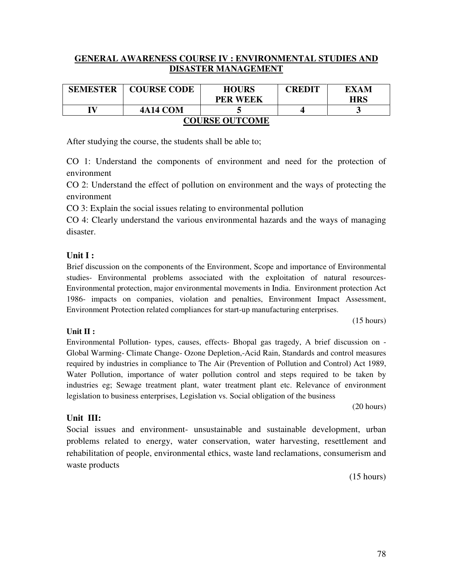#### **GENERAL AWARENESS COURSE IV : ENVIRONMENTAL STUDIES AND DISASTER MANAGEMENT**

| <b>SEMESTER</b>       | <b>COURSE CODE</b> | <b>HOURS</b><br><b>PER WEEK</b> | <b>CREDIT</b> | EXAM<br><b>HRS</b> |  |
|-----------------------|--------------------|---------------------------------|---------------|--------------------|--|
| TV                    | <b>4A14 COM</b>    |                                 |               |                    |  |
| <b>COURSE OUTCOME</b> |                    |                                 |               |                    |  |

After studying the course, the students shall be able to;

CO 1: Understand the components of environment and need for the protection of environment

CO 2: Understand the effect of pollution on environment and the ways of protecting the environment

CO 3: Explain the social issues relating to environmental pollution

CO 4: Clearly understand the various environmental hazards and the ways of managing disaster.

#### **Unit I :**

**Unit II :** 

Brief discussion on the components of the Environment, Scope and importance of Environmental studies- Environmental problems associated with the exploitation of natural resources-Environmental protection, major environmental movements in India. Environment protection Act 1986- impacts on companies, violation and penalties, Environment Impact Assessment, Environment Protection related compliances for start-up manufacturing enterprises.

(15 hours)

# Environmental Pollution- types, causes, effects- Bhopal gas tragedy, A brief discussion on - Global Warming- Climate Change- Ozone Depletion,-Acid Rain, Standards and control measures required by industries in compliance to The Air (Prevention of Pollution and Control) Act 1989, Water Pollution, importance of water pollution control and steps required to be taken by industries eg; Sewage treatment plant, water treatment plant etc. Relevance of environment legislation to business enterprises, Legislation vs. Social obligation of the business

(20 hours)

#### **Unit III:**

Social issues and environment- unsustainable and sustainable development, urban problems related to energy, water conservation, water harvesting, resettlement and rehabilitation of people, environmental ethics, waste land reclamations, consumerism and waste products

(15 hours)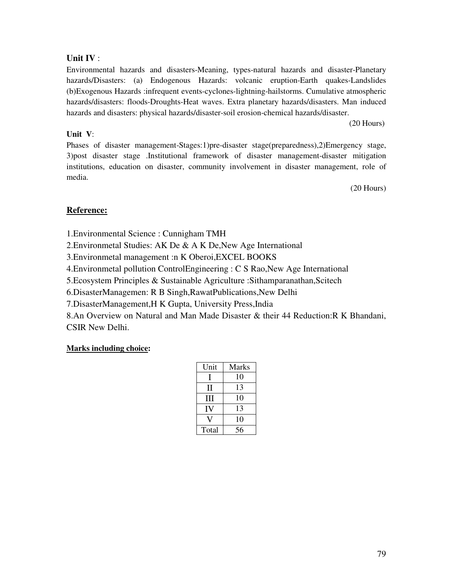#### **Unit IV** :

Environmental hazards and disasters-Meaning, types-natural hazards and disaster-Planetary hazards/Disasters: (a) Endogenous Hazards: volcanic eruption-Earth quakes-Landslides (b)Exogenous Hazards :infrequent events-cyclones-lightning-hailstorms. Cumulative atmospheric hazards/disasters: floods-Droughts-Heat waves. Extra planetary hazards/disasters. Man induced hazards and disasters: physical hazards/disaster-soil erosion-chemical hazards/disaster.

(20 Hours)

#### **Unit V**:

Phases of disaster management-Stages:1)pre-disaster stage(preparedness),2)Emergency stage, 3)post disaster stage .Institutional framework of disaster management-disaster mitigation institutions, education on disaster, community involvement in disaster management, role of media.

(20 Hours)

# **Reference:**

1.Environmental Science : Cunnigham TMH

2.Environmetal Studies: AK De & A K De,New Age International

3.Environmetal management :n K Oberoi,EXCEL BOOKS

4.Environmetal pollution ControlEngineering : C S Rao,New Age International

5.Ecosystem Principles & Sustainable Agriculture :Sithamparanathan,Scitech

6.DisasterManagemen: R B Singh,RawatPublications,New Delhi

7.DisasterManagement,H K Gupta, University Press,India

8.An Overview on Natural and Man Made Disaster & their 44 Reduction:R K Bhandani, CSIR New Delhi.

| Unit  | <b>Marks</b> |
|-------|--------------|
| н     | 10           |
| Н     | 13           |
| Ш     | 10           |
| IV    | 13           |
|       | 10           |
| Total | 56           |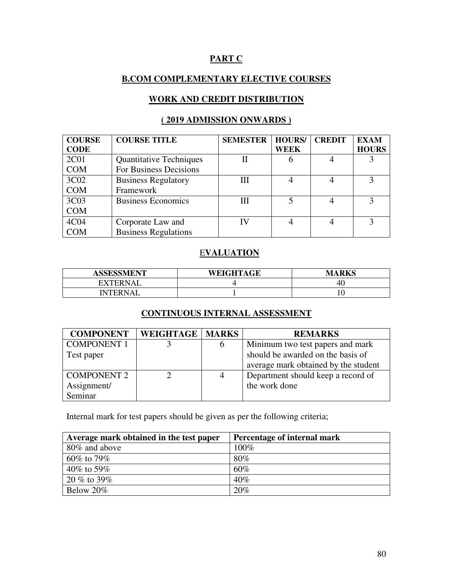# **PART C**

# **B.COM COMPLEMENTARY ELECTIVE COURSES**

# **WORK AND CREDIT DISTRIBUTION**

# **( 2019 ADMISSION ONWARDS )**

| <b>COURSE</b> | <b>COURSE TITLE</b>            | <b>SEMESTER</b> | <b>HOURS/</b> | <b>CREDIT</b> | <b>EXAM</b>  |
|---------------|--------------------------------|-----------------|---------------|---------------|--------------|
| <b>CODE</b>   |                                |                 | WEEK          |               | <b>HOURS</b> |
| 2C01          | <b>Quantitative Techniques</b> |                 |               |               |              |
| <b>COM</b>    | For Business Decisions         |                 |               |               |              |
| 3C02          | <b>Business Regulatory</b>     | Ш               |               |               |              |
| <b>COM</b>    | Framework                      |                 |               |               |              |
| 3C03          | <b>Business Economics</b>      | Ш               |               |               | 3            |
| <b>COM</b>    |                                |                 |               |               |              |
| 4C04          | Corporate Law and              | ГV              |               |               |              |
| <b>COM</b>    | <b>Business Regulations</b>    |                 |               |               |              |

## E**VALUATION**

| <b>ASSESSMENT</b> | WEIGHTAGE | <b>MARKS</b> |
|-------------------|-----------|--------------|
| <b>EXTERNAL</b>   |           | -46          |
| <b>INTERNAL</b>   |           | ັບ           |

#### **CONTINUOUS INTERNAL ASSESSMENT**

| <b>COMPONENT</b>   | <b>WEIGHTAGE   MARKS</b> |   | <b>REMARKS</b>                       |
|--------------------|--------------------------|---|--------------------------------------|
| <b>COMPONENT 1</b> |                          | O | Minimum two test papers and mark     |
| Test paper         |                          |   | should be awarded on the basis of    |
|                    |                          |   | average mark obtained by the student |
| <b>COMPONENT 2</b> |                          | 4 | Department should keep a record of   |
| Assignment/        |                          |   | the work done                        |
| Seminar            |                          |   |                                      |

Internal mark for test papers should be given as per the following criteria;

| Average mark obtained in the test paper | Percentage of internal mark |
|-----------------------------------------|-----------------------------|
| 80% and above                           | 100%                        |
| $60\%$ to 79%                           | $80\%$                      |
| 40\% to 59\%                            | 60%                         |
| $20\%$ to 39%                           | $40\%$                      |
| Below 20%                               | 20%                         |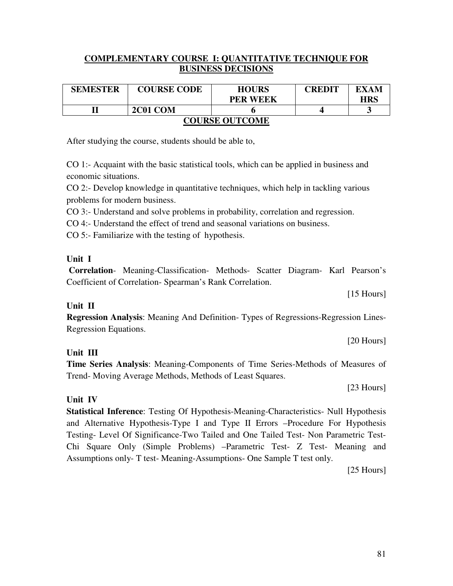[20 Hours]

[15 Hours]

# **Unit IV**

**Statistical Inference**: Testing Of Hypothesis-Meaning-Characteristics- Null Hypothesis and Alternative Hypothesis-Type I and Type II Errors –Procedure For Hypothesis Testing- Level Of Significance-Two Tailed and One Tailed Test- Non Parametric Test-Chi Square Only (Simple Problems) –Parametric Test- Z Test- Meaning and Assumptions only- T test- Meaning-Assumptions- One Sample T test only.

CO 1:- Acquaint with the basic statistical tools, which can be applied in business and economic situations.

CO 2:- Develop knowledge in quantitative techniques, which help in tackling various problems for modern business.

CO 3:- Understand and solve problems in probability, correlation and regression.

CO 4:- Understand the effect of trend and seasonal variations on business.

CO 5:- Familiarize with the testing of hypothesis.

After studying the course, students should be able to,

# **Unit I**

 **Correlation**- Meaning-Classification- Methods- Scatter Diagram- Karl Pearson's Coefficient of Correlation- Spearman's Rank Correlation.

**Unit II Regression Analysis**: Meaning And Definition- Types of Regressions-Regression Lines-Regression Equations.

**Time Series Analysis**: Meaning-Components of Time Series-Methods of Measures of Trend- Moving Average Methods, Methods of Least Squares.

[23 Hours]

[25 Hours]

|                           |  |  | <b>COMPLEMENTARY COURSE I: QUANTITATIVE TECHNIQUE FOR</b> |  |
|---------------------------|--|--|-----------------------------------------------------------|--|
| <b>BUSINESS DECISIONS</b> |  |  |                                                           |  |

| <b>SEMESTER</b>       | <b>COURSE CODE</b> | <b>HOURS</b>    | <b>CREDIT</b> | EXAM       |  |  |
|-----------------------|--------------------|-----------------|---------------|------------|--|--|
|                       |                    | <b>PER WEEK</b> |               | <b>HRS</b> |  |  |
|                       | 2C01 COM           |                 |               |            |  |  |
| <b>COURSE OUTCOME</b> |                    |                 |               |            |  |  |

# **Unit III**

81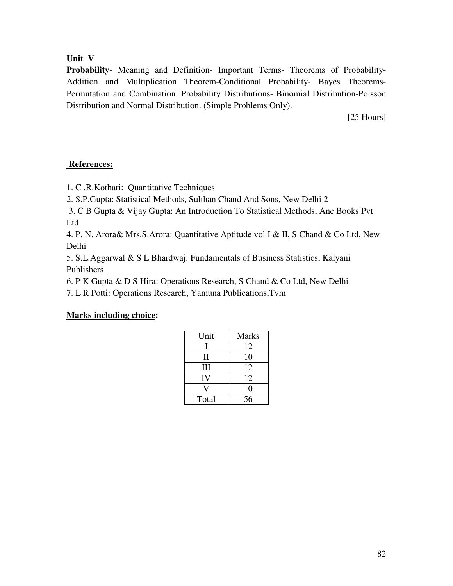**Unit V** 

**Probability**- Meaning and Definition- Important Terms- Theorems of Probability-Addition and Multiplication Theorem-Conditional Probability- Bayes Theorems-Permutation and Combination. Probability Distributions- Binomial Distribution-Poisson Distribution and Normal Distribution. (Simple Problems Only).

[25 Hours]

#### **References:**

1. C .R.Kothari: Quantitative Techniques

2. S.P.Gupta: Statistical Methods, Sulthan Chand And Sons, New Delhi 2

 3. C B Gupta & Vijay Gupta: An Introduction To Statistical Methods, Ane Books Pvt Ltd

4. P. N. Arora& Mrs.S.Arora: Quantitative Aptitude vol I & II, S Chand & Co Ltd, New Delhi

5. S.L.Aggarwal & S L Bhardwaj: Fundamentals of Business Statistics, Kalyani Publishers

6. P K Gupta & D S Hira: Operations Research, S Chand & Co Ltd, New Delhi

7. L R Potti: Operations Research, Yamuna Publications,Tvm

| Unit  | <b>Marks</b> |
|-------|--------------|
|       | 12           |
| Н     | 10           |
| Ш     | 12           |
| IV    | 12           |
|       | 10           |
| Total | 56           |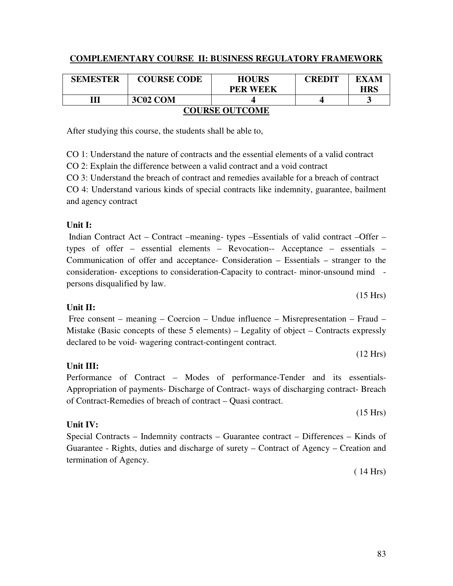# **COMPLEMENTARY COURSE II: BUSINESS REGULATORY FRAMEWORK**

| <b>SEMESTER</b>       | <b>COURSE CODE</b> | <b>HOURS</b>    | CREDIT | EXAM       |  |
|-----------------------|--------------------|-----------------|--------|------------|--|
|                       |                    | <b>PER WEEK</b> |        | <b>HRS</b> |  |
| Ш                     | 3C02 COM           |                 |        |            |  |
| <b>COURSE OUTCOME</b> |                    |                 |        |            |  |

# After studying this course, the students shall be able to,

CO 1: Understand the nature of contracts and the essential elements of a valid contract

CO 2: Explain the difference between a valid contract and a void contract

CO 3: Understand the breach of contract and remedies available for a breach of contract

CO 4: Understand various kinds of special contracts like indemnity, guarantee, bailment and agency contract

# **Unit I:**

 Indian Contract Act – Contract –meaning- types –Essentials of valid contract –Offer – types of offer – essential elements – Revocation-- Acceptance – essentials – Communication of offer and acceptance- Consideration – Essentials – stranger to the consideration- exceptions to consideration-Capacity to contract- minor-unsound mind persons disqualified by law.

# **Unit II:**

 Free consent – meaning – Coercion – Undue influence – Misrepresentation – Fraud – Mistake (Basic concepts of these 5 elements) – Legality of object – Contracts expressly declared to be void- wagering contract-contingent contract.

# **Unit III:**

Performance of Contract – Modes of performance-Tender and its essentials-Appropriation of payments- Discharge of Contract- ways of discharging contract- Breach of Contract-Remedies of breach of contract – Quasi contract.

# **Unit IV:**

Special Contracts – Indemnity contracts – Guarantee contract – Differences – Kinds of Guarantee - Rights, duties and discharge of surety – Contract of Agency – Creation and termination of Agency.

( 14 Hrs)

(15 Hrs)

(12 Hrs)

(15 Hrs)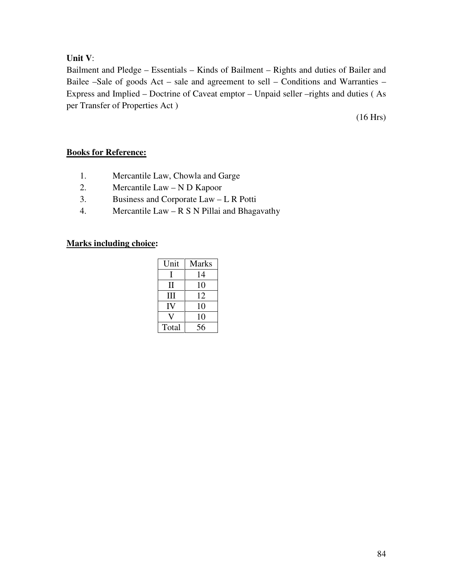#### **Unit V**:

Bailment and Pledge – Essentials – Kinds of Bailment – Rights and duties of Bailer and Bailee –Sale of goods Act – sale and agreement to sell – Conditions and Warranties – Express and Implied – Doctrine of Caveat emptor – Unpaid seller –rights and duties ( As per Transfer of Properties Act )

(16 Hrs)

# **Books for Reference:**

- 1. Mercantile Law, Chowla and Garge
- 2. Mercantile Law N D Kapoor
- 3. Business and Corporate Law L R Potti
- 4. Mercantile Law R S N Pillai and Bhagavathy

| Unit  | <b>Marks</b> |  |
|-------|--------------|--|
|       | 14           |  |
| Н     | 10           |  |
| Ш     | 12           |  |
| IV    | 10           |  |
|       | 10           |  |
| Total | 56           |  |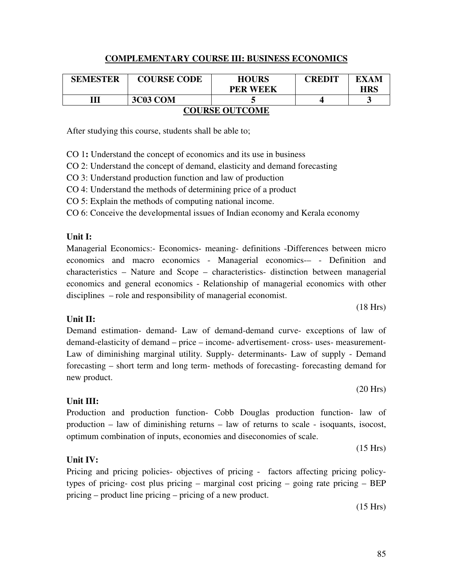#### **COMPLEMENTARY COURSE III: BUSINESS ECONOMICS**

| <b>SEMESTER</b>       | <b>COURSE CODE</b> | <b>HOURS</b><br><b>PER WEEK</b> | CREDIT | EXAM<br>HRS |  |
|-----------------------|--------------------|---------------------------------|--------|-------------|--|
|                       | 3C03 COM           |                                 |        | ັ           |  |
| <b>COURSE OUTCOME</b> |                    |                                 |        |             |  |

After studying this course, students shall be able to;

CO 1**:** Understand the concept of economics and its use in business

CO 2: Understand the concept of demand, elasticity and demand forecasting

CO 3: Understand production function and law of production

CO 4: Understand the methods of determining price of a product

CO 5: Explain the methods of computing national income.

CO 6: Conceive the developmental issues of Indian economy and Kerala economy

#### **Unit I:**

Managerial Economics:- Economics- meaning- definitions -Differences between micro economics and macro economics - Managerial economics-– - Definition and characteristics – Nature and Scope – characteristics- distinction between managerial economics and general economics - Relationship of managerial economics with other disciplines – role and responsibility of managerial economist.

#### **Unit II:**

Demand estimation- demand- Law of demand-demand curve- exceptions of law of demand-elasticity of demand – price – income- advertisement- cross- uses- measurement-Law of diminishing marginal utility. Supply- determinants- Law of supply - Demand forecasting – short term and long term- methods of forecasting- forecasting demand for new product.

#### **Unit III:**

Production and production function- Cobb Douglas production function- law of production – law of diminishing returns – law of returns to scale - isoquants, isocost, optimum combination of inputs, economies and diseconomies of scale.

#### **Unit IV:**

Pricing and pricing policies- objectives of pricing - factors affecting pricing policytypes of pricing- cost plus pricing – marginal cost pricing – going rate pricing – BEP pricing – product line pricing – pricing of a new product.

(15 Hrs)

#### (18 Hrs)

(20 Hrs)

(15 Hrs)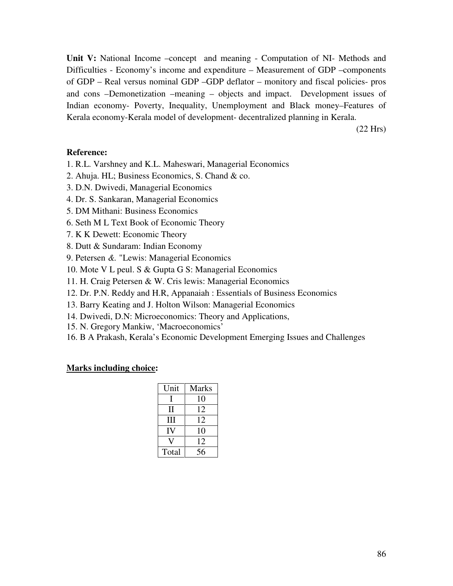Unit V: National Income –concept and meaning - Computation of NI- Methods and Difficulties - Economy's income and expenditure – Measurement of GDP –components of GDP – Real versus nominal GDP –GDP deflator – monitory and fiscal policies- pros and cons –Demonetization –meaning – objects and impact.Development issues of Indian economy- Poverty, Inequality, Unemployment and Black money–Features of Kerala economy-Kerala model of development- decentralized planning in Kerala.

(22 Hrs)

#### **Reference:**

- 1. R.L. Varshney and K.L. Maheswari, Managerial Economics
- 2. Ahuja. HL; Business Economics, S. Chand & co.
- 3. D.N. Dwivedi, Managerial Economics
- 4. Dr. S. Sankaran, Managerial Economics
- 5. DM Mithani: Business Economics
- 6. Seth M L Text Book of Economic Theory
- 7. K K Dewett: Economic Theory
- 8. Dutt & Sundaram: Indian Economy
- 9. Petersen *&.* "Lewis: Managerial Economics
- 10. Mote V L peul. S & Gupta G S: Managerial Economics
- 11. H. Craig Petersen & W. Cris lewis: Managerial Economics
- 12. Dr. P.N. Reddy and H.R, Appanaiah : Essentials of Business Economics
- 13. Barry Keating and J. Holton Wilson: Managerial Economics
- 14. Dwivedi, D.N: Microeconomics: Theory and Applications,
- 15. N. Gregory Mankiw, 'Macroeconomics'
- 16. B A Prakash, Kerala's Economic Development Emerging Issues and Challenges

| Unit  | <b>Marks</b> |
|-------|--------------|
|       | 10           |
| П     | 12           |
| Ш     | 12           |
| IV    | 10           |
|       | 12           |
| Total | 56           |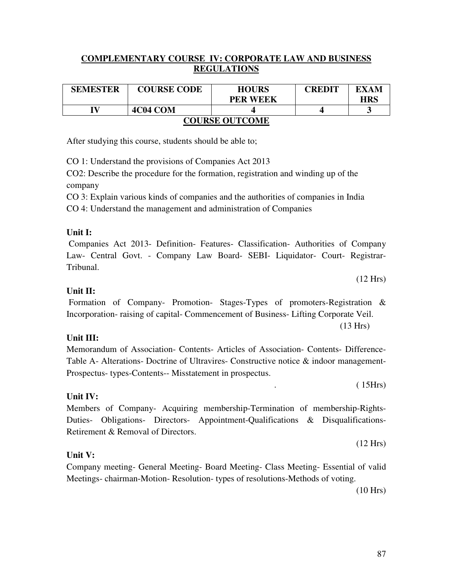#### **COMPLEMENTARY COURSE IV: CORPORATE LAW AND BUSINESS REGULATIONS**

| <b>SEMESTER</b>       | <b>COURSE CODE</b> | <b>HOURS</b>    | CREDIT | EXAM       |  |
|-----------------------|--------------------|-----------------|--------|------------|--|
|                       |                    | <b>PER WEEK</b> |        | <b>HRS</b> |  |
|                       | 4C04 COM           |                 |        |            |  |
| <b>COURSE OUTCOME</b> |                    |                 |        |            |  |

After studying this course, students should be able to;

CO 1: Understand the provisions of Companies Act 2013

CO2: Describe the procedure for the formation, registration and winding up of the company

CO 3: Explain various kinds of companies and the authorities of companies in India CO 4: Understand the management and administration of Companies

#### **Unit I:**

 Companies Act 2013- Definition- Features- Classification- Authorities of Company Law- Central Govt. - Company Law Board- SEBI- Liquidator- Court- Registrar-Tribunal.

#### **Unit II:**

 Formation of Company- Promotion- Stages-Types of promoters-Registration & Incorporation- raising of capital- Commencement of Business- Lifting Corporate Veil. (13 Hrs)

#### **Unit III:**

**Unit IV:** 

Memorandum of Association- Contents- Articles of Association- Contents- Difference-Table A- Alterations- Doctrine of Ultravires- Constructive notice & indoor management-Prospectus- types-Contents-- Misstatement in prospectus.

 $(15Hrs)$ 

(12 Hrs)

Members of Company- Acquiring membership-Termination of membership-Rights-Duties- Obligations- Directors- Appointment-Qualifications & Disqualifications-Retirement & Removal of Directors.

#### **Unit V:**

Company meeting- General Meeting- Board Meeting- Class Meeting- Essential of valid Meetings- chairman-Motion- Resolution- types of resolutions-Methods of voting.

(10 Hrs)

(12 Hrs)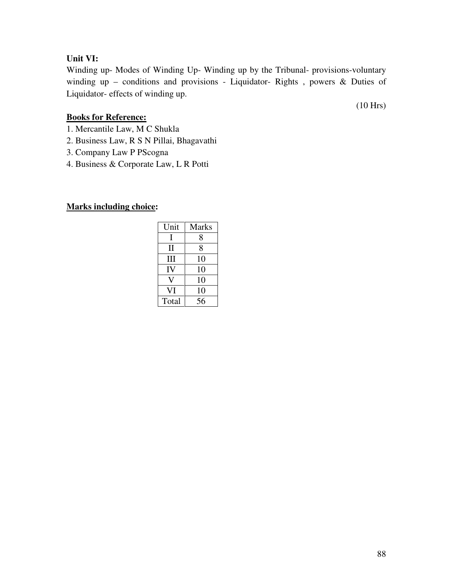#### **Unit VI:**

Winding up- Modes of Winding Up- Winding up by the Tribunal- provisions-voluntary winding up – conditions and provisions - Liquidator- Rights , powers & Duties of Liquidator- effects of winding up.

(10 Hrs)

#### **Books for Reference:**

- 1. Mercantile Law, M C Shukla
- 2. Business Law, R S N Pillai, Bhagavathi
- 3. Company Law P PScogna
- 4. Business & Corporate Law, L R Potti

| Unit  | <b>Marks</b> |
|-------|--------------|
| L     | 8            |
| П     | 8            |
| Ш     | 10           |
| IV    | 10           |
|       | 10           |
| VI    | 10           |
| Total | 56           |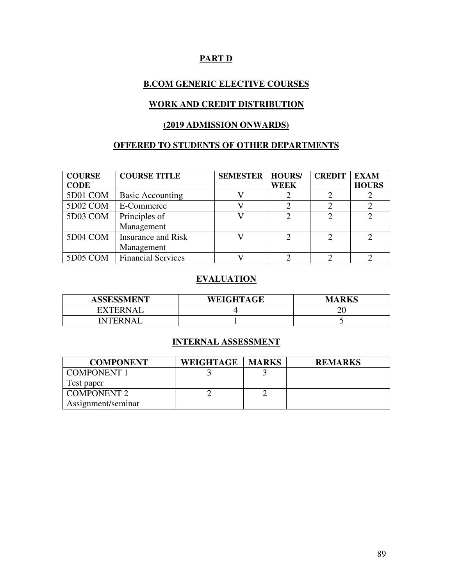# **PART D**

#### **B.COM GENERIC ELECTIVE COURSES**

#### **WORK AND CREDIT DISTRIBUTION**

### **(2019 ADMISSION ONWARDS)**

### **OFFERED TO STUDENTS OF OTHER DEPARTMENTS**

| <b>COURSE</b><br><b>CODE</b> | <b>COURSE TITLE</b>       | <b>SEMESTER</b> | <b>HOURS/</b><br><b>WEEK</b> | <b>CREDIT</b> | <b>EXAM</b><br><b>HOURS</b> |
|------------------------------|---------------------------|-----------------|------------------------------|---------------|-----------------------------|
| 5D01 COM                     | <b>Basic Accounting</b>   |                 |                              |               |                             |
| 5D02 COM                     | E-Commerce                |                 |                              |               |                             |
| 5D03 COM                     | Principles of             |                 |                              | ◠             |                             |
|                              | Management                |                 |                              |               |                             |
| 5D04 COM                     | Insurance and Risk        |                 |                              |               | $\mathcal{D}_{\mathcal{A}}$ |
|                              | Management                |                 |                              |               |                             |
| 5D05 COM                     | <b>Financial Services</b> |                 |                              |               |                             |

### **EVALUATION**

| <b>ASSESSMENT</b>  | <b>WEIGHTAGE</b> | <b>MARKS</b> |
|--------------------|------------------|--------------|
| <b>XTERNA</b><br>- |                  |              |
| TN.L.B.            |                  |              |

### **INTERNAL ASSESSMENT**

| <b>COMPONENT</b>   | WEIGHTAGE | <b>MARKS</b> | <b>REMARKS</b> |
|--------------------|-----------|--------------|----------------|
| <b>COMPONENT 1</b> |           |              |                |
| Test paper         |           |              |                |
| <b>COMPONENT 2</b> |           |              |                |
| Assignment/seminar |           |              |                |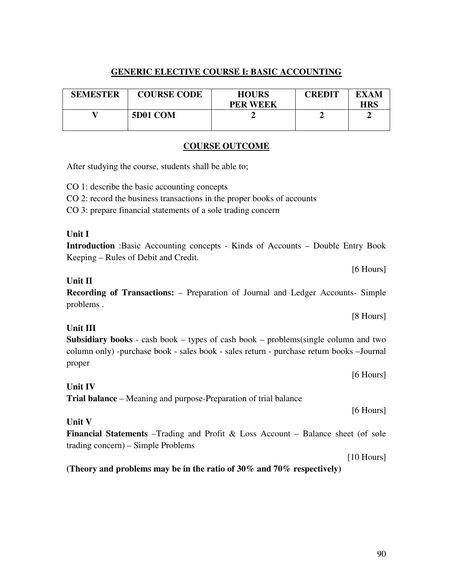#### **GENERIC ELECTIVE COURSE I: BASIC ACCOUNTING**

| <b>SEMESTER</b> | <b>COURSE CODE</b> | <b>HOURS</b><br><b>PER WEEK</b> | <b>CREDIT</b> | EXAM<br><b>HRS</b> |
|-----------------|--------------------|---------------------------------|---------------|--------------------|
|                 | 5D01 COM           |                                 |               |                    |

#### **COURSE OUTCOME**

After studying the course, students shall be able to;

CO 1: describe the basic accounting concepts

CO 2: record the business transactions in the proper books of accounts

CO 3: prepare financial statements of a sole trading concern

#### **Unit I**

**Introduction** :Basic Accounting concepts - Kinds of Accounts – Double Entry Book Keeping – Rules of Debit and Credit.

[6 Hours]

[8 Hours]

#### **Unit II**

**Recording of Transactions:** – Preparation of Journal and Ledger Accounts- Simple problems .

#### **Unit III**

**Subsidiary books** - cash book – types of cash book – problems(single column and two column only) -purchase book - sales book - sales return - purchase return books –Journal proper

[6 Hours]

[6 Hours]

#### **Unit IV**

**Trial balance** – Meaning and purpose-Preparation of trial balance

**Unit V** 

**Financial Statements** –Trading and Profit & Loss Account – Balance sheet (of sole trading concern) – Simple Problems

[10 Hours]

**(Theory and problems may be in the ratio of 30% and 70% respectively)**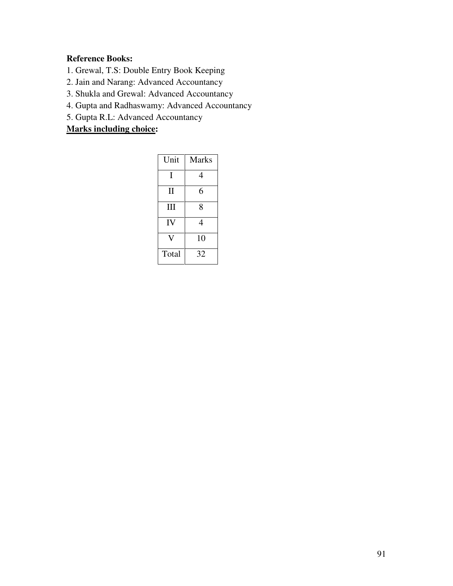# **Reference Books:**

- 1. Grewal, T.S: Double Entry Book Keeping
- 2. Jain and Narang: Advanced Accountancy
- 3. Shukla and Grewal: Advanced Accountancy
- 4. Gupta and Radhaswamy: Advanced Accountancy
- 5. Gupta R.L: Advanced Accountancy

| Unit  | <b>Marks</b> |
|-------|--------------|
| I     | 4            |
| П     | 6            |
| III   | 8            |
| IV    | 4            |
|       | 10           |
| Total | 32           |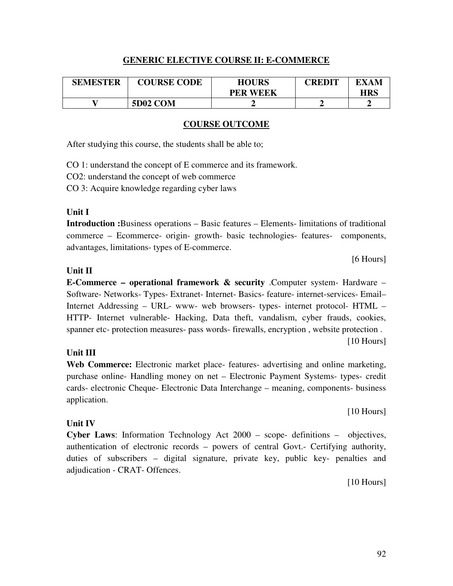#### **GENERIC ELECTIVE COURSE II: E-COMMERCE**

| <b>SEMESTER</b> | <b>COURSE CODE</b> | <b>HOURS</b>    | CREDIT | EXAM |
|-----------------|--------------------|-----------------|--------|------|
|                 |                    | <b>PER WEEK</b> |        | HRS  |
|                 | <b>5D02 COM</b>    |                 |        |      |

#### **COURSE OUTCOME**

After studying this course, the students shall be able to;

CO 1: understand the concept of E commerce and its framework.

CO2: understand the concept of web commerce

CO 3: Acquire knowledge regarding cyber laws

#### **Unit I**

**Introduction :**Business operations – Basic features – Elements- limitations of traditional commerce – Ecommerce- origin- growth- basic technologies- features- components, advantages, limitations- types of E-commerce.

[6 Hours]

#### **Unit II**

**E-Commerce – operational framework & security** .Computer system- Hardware – Software- Networks- Types- Extranet- Internet- Basics- feature- internet-services- Email– Internet Addressing – URL- www- web browsers- types- internet protocol- HTML – HTTP- Internet vulnerable- Hacking, Data theft, vandalism, cyber frauds, cookies, spanner etc- protection measures- pass words- firewalls, encryption , website protection .

#### **Unit III**

**Web Commerce:** Electronic market place- features- advertising and online marketing, purchase online- Handling money on net – Electronic Payment Systems- types- credit cards- electronic Cheque- Electronic Data Interchange – meaning, components- business application.

[10 Hours]

[10 Hours]

#### **Unit IV**

**Cyber Laws**: Information Technology Act 2000 – scope- definitions – objectives, authentication of electronic records – powers of central Govt.- Certifying authority, duties of subscribers – digital signature, private key, public key- penalties and adjudication - CRAT- Offences.

[10 Hours]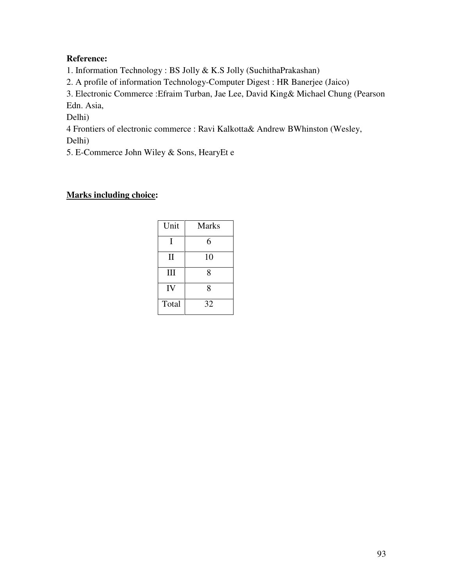## **Reference:**

1. Information Technology : BS Jolly & K.S Jolly (SuchithaPrakashan)

2. A profile of information Technology-Computer Digest : HR Banerjee (Jaico)

3. Electronic Commerce :Efraim Turban, Jae Lee, David King& Michael Chung (Pearson Edn. Asia,

Delhi)

4 Frontiers of electronic commerce : Ravi Kalkotta& Andrew BWhinston (Wesley,

Delhi)

5. E-Commerce John Wiley & Sons, HearyEt e

| Unit         | <b>Marks</b> |
|--------------|--------------|
| I            | 6            |
| $\mathbf{I}$ | 10           |
| III          | 8            |
| IV           | 8            |
| Total        | 32           |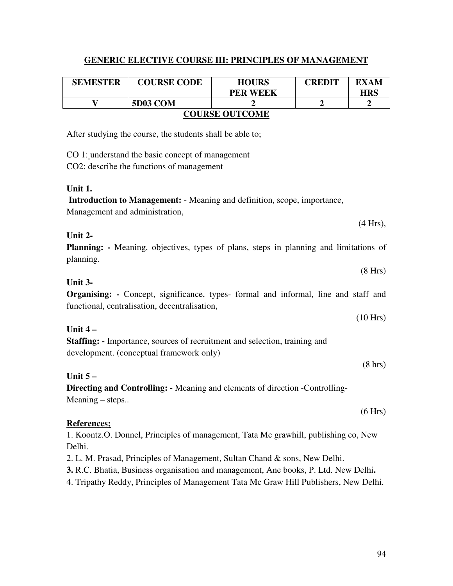#### **GENERIC ELECTIVE COURSE III: PRINCIPLES OF MANAGEMENT**

| <b>SEMESTER</b>       | <b>COURSE CODE</b> | <b>HOURS</b><br><b>PER WEEK</b> | <b>CREDIT</b> | EXAM<br>HRS |
|-----------------------|--------------------|---------------------------------|---------------|-------------|
|                       | 5D03 COM           |                                 |               |             |
| <b>COURSE OUTCOME</b> |                    |                                 |               |             |

After studying the course, the students shall be able to;

CO 1: understand the basic concept of management

CO2: describe the functions of management

#### **Unit 1.**

**Introduction to Management:** - Meaning and definition, scope, importance, Management and administration,

#### **Unit 2-**

**Planning:** - Meaning, objectives, types of plans, steps in planning and limitations of planning.

(8 Hrs)

# **Unit 3-**

**Organising:** - Concept, significance, types- formal and informal, line and staff and functional, centralisation, decentralisation,

#### **Unit 4 –**

**Staffing: -** Importance, sources of recruitment and selection, training and development. (conceptual framework only)

#### **Unit 5 –**

**Directing and Controlling: -** Meaning and elements of direction -Controlling-Meaning – steps..

#### **References;**

1. Koontz.O. Donnel, Principles of management, Tata Mc grawhill, publishing co, New Delhi.

2. L. M. Prasad, Principles of Management, Sultan Chand & sons, New Delhi.

**3.** R.C. Bhatia, Business organisation and management, Ane books, P. Ltd. New Delhi**.** 

4. Tripathy Reddy, Principles of Management Tata Mc Graw Hill Publishers, New Delhi.

(4 Hrs),

(10 Hrs)

(8 hrs)

(6 Hrs)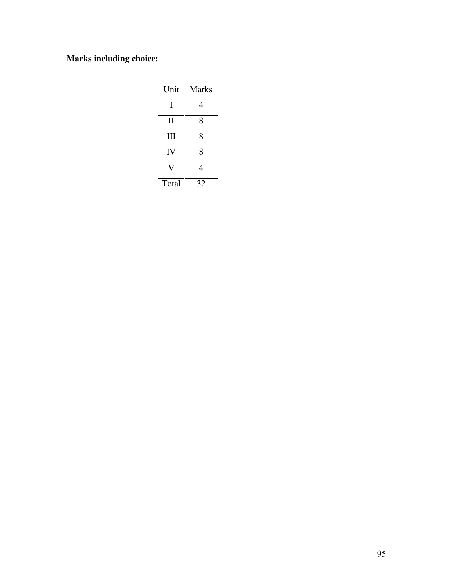| Unit         | Marks |
|--------------|-------|
| I            | 4     |
| $\mathbf{I}$ | 8     |
| III          | 8     |
| IV           | 8     |
|              | 4     |
| Total        | 32    |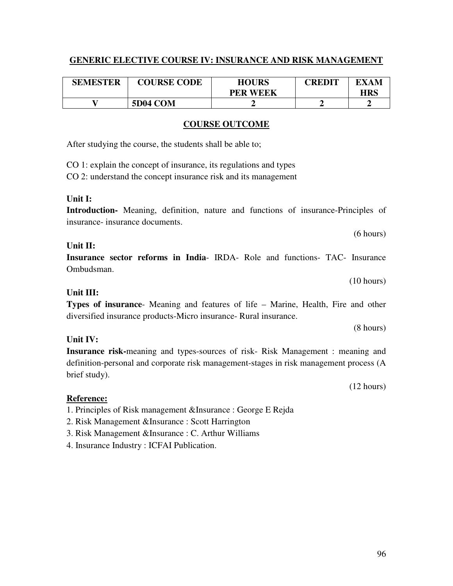#### **GENERIC ELECTIVE COURSE IV: INSURANCE AND RISK MANAGEMENT**

| <b>SEMESTER</b> | <b>COURSE CODE</b> | <b>HOURS</b><br><b>PER WEEK</b> | <b>CREDIT</b> | EXAM<br><b>HRS</b> |
|-----------------|--------------------|---------------------------------|---------------|--------------------|
|                 | <b>5D04 COM</b>    |                                 |               |                    |

#### **COURSE OUTCOME**

After studying the course, the students shall be able to;

CO 1: explain the concept of insurance, its regulations and types

CO 2: understand the concept insurance risk and its management

#### **Unit I:**

**Introduction-** Meaning, definition, nature and functions of insurance-Principles of insurance- insurance documents.

#### **Unit II:**

**Insurance sector reforms in India**- IRDA- Role and functions- TAC- Insurance Ombudsman.

(10 hours)

(8 hours)

#### **Unit III:**

**Types of insurance**- Meaning and features of life – Marine, Health, Fire and other diversified insurance products-Micro insurance- Rural insurance.

#### **Unit IV:**

**Insurance risk-**meaning and types-sources of risk- Risk Management : meaning and definition-personal and corporate risk management-stages in risk management process (A brief study).

#### **Reference:**

1. Principles of Risk management &Insurance : George E Rejda

- 2. Risk Management &Insurance : Scott Harrington
- 3. Risk Management &Insurance : C. Arthur Williams
- 4. Insurance Industry : ICFAI Publication.

(12 hours)

(6 hours)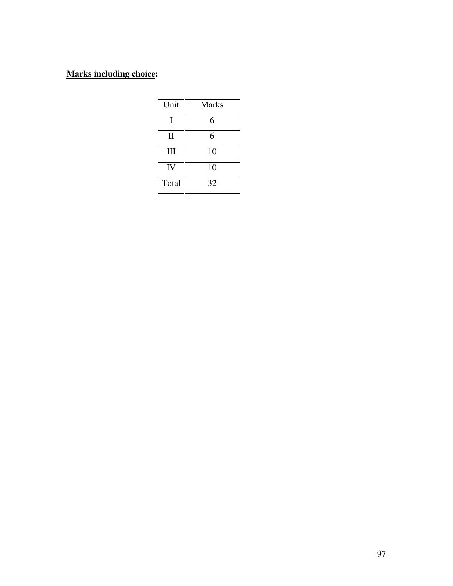| Unit         | <b>Marks</b> |
|--------------|--------------|
| T            | 6            |
| $\mathbf{I}$ | 6            |
| III          | 10           |
| IV           | 10           |
| Total        | 32           |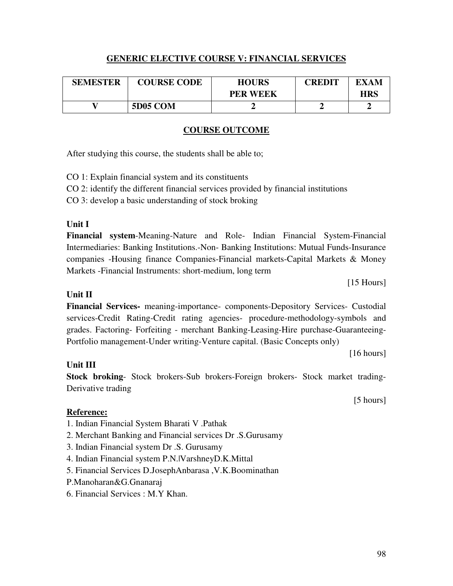#### **GENERIC ELECTIVE COURSE V: FINANCIAL SERVICES**

| <b>SEMESTER</b> | <b>COURSE CODE</b> | <b>HOURS</b>    | <b>CREDIT</b> | EXAM       |
|-----------------|--------------------|-----------------|---------------|------------|
|                 |                    | <b>PER WEEK</b> |               | <b>HRS</b> |
|                 | <b>5D05 COM</b>    |                 |               |            |

#### **COURSE OUTCOME**

After studying this course, the students shall be able to;

CO 1: Explain financial system and its constituents

CO 2: identify the different financial services provided by financial institutions

CO 3: develop a basic understanding of stock broking

### **Unit I**

**Financial system**-Meaning-Nature and Role- Indian Financial System-Financial Intermediaries: Banking Institutions.-Non- Banking Institutions: Mutual Funds-Insurance companies -Housing finance Companies-Financial markets-Capital Markets & Money Markets -Financial Instruments: short-medium, long term

[15 Hours]

# **Unit II**

**Financial Services-** meaning-importance- components-Depository Services- Custodial services-Credit Rating-Credit rating agencies- procedure-methodology-symbols and grades. Factoring- Forfeiting - merchant Banking-Leasing-Hire purchase-Guaranteeing-Portfolio management-Under writing-Venture capital. (Basic Concepts only)

[16 hours]

# **Unit III**

**Stock broking**- Stock brokers-Sub brokers-Foreign brokers- Stock market trading-Derivative trading

#### **Reference:**

- 1. Indian Financial System Bharati V .Pathak
- 2. Merchant Banking and Financial services Dr .S.Gurusamy
- 3. Indian Financial system Dr .S. Gurusamy
- 4. Indian Financial system P.N.|VarshneyD.K.Mittal
- 5. Financial Services D.JosephAnbarasa ,V.K.Boominathan
- P.Manoharan&G.Gnanaraj
- 6. Financial Services : M.Y Khan.

[5 hours]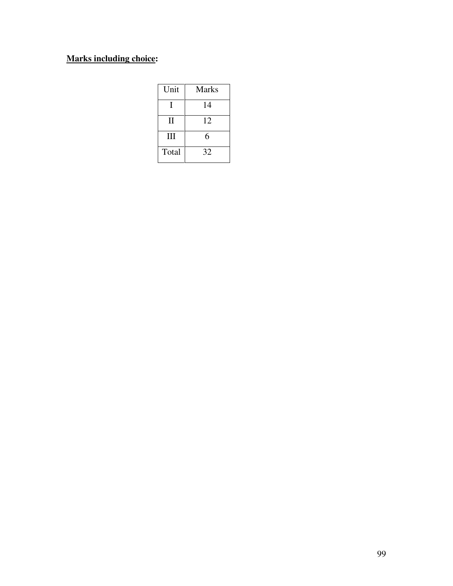| Unit         | Marks |
|--------------|-------|
|              | 14    |
| $\mathbf{H}$ | 12    |
| III          | 6     |
| Total        | 32    |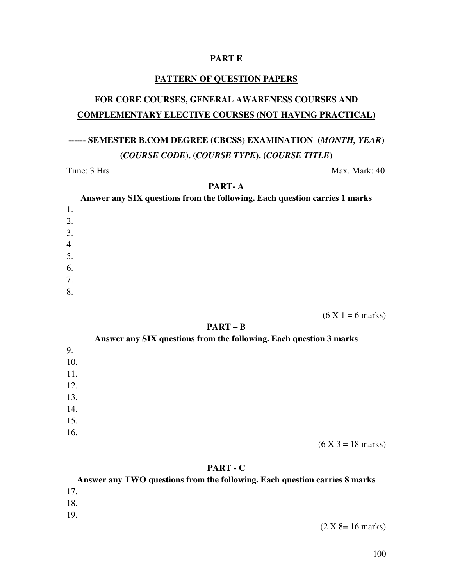#### **PART E**

#### **PATTERN OF QUESTION PAPERS**

# **FOR CORE COURSES, GENERAL AWARENESS COURSES AND COMPLEMENTARY ELECTIVE COURSES (NOT HAVING PRACTICAL)**

# **------ SEMESTER B.COM DEGREE (CBCSS) EXAMINATION (***MONTH, YEAR***) (***COURSE CODE***). (***COURSE TYPE***). (***COURSE TITLE***)**

#### Time: 3 Hrs Max. Mark: 40

#### **PART- A**

**Answer any SIX questions from the following. Each question carries 1 marks**  1. 2. 3. 4. 5.

- 6. 7.
- 8.

 $(6 X 1 = 6 \text{ marks})$ 

#### **PART – B**

|     | Answer any SIX questions from the following. Each question 3 marks |
|-----|--------------------------------------------------------------------|
| 9.  |                                                                    |
| 10. |                                                                    |
| 11. |                                                                    |
| 12. |                                                                    |
| 13. |                                                                    |
| 14. |                                                                    |
| 15. |                                                                    |
| 16. |                                                                    |
|     | $(6 X 3 = 18 \text{ marks})$                                       |

#### **PART - C**

**Answer any TWO questions from the following. Each question carries 8 marks**  17. 18. 19.  $(2 X 8 = 16 \text{ marks})$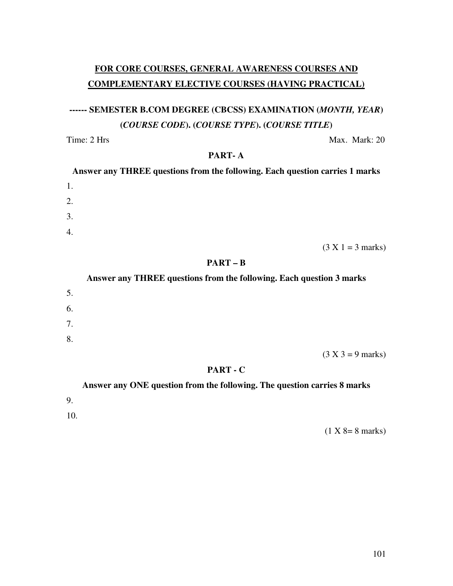# **FOR CORE COURSES, GENERAL AWARENESS COURSES AND COMPLEMENTARY ELECTIVE COURSES (HAVING PRACTICAL)**

# **------ SEMESTER B.COM DEGREE (CBCSS) EXAMINATION (***MONTH, YEAR***) (***COURSE CODE***). (***COURSE TYPE***). (***COURSE TITLE***)**

Time: 2 Hrs Max. Mark: 20

#### **PART- A**

| Answer any THREE questions from the following. Each question carries 1 marks |  |
|------------------------------------------------------------------------------|--|
| 1.                                                                           |  |
| 2.                                                                           |  |
| 3.                                                                           |  |
| $\overline{4}$ .                                                             |  |

 $(3 X 1 = 3 marks)$ 

#### **PART – B**

#### **Answer any THREE questions from the following. Each question 3 marks**

| 5. |                     |
|----|---------------------|
| 6. |                     |
| 7. |                     |
| 8. |                     |
|    | $(3 X 3 = 9 marks)$ |

#### **PART - C**

# **Answer any ONE question from the following. The question carries 8 marks**  9. 10.

 $(1 X 8 = 8 \text{ marks})$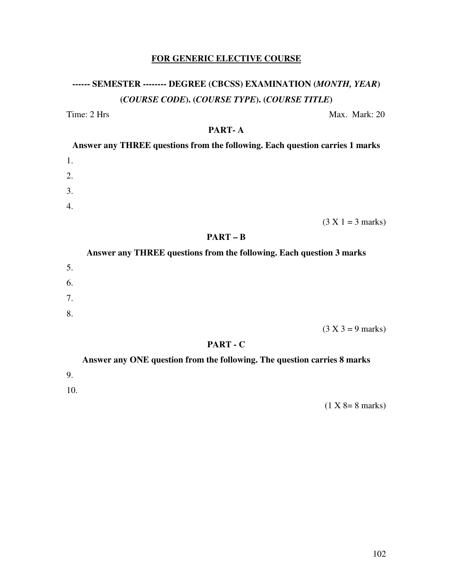# **FOR GENERIC ELECTIVE COURSE**

# **------ SEMESTER -------- DEGREE (CBCSS) EXAMINATION (***MONTH, YEAR***) (***COURSE CODE***). (***COURSE TYPE***). (***COURSE TITLE***)**

Time: 2 Hrs Max. Mark: 20

#### **PART- A**

| Answer any THREE questions from the following. Each question carries 1 marks |  |
|------------------------------------------------------------------------------|--|
| 1.                                                                           |  |
| 2.                                                                           |  |
| 3.                                                                           |  |
| 4.                                                                           |  |

 $(3 X 1 = 3 marks)$ 

**PART – B** 

# **Answer any THREE questions from the following. Each question 3 marks**  5. 6. 7. 8.  $(3 X 3 = 9 \text{ marks})$

#### **PART - C**

**Answer any ONE question from the following. The question carries 8 marks** 

9.

10.

 $(1 X 8 = 8 \text{ marks})$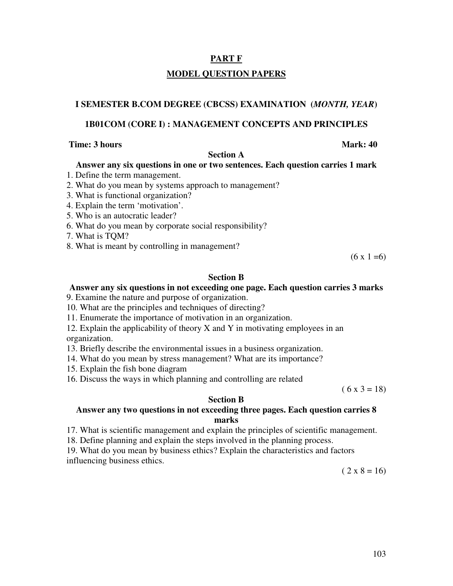# **PART F MODEL QUESTION PAPERS**

#### **I SEMESTER B.COM DEGREE (CBCSS) EXAMINATION (***MONTH, YEAR***)**

#### **1B01COM (CORE I) : MANAGEMENT CONCEPTS AND PRINCIPLES**

#### **Time: 3 hours** Mark: 40

#### **Section A**

#### **Answer any six questions in one or two sentences. Each question carries 1 mark**

- 1. Define the term management.
- 2. What do you mean by systems approach to management?
- 3. What is functional organization?
- 4. Explain the term 'motivation'.
- 5. Who is an autocratic leader?
- 6. What do you mean by corporate social responsibility?
- 7. What is TQM?
- 8. What is meant by controlling in management?

 $(6 \times 1 = 6)$ 

#### **Section B**

#### **Answer any six questions in not exceeding one page. Each question carries 3 marks**

9. Examine the nature and purpose of organization.

- 10. What are the principles and techniques of directing?
- 11. Enumerate the importance of motivation in an organization.

12. Explain the applicability of theory X and Y in motivating employees in an organization.

- 13. Briefly describe the environmental issues in a business organization.
- 14. What do you mean by stress management? What are its importance?
- 15. Explain the fish bone diagram
- 16. Discuss the ways in which planning and controlling are related

 $(6 x 3 = 18)$ 

#### **Section B**

#### **Answer any two questions in not exceeding three pages. Each question carries 8 marks**

17. What is scientific management and explain the principles of scientific management.

18. Define planning and explain the steps involved in the planning process.

19. What do you mean by business ethics? Explain the characteristics and factors influencing business ethics.

 $(2 \times 8 = 16)$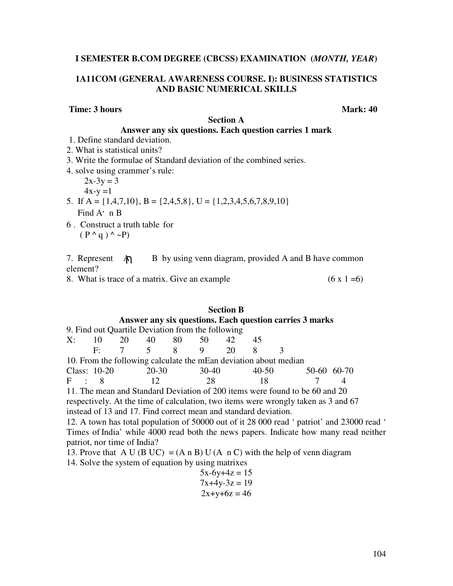#### **I SEMESTER B.COM DEGREE (CBCSS) EXAMINATION (***MONTH, YEAR***)**

#### **1A11COM (GENERAL AWARENESS COURSE. I): BUSINESS STATISTICS AND BASIC NUMERICAL SKILLS**

#### **Time: 3 hours** Mark: 40

#### **Section A**

#### **Answer any six questions. Each question carries 1 mark**

- 1. Define standard deviation.
- 2. What is statistical units?
- 3. Write the formulae of Standard deviation of the combined series.
- 4. solve using crammer's rule:

 $2x-3y = 3$  $4x-y=1$ 

- 5. If A = {1,4,7,10}, B = {2,4,5,8}, U = {1,2,3,4,5,6,7,8,9,10} Find A׳ n B
- 6 . Construct a truth table for  $(P^{\wedge} q)^{\wedge} \sim P$

7. Represent  $\mathbb{A}$  B by using venn diagram, provided A and B have common element?

8. What is trace of a matrix. Give an example  $(6 \times 1 = 6)$ 

#### **Section B Answer any six questions. Each question carries 3 marks**   $9.$  Find out Quartile Deviation from the following

|       |                                 |    | 9. Find out Quartile Deviation from the following                |     |       |                                                                             |  |
|-------|---------------------------------|----|------------------------------------------------------------------|-----|-------|-----------------------------------------------------------------------------|--|
|       | $X: 10 \t 20 \t 40 \t 80 \t 50$ |    |                                                                  | 42. | 45    |                                                                             |  |
|       |                                 |    | F: $7 \t 5 \t 8 \t 9 \t 20$                                      |     |       |                                                                             |  |
|       |                                 |    | 10. From the following calculate the mEan deviation about median |     |       |                                                                             |  |
|       | Class: $10-20$ 20-30            |    | 30-40                                                            |     | 40-50 | 50-60 60-70                                                                 |  |
| F : 8 |                                 | 12 | 28                                                               |     | 18    |                                                                             |  |
|       |                                 |    |                                                                  |     |       | 11. The mean and Standard Deviation of 200 items were found to be 60 and 20 |  |

respectively. At the time of calculation, two items were wrongly taken as 3 and 67 instead of 13 and 17. Find correct mean and standard deviation.

12. A town has total population of 50000 out of it 28 000 read ' patriot' and 23000 read ' Times of India' while 4000 read both the news papers. Indicate how many read neither patriot, nor time of India?

13. Prove that A U (B UC) = (A n B) U (A n C) with the help of venn diagram

14. Solve the system of equation by using matrixes

 $5x-6y+4z = 15$  $7x+4y-3z = 19$  $2x+y+6z = 46$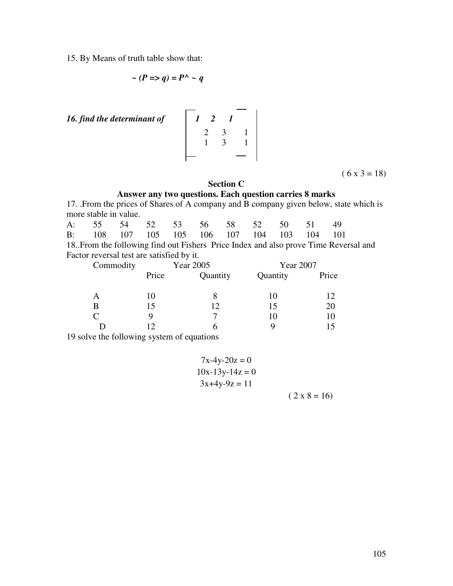15. By Means of truth table show that:

$$
\sim (P \Rightarrow q) = P^{\wedge} \sim q
$$

*16. find the determinant of* 

16. find the determinant of 
$$
\begin{bmatrix} 1 & 2 & 1 \ 2 & 3 & 1 \ 1 & 3 & 1 \end{bmatrix}
$$

 $(6 x 3 = 18)$ 

#### **Section C**

# **Answer any two questions. Each question carries 8 marks**

17. .From the prices of Shares of A company and B company given below, state which is more stable in value.

| A: 55 54 52 53 56 58 52 50 51 49                                               |  |  |  |  |  |
|--------------------------------------------------------------------------------|--|--|--|--|--|
| B: 108 107 105 105 106 107 104 103 104 101                                     |  |  |  |  |  |
| 10. Erem the following find out Eicharg, Drive Index and else nuove Time Dever |  |  |  |  |  |

18..From the following find out Fishers Price Index and also prove Time Reversal and Factor reversal test are satisfied by it.

| Commodity |       | Year 2005 | Year 2007 |       |  |  |
|-----------|-------|-----------|-----------|-------|--|--|
|           | Price | Quantity  | Quantity  | Price |  |  |
| Α         | 10    |           | 10        | 12    |  |  |
| B         | 15    | 12        | 15        | 20    |  |  |
| C         |       | −         | 10        | 10    |  |  |
|           |       | n         |           |       |  |  |

19 solve the following system of equations

$$
7x-4y-20z = 0
$$
  
10x-13y-14z = 0  
3x+4y-9z = 11  
(2 x 8 = 16)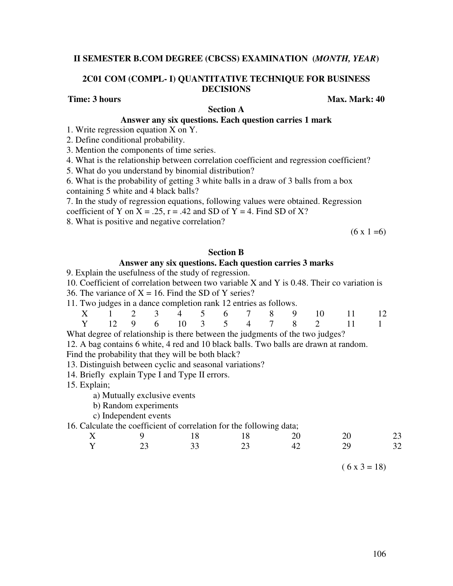#### **II SEMESTER B.COM DEGREE (CBCSS) EXAMINATION (***MONTH, YEAR***)**

#### **2C01 COM (COMPL- I) QUANTITATIVE TECHNIQUE FOR BUSINESS DECISIONS**

#### **Time: 3 hours** Max. Mark: 40

#### **Section A Answer any six questions. Each question carries 1 mark**

1. Write regression equation X on Y.

2. Define conditional probability.

3. Mention the components of time series.

4. What is the relationship between correlation coefficient and regression coefficient?

5. What do you understand by binomial distribution?

6. What is the probability of getting 3 white balls in a draw of 3 balls from a box containing 5 white and 4 black balls?

7. In the study of regression equations, following values were obtained. Regression coefficient of Y on  $X = .25$ ,  $r = .42$  and SD of Y = 4. Find SD of X?

8. What is positive and negative correlation?

 $(6 \times 1 = 6)$ 

#### **Section B**

#### **Answer any six questions. Each question carries 3 marks**

9. Explain the usefulness of the study of regression.

10. Coefficient of correlation between two variable X and Y is 0.48. Their co variation is

36. The variance of  $X = 16$ . Find the SD of Y series?

| 11. Two judges in a dance completion rank 12 entries as follows. |
|------------------------------------------------------------------|
|------------------------------------------------------------------|

|  |  |  |  |  | X 1 2 3 4 5 6 7 8 9 10 11 12 |  |
|--|--|--|--|--|------------------------------|--|
|  |  |  |  |  | Y 12 9 6 10 3 5 4 7 8 2 11 1 |  |

What degree of relationship is there between the judgments of the two judges?

12. A bag contains 6 white, 4 red and 10 black balls. Two balls are drawn at random.

Find the probability that they will be both black?

13. Distinguish between cyclic and seasonal variations?

14. Briefly explain Type I and Type II errors.

15. Explain;

a) Mutually exclusive events

b) Random experiments

c) Independent events

#### 16. Calculate the coefficient of correlation for the following data;

| $\rm X^-$ | $\overline{9}$ | 18 | 18 | 20 | 23<br>20 |  |
|-----------|----------------|----|----|----|----------|--|
| Y         | 23             | 33 | 23 | 42 | 32<br>29 |  |

 $(6 x 3 = 18)$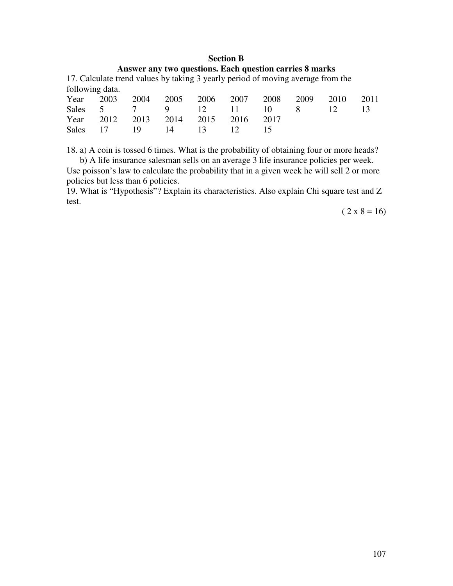### **Section B Answer any two questions. Each question carries 8 marks**

17. Calculate trend values by taking 3 yearly period of moving average from the following data.

|  |                                    |  |  | Year 2003 2004 2005 2006 2007 2008 2009 2010 2011 |  |
|--|------------------------------------|--|--|---------------------------------------------------|--|
|  |                                    |  |  | Sales 5 7 9 12 11 10 8 12 13                      |  |
|  | Year 2012 2013 2014 2015 2016 2017 |  |  |                                                   |  |
|  | Sales 17 19 14 13 12 15            |  |  |                                                   |  |

18. a) A coin is tossed 6 times. What is the probability of obtaining four or more heads? b) A life insurance salesman sells on an average 3 life insurance policies per week.

Use poisson's law to calculate the probability that in a given week he will sell 2 or more policies but less than 6 policies.

19. What is "Hypothesis"? Explain its characteristics. Also explain Chi square test and Z test.

 $(2 \times 8 = 16)$